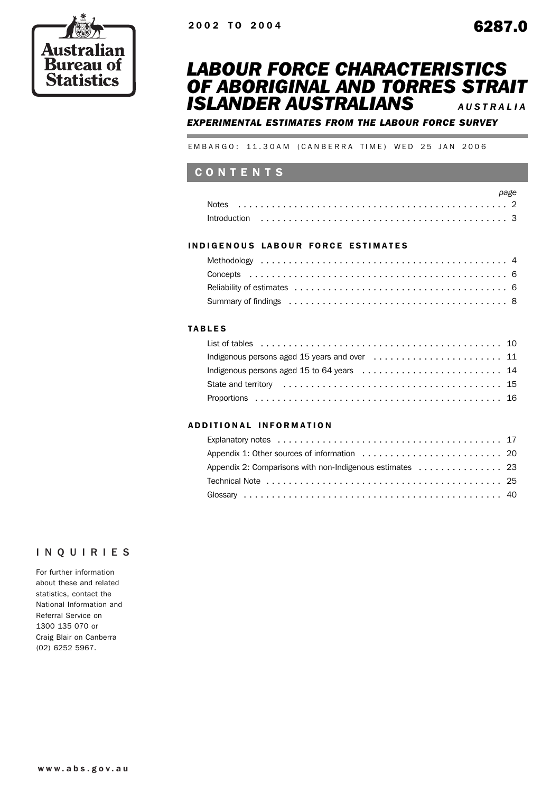



*EXPERIMENTAL ESTIMATES FROM THE LABOUR FORCE SURVEY*

EMBARGO: 11.30AM (CANBERRA TIME) WED 25 JAN 2006

# CONTENTS

| Notes                                                                                                                |  |  |  |  |  |  |  |  |  |  |  |  |  |  |  |  |  |  |  |  |
|----------------------------------------------------------------------------------------------------------------------|--|--|--|--|--|--|--|--|--|--|--|--|--|--|--|--|--|--|--|--|
| $Introduction \dots \dots \dots \dots \dots \dots \dots \dots \dots \dots \dots \dots \dots \dots \dots \dots \dots$ |  |  |  |  |  |  |  |  |  |  |  |  |  |  |  |  |  |  |  |  |

### INDIGENOUS LABOUR FORCE ESTIMATES

| Summary of findings (and all contains and all contains and all contains a set of the Summary of findings (all contains a set of $8$ ) |  |
|---------------------------------------------------------------------------------------------------------------------------------------|--|

## TABLES

Ė

| List of tables $\ldots \ldots \ldots \ldots \ldots \ldots \ldots \ldots \ldots \ldots \ldots \ldots \ldots$ |  |
|-------------------------------------------------------------------------------------------------------------|--|
|                                                                                                             |  |
|                                                                                                             |  |
|                                                                                                             |  |
|                                                                                                             |  |

#### ADDITIONAL INFORMATION

| Appendix 2: Comparisons with non-Indigenous estimates 23 |  |
|----------------------------------------------------------|--|
|                                                          |  |
|                                                          |  |

## INQUIRIES

Aus **Bure:** 

**Statistics** 

For further information about these and related statistics, contact the National Information and Referral Service on 1300 135 070 or Craig Blair on Canberra (02) 6252 5967.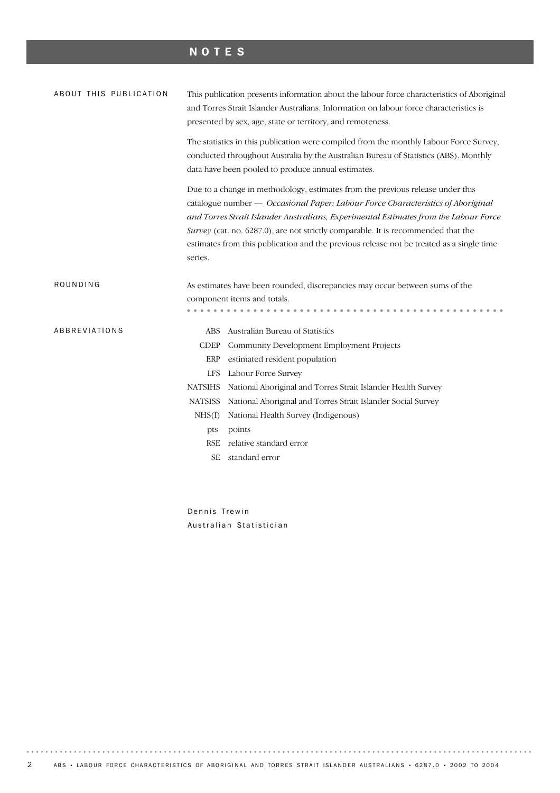# NOTES

| ABOUT THIS PUBLICATION      | This publication presents information about the labour force characteristics of Aboriginal<br>and Torres Strait Islander Australians. Information on labour force characteristics is<br>presented by sex, age, state or territory, and remoteness.                                                                                                                                                                                         |  |  |  |  |  |  |  |
|-----------------------------|--------------------------------------------------------------------------------------------------------------------------------------------------------------------------------------------------------------------------------------------------------------------------------------------------------------------------------------------------------------------------------------------------------------------------------------------|--|--|--|--|--|--|--|
|                             | The statistics in this publication were compiled from the monthly Labour Force Survey,<br>conducted throughout Australia by the Australian Bureau of Statistics (ABS). Monthly<br>data have been pooled to produce annual estimates.                                                                                                                                                                                                       |  |  |  |  |  |  |  |
| series.                     | Due to a change in methodology, estimates from the previous release under this<br>catalogue number - Occasional Paper: Labour Force Characteristics of Aboriginal<br>and Torres Strait Islander Australians, Experimental Estimates from the Labour Force<br>Survey (cat. no. 6287.0), are not strictly comparable. It is recommended that the<br>estimates from this publication and the previous release not be treated as a single time |  |  |  |  |  |  |  |
| ROUNDING                    | As estimates have been rounded, discrepancies may occur between sums of the                                                                                                                                                                                                                                                                                                                                                                |  |  |  |  |  |  |  |
|                             | component items and totals.                                                                                                                                                                                                                                                                                                                                                                                                                |  |  |  |  |  |  |  |
|                             |                                                                                                                                                                                                                                                                                                                                                                                                                                            |  |  |  |  |  |  |  |
| <b>ABBREVIATIONS</b><br>ABS | Australian Bureau of Statistics                                                                                                                                                                                                                                                                                                                                                                                                            |  |  |  |  |  |  |  |
| <b>CDEP</b>                 | Community Development Employment Projects                                                                                                                                                                                                                                                                                                                                                                                                  |  |  |  |  |  |  |  |
| ERP                         | estimated resident population                                                                                                                                                                                                                                                                                                                                                                                                              |  |  |  |  |  |  |  |
| <b>LFS</b>                  | Labour Force Survey                                                                                                                                                                                                                                                                                                                                                                                                                        |  |  |  |  |  |  |  |
| <b>NATSIHS</b>              | National Aboriginal and Torres Strait Islander Health Survey                                                                                                                                                                                                                                                                                                                                                                               |  |  |  |  |  |  |  |
| <b>NATSISS</b>              | National Aboriginal and Torres Strait Islander Social Survey                                                                                                                                                                                                                                                                                                                                                                               |  |  |  |  |  |  |  |
| NHS(I)                      | National Health Survey (Indigenous)                                                                                                                                                                                                                                                                                                                                                                                                        |  |  |  |  |  |  |  |
| pts                         | points                                                                                                                                                                                                                                                                                                                                                                                                                                     |  |  |  |  |  |  |  |
| <b>RSE</b>                  | relative standard error                                                                                                                                                                                                                                                                                                                                                                                                                    |  |  |  |  |  |  |  |
| <b>SE</b>                   | standard error                                                                                                                                                                                                                                                                                                                                                                                                                             |  |  |  |  |  |  |  |

Dennis Trewin Australian Statistician

2 ABS • LABOUR FORCE CHARACTERISTICS OF ABORIGINAL AND TORRES STRAIT ISLANDER AUSTRALIANS • 6287.0 • 2002 TO 2004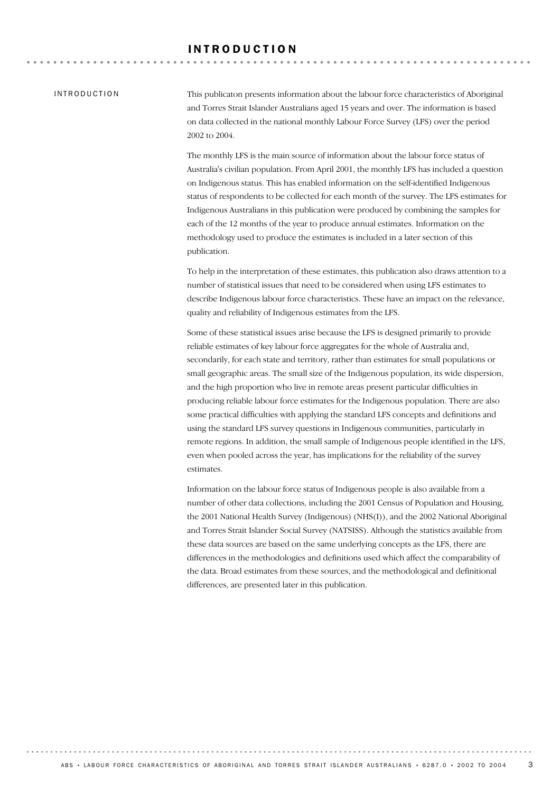#### INTRODUCTION

This publicaton presents information about the labour force characteristics of Aboriginal and Torres Strait Islander Australians aged 15 years and over. The information is based on data collected in the national monthly Labour Force Survey (LFS) over the period 2002 to 2004.

The monthly LFS is the main source of information about the labour force status of Australia's civilian population. From April 2001, the monthly LFS has included a question on Indigenous status. This has enabled information on the self-identified Indigenous status of respondents to be collected for each month of the survey. The LFS estimates for Indigenous Australians in this publication were produced by combining the samples for each of the 12 months of the year to produce annual estimates. Information on the methodology used to produce the estimates is included in a later section of this publication.

To help in the interpretation of these estimates, this publication also draws attention to a number of statistical issues that need to be considered when using LFS estimates to describe Indigenous labour force characteristics. These have an impact on the relevance, quality and reliability of Indigenous estimates from the LFS.

Some of these statistical issues arise because the LFS is designed primarily to provide reliable estimates of key labour force aggregates for the whole of Australia and, secondarily, for each state and territory, rather than estimates for small populations or small geographic areas. The small size of the Indigenous population, its wide dispersion, and the high proportion who live in remote areas present particular difficulties in producing reliable labour force estimates for the Indigenous population. There are also some practical difficulties with applying the standard LFS concepts and definitions and using the standard LFS survey questions in Indigenous communities, particularly in remote regions. In addition, the small sample of Indigenous people identified in the LFS, even when pooled across the year, has implications for the reliability of the survey estimates.

Information on the labour force status of Indigenous people is also available from a number of other data collections, including the 2001 Census of Population and Housing, the 2001 National Health Survey (Indigenous) (NHS(I)), and the 2002 National Aboriginal and Torres Strait Islander Social Survey (NATSISS). Although the statistics available from these data sources are based on the same underlying concepts as the LFS, there are differences in the methodologies and definitions used which affect the comparability of the data. Broad estimates from these sources, and the methodological and definitional differences, are presented later in this publication.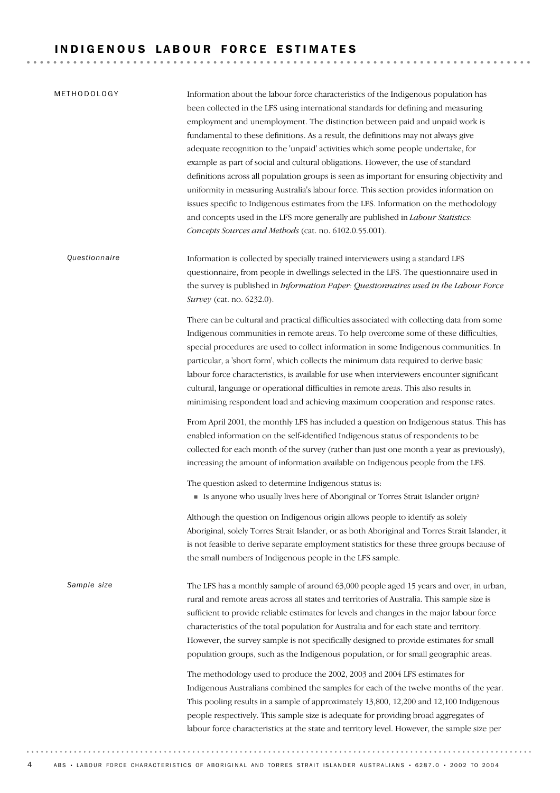# INDIGENOUS LABOUR FORCE ESTIMATES

| METHODOLOGY   | Information about the labour force characteristics of the Indigenous population has<br>been collected in the LFS using international standards for defining and measuring<br>employment and unemployment. The distinction between paid and unpaid work is<br>fundamental to these definitions. As a result, the definitions may not always give<br>adequate recognition to the 'unpaid' activities which some people undertake, for<br>example as part of social and cultural obligations. However, the use of standard<br>definitions across all population groups is seen as important for ensuring objectivity and<br>uniformity in measuring Australia's labour force. This section provides information on<br>issues specific to Indigenous estimates from the LFS. Information on the methodology<br>and concepts used in the LFS more generally are published in Labour Statistics:<br>Concepts Sources and Methods (cat. no. 6102.0.55.001). |
|---------------|------------------------------------------------------------------------------------------------------------------------------------------------------------------------------------------------------------------------------------------------------------------------------------------------------------------------------------------------------------------------------------------------------------------------------------------------------------------------------------------------------------------------------------------------------------------------------------------------------------------------------------------------------------------------------------------------------------------------------------------------------------------------------------------------------------------------------------------------------------------------------------------------------------------------------------------------------|
| Questionnaire | Information is collected by specially trained interviewers using a standard LFS<br>questionnaire, from people in dwellings selected in the LFS. The questionnaire used in<br>the survey is published in Information Paper: Questionnaires used in the Labour Force<br>Survey (cat. no. 6232.0).                                                                                                                                                                                                                                                                                                                                                                                                                                                                                                                                                                                                                                                      |
|               | There can be cultural and practical difficulties associated with collecting data from some<br>Indigenous communities in remote areas. To help overcome some of these difficulties,<br>special procedures are used to collect information in some Indigenous communities. In<br>particular, a 'short form', which collects the minimum data required to derive basic<br>labour force characteristics, is available for use when interviewers encounter significant<br>cultural, language or operational difficulties in remote areas. This also results in<br>minimising respondent load and achieving maximum cooperation and response rates.                                                                                                                                                                                                                                                                                                        |
|               | From April 2001, the monthly LFS has included a question on Indigenous status. This has<br>enabled information on the self-identified Indigenous status of respondents to be<br>collected for each month of the survey (rather than just one month a year as previously),<br>increasing the amount of information available on Indigenous people from the LFS.                                                                                                                                                                                                                                                                                                                                                                                                                                                                                                                                                                                       |
|               | The question asked to determine Indigenous status is:<br>• Is anyone who usually lives here of Aboriginal or Torres Strait Islander origin?                                                                                                                                                                                                                                                                                                                                                                                                                                                                                                                                                                                                                                                                                                                                                                                                          |
|               | Although the question on Indigenous origin allows people to identify as solely<br>Aboriginal, solely Torres Strait Islander, or as both Aboriginal and Torres Strait Islander, it<br>is not feasible to derive separate employment statistics for these three groups because of<br>the small numbers of Indigenous people in the LFS sample.                                                                                                                                                                                                                                                                                                                                                                                                                                                                                                                                                                                                         |
| Sample size   | The LFS has a monthly sample of around 63,000 people aged 15 years and over, in urban,<br>rural and remote areas across all states and territories of Australia. This sample size is<br>sufficient to provide reliable estimates for levels and changes in the major labour force<br>characteristics of the total population for Australia and for each state and territory.<br>However, the survey sample is not specifically designed to provide estimates for small<br>population groups, such as the Indigenous population, or for small geographic areas.                                                                                                                                                                                                                                                                                                                                                                                       |
|               | The methodology used to produce the 2002, 2003 and 2004 LFS estimates for<br>Indigenous Australians combined the samples for each of the twelve months of the year.<br>This pooling results in a sample of approximately 13,800, 12,200 and 12,100 Indigenous<br>people respectively. This sample size is adequate for providing broad aggregates of<br>labour force characteristics at the state and territory level. However, the sample size per                                                                                                                                                                                                                                                                                                                                                                                                                                                                                                  |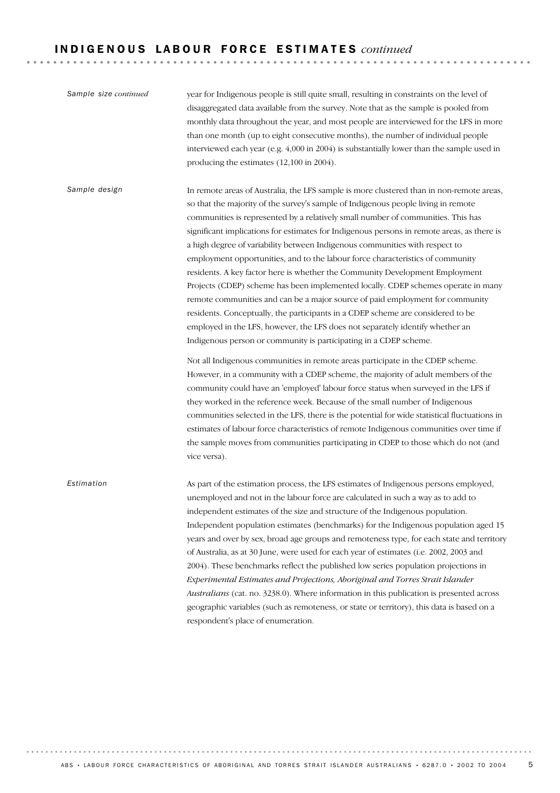## I N D I G E N O U S L A B O U R F O R C E E S T I M A T E S *continued*

As part of the estimation process, the LFS estimates of Indigenous persons employed, unemployed and not in the labour force are calculated in such a way as to add to independent estimates of the size and structure of the Indigenous population. Independent population estimates (benchmarks) for the Indigenous population aged 15 years and over by sex, broad age groups and remoteness type, for each state and territory of Australia, as at 30 June, were used for each year of estimates (i.e. 2002, 2003 and 2004). These benchmarks reflect the published low series population projections in *Experimental Estimates and Projections, Aboriginal and Torres Strait Islander Australians* (cat. no. 3238.0). Where information in this publication is presented across geographic variables (such as remoteness, or state or territory), this data is based on a respondent's place of enumeration. *Estimation* In remote areas of Australia, the LFS sample is more clustered than in non-remote areas, so that the majority of the survey's sample of Indigenous people living in remote communities is represented by a relatively small number of communities. This has significant implications for estimates for Indigenous persons in remote areas, as there is a high degree of variability between Indigenous communities with respect to employment opportunities, and to the labour force characteristics of community residents. A key factor here is whether the Community Development Employment Projects (CDEP) scheme has been implemented locally. CDEP schemes operate in many remote communities and can be a major source of paid employment for community residents. Conceptually, the participants in a CDEP scheme are considered to be employed in the LFS, however, the LFS does not separately identify whether an Indigenous person or community is participating in a CDEP scheme. Not all Indigenous communities in remote areas participate in the CDEP scheme. However, in a community with a CDEP scheme, the majority of adult members of the community could have an 'employed' labour force status when surveyed in the LFS if they worked in the reference week. Because of the small number of Indigenous communities selected in the LFS, there is the potential for wide statistical fluctuations in estimates of labour force characteristics of remote Indigenous communities over time if the sample moves from communities participating in CDEP to those which do not (and vice versa). *Sample design* year for Indigenous people is still quite small, resulting in constraints on the level of disaggregated data available from the survey. Note that as the sample is pooled from monthly data throughout the year, and most people are interviewed for the LFS in more than one month (up to eight consecutive months), the number of individual people interviewed each year (e.g. 4,000 in 2004) is substantially lower than the sample used in producing the estimates (12,100 in 2004). *Sample size continued*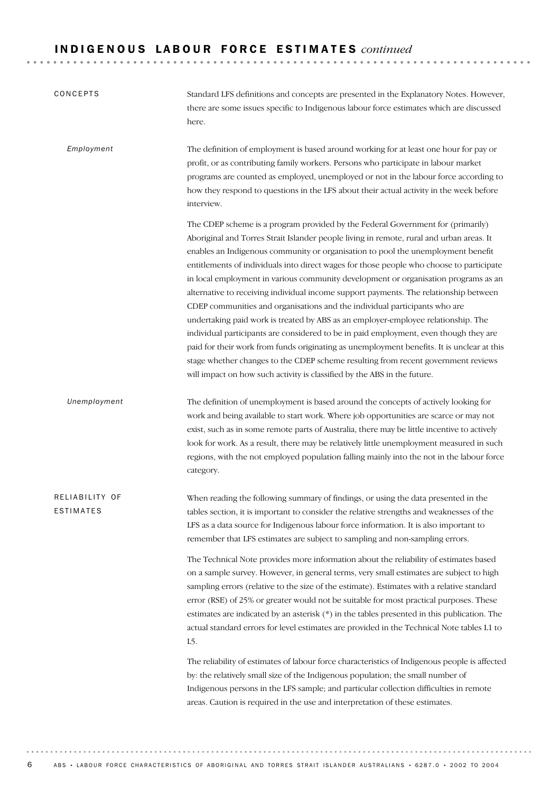# I N D I G E N O U S L A B O U R F O R C E E S T I M A T E S *continued*

| CONCEPTS                           | Standard LFS definitions and concepts are presented in the Explanatory Notes. However,<br>there are some issues specific to Indigenous labour force estimates which are discussed<br>here.                                                                                                                                                                                                                                                                                                                                                                                                                                                                                                                                                                                                                                                                                                                                                                                                                                                                             |
|------------------------------------|------------------------------------------------------------------------------------------------------------------------------------------------------------------------------------------------------------------------------------------------------------------------------------------------------------------------------------------------------------------------------------------------------------------------------------------------------------------------------------------------------------------------------------------------------------------------------------------------------------------------------------------------------------------------------------------------------------------------------------------------------------------------------------------------------------------------------------------------------------------------------------------------------------------------------------------------------------------------------------------------------------------------------------------------------------------------|
| Employment                         | The definition of employment is based around working for at least one hour for pay or<br>profit, or as contributing family workers. Persons who participate in labour market<br>programs are counted as employed, unemployed or not in the labour force according to<br>how they respond to questions in the LFS about their actual activity in the week before<br>interview.                                                                                                                                                                                                                                                                                                                                                                                                                                                                                                                                                                                                                                                                                          |
|                                    | The CDEP scheme is a program provided by the Federal Government for (primarily)<br>Aboriginal and Torres Strait Islander people living in remote, rural and urban areas. It<br>enables an Indigenous community or organisation to pool the unemployment benefit<br>entitlements of individuals into direct wages for those people who choose to participate<br>in local employment in various community development or organisation programs as an<br>alternative to receiving individual income support payments. The relationship between<br>CDEP communities and organisations and the individual participants who are<br>undertaking paid work is treated by ABS as an employer-employee relationship. The<br>individual participants are considered to be in paid employment, even though they are<br>paid for their work from funds originating as unemployment benefits. It is unclear at this<br>stage whether changes to the CDEP scheme resulting from recent government reviews<br>will impact on how such activity is classified by the ABS in the future. |
| Unemployment                       | The definition of unemployment is based around the concepts of actively looking for<br>work and being available to start work. Where job opportunities are scarce or may not<br>exist, such as in some remote parts of Australia, there may be little incentive to actively<br>look for work. As a result, there may be relatively little unemployment measured in such<br>regions, with the not employed population falling mainly into the not in the labour force<br>category.                                                                                                                                                                                                                                                                                                                                                                                                                                                                                                                                                                                      |
| RELIABILITY OF<br><b>ESTIMATES</b> | When reading the following summary of findings, or using the data presented in the<br>tables section, it is important to consider the relative strengths and weaknesses of the<br>LFS as a data source for Indigenous labour force information. It is also important to<br>remember that LFS estimates are subject to sampling and non-sampling errors.                                                                                                                                                                                                                                                                                                                                                                                                                                                                                                                                                                                                                                                                                                                |
|                                    | The Technical Note provides more information about the reliability of estimates based<br>on a sample survey. However, in general terms, very small estimates are subject to high<br>sampling errors (relative to the size of the estimate). Estimates with a relative standard<br>error (RSE) of 25% or greater would not be suitable for most practical purposes. These<br>estimates are indicated by an asterisk (*) in the tables presented in this publication. The<br>actual standard errors for level estimates are provided in the Technical Note tables L1 to<br>L5.                                                                                                                                                                                                                                                                                                                                                                                                                                                                                           |
|                                    | The reliability of estimates of labour force characteristics of Indigenous people is affected<br>by: the relatively small size of the Indigenous population; the small number of<br>Indigenous persons in the LFS sample; and particular collection difficulties in remote<br>areas. Caution is required in the use and interpretation of these estimates.                                                                                                                                                                                                                                                                                                                                                                                                                                                                                                                                                                                                                                                                                                             |

6 ABS • LABOUR FORCE CHARACTERISTICS OF ABORIGINAL AND TORRES STRAIT ISLANDER AUSTRALIANS • 6287.0 • 2002 TO 2004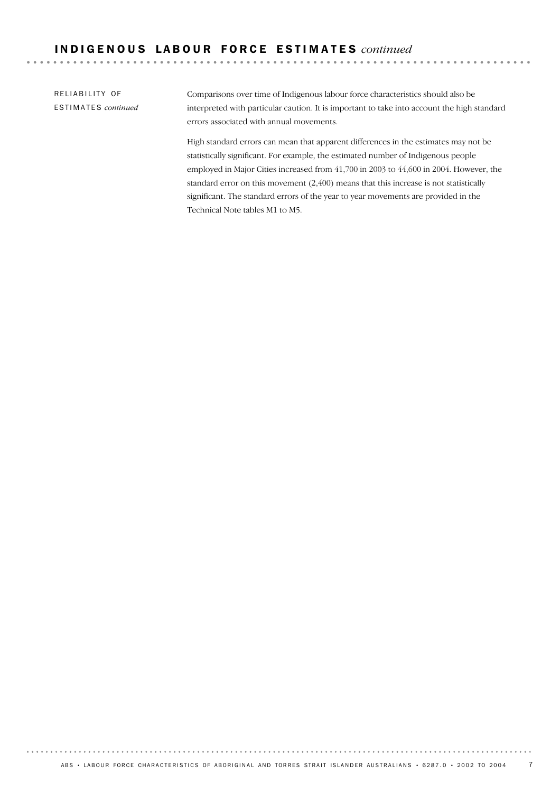# I N D I G E N O U S L A B O U R F O R C E E S T I M A T E S *continued*

RELIABILITY OF ESTIMATES *continued*

Comparisons over time of Indigenous labour force characteristics should also be interpreted with particular caution. It is important to take into account the high standard errors associated with annual movements.

High standard errors can mean that apparent differences in the estimates may not be statistically significant. For example, the estimated number of Indigenous people employed in Major Cities increased from 41,700 in 2003 to 44,600 in 2004. However, the standard error on this movement (2,400) means that this increase is not statistically significant. The standard errors of the year to year movements are provided in the Technical Note tables M1 to M5.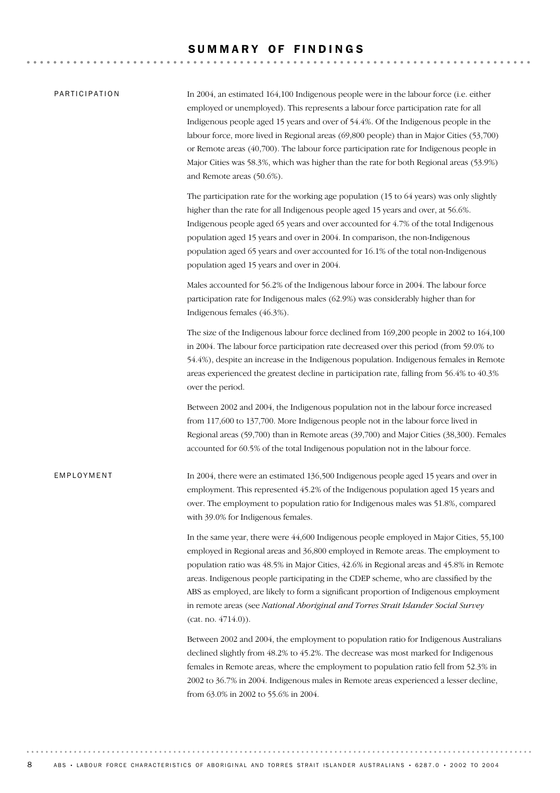## SUMMARY OF FINDINGS

| PARTICIPATION | In 2004, an estimated 164,100 Indigenous people were in the labour force (i.e. either<br>employed or unemployed). This represents a labour force participation rate for all<br>Indigenous people aged 15 years and over of 54.4%. Of the Indigenous people in the<br>labour force, more lived in Regional areas (69,800 people) than in Major Cities (53,700)<br>or Remote areas (40,700). The labour force participation rate for Indigenous people in<br>Major Cities was 58.3%, which was higher than the rate for both Regional areas (53.9%)<br>and Remote areas (50.6%). |
|---------------|--------------------------------------------------------------------------------------------------------------------------------------------------------------------------------------------------------------------------------------------------------------------------------------------------------------------------------------------------------------------------------------------------------------------------------------------------------------------------------------------------------------------------------------------------------------------------------|
|               | The participation rate for the working age population (15 to 64 years) was only slightly<br>higher than the rate for all Indigenous people aged 15 years and over, at 56.6%.<br>Indigenous people aged 65 years and over accounted for 4.7% of the total Indigenous<br>population aged 15 years and over in 2004. In comparison, the non-Indigenous<br>population aged 65 years and over accounted for 16.1% of the total non-Indigenous<br>population aged 15 years and over in 2004.                                                                                         |
|               | Males accounted for 56.2% of the Indigenous labour force in 2004. The labour force<br>participation rate for Indigenous males (62.9%) was considerably higher than for<br>Indigenous females (46.3%).                                                                                                                                                                                                                                                                                                                                                                          |
|               | The size of the Indigenous labour force declined from 169,200 people in 2002 to 164,100<br>in 2004. The labour force participation rate decreased over this period (from 59.0% to<br>54.4%), despite an increase in the Indigenous population. Indigenous females in Remote<br>areas experienced the greatest decline in participation rate, falling from 56.4% to 40.3%<br>over the period.                                                                                                                                                                                   |
|               | Between 2002 and 2004, the Indigenous population not in the labour force increased<br>from 117,600 to 137,700. More Indigenous people not in the labour force lived in<br>Regional areas (59,700) than in Remote areas (39,700) and Major Cities (38,300). Females<br>accounted for 60.5% of the total Indigenous population not in the labour force.                                                                                                                                                                                                                          |
| EMPLOYMENT    | In 2004, there were an estimated 136,500 Indigenous people aged 15 years and over in<br>employment. This represented 45.2% of the Indigenous population aged 15 years and<br>over. The employment to population ratio for Indigenous males was 51.8%, compared<br>with 39.0% for Indigenous females.                                                                                                                                                                                                                                                                           |
|               | In the same year, there were 44,600 Indigenous people employed in Major Cities, 55,100<br>employed in Regional areas and 36,800 employed in Remote areas. The employment to<br>population ratio was 48.5% in Major Cities, 42.6% in Regional areas and 45.8% in Remote<br>areas. Indigenous people participating in the CDEP scheme, who are classified by the<br>ABS as employed, are likely to form a significant proportion of Indigenous employment<br>in remote areas (see National Aboriginal and Torres Strait Islander Social Survey<br>$(cat. no. 4714.0)$ .          |
|               | Between 2002 and 2004, the employment to population ratio for Indigenous Australians<br>declined slightly from 48.2% to 45.2%. The decrease was most marked for Indigenous<br>females in Remote areas, where the employment to population ratio fell from 52.3% in<br>2002 to 36.7% in 2004. Indigenous males in Remote areas experienced a lesser decline,<br>from 63.0% in 2002 to 55.6% in 2004.                                                                                                                                                                            |

8 ABS • LABOUR FORCE CHARACTERISTICS OF ABORIGINAL AND TORRES STRAIT ISLANDER AUSTRALIANS • 6287.0 • 2002 TO 2004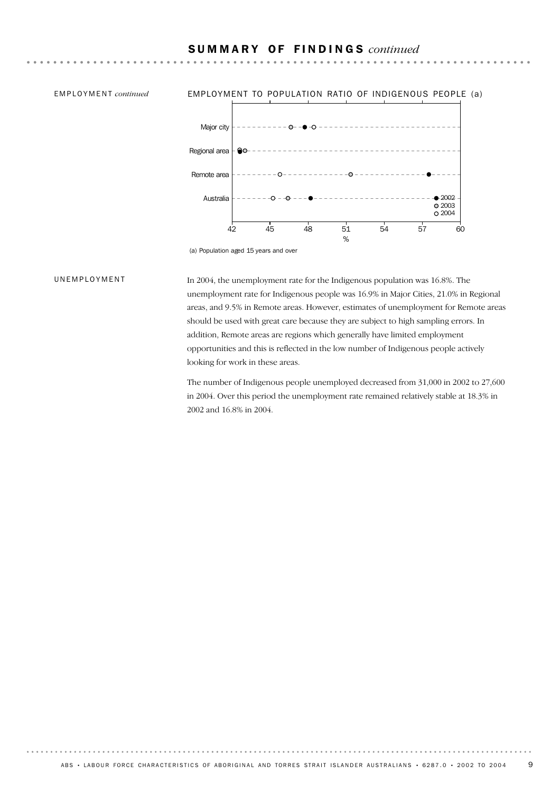# S U M M A R Y O F F I N D I N G S *continued*



#### UNEMPLOYMENT

In 2004, the unemployment rate for the Indigenous population was 16.8%. The unemployment rate for Indigenous people was 16.9% in Major Cities, 21.0% in Regional areas, and 9.5% in Remote areas. However, estimates of unemployment for Remote areas should be used with great care because they are subject to high sampling errors. In addition, Remote areas are regions which generally have limited employment opportunities and this is reflected in the low number of Indigenous people actively looking for work in these areas.

The number of Indigenous people unemployed decreased from 31,000 in 2002 to 27,600 in 2004. Over this period the unemployment rate remained relatively stable at 18.3% in 2002 and 16.8% in 2004.

<sup>(</sup>a) Population aged 15 years and over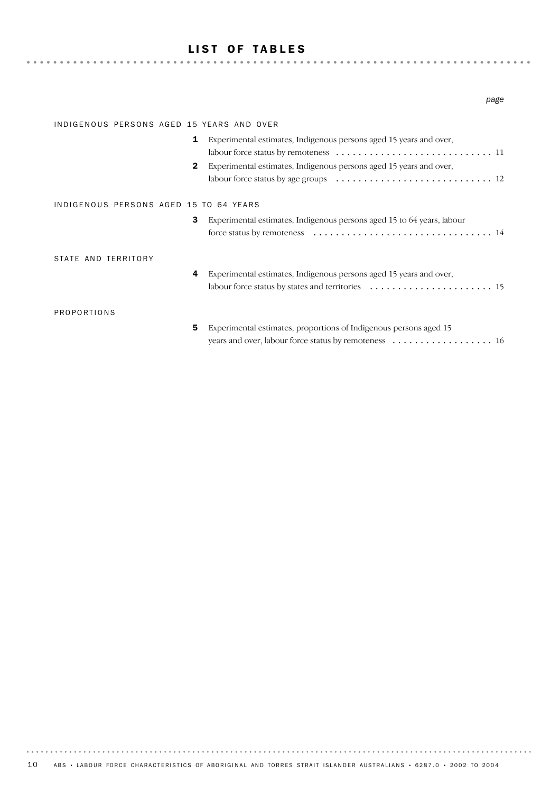# LIST OF TABLES

#### *page*

| INDIGENOUS PERSONS AGED 15 YEARS AND OVER |                                                                                                       |
|-------------------------------------------|-------------------------------------------------------------------------------------------------------|
| 1                                         | Experimental estimates, Indigenous persons aged 15 years and over,                                    |
| $\mathbf{2}$                              | Experimental estimates, Indigenous persons aged 15 years and over,                                    |
|                                           | labour force status by age groups $\ldots \ldots \ldots \ldots \ldots \ldots \ldots \ldots \ldots 12$ |
| INDIGENOUS PERSONS AGED 15 TO 64 YEARS    |                                                                                                       |
| 3                                         | Experimental estimates, Indigenous persons aged 15 to 64 years, labour                                |
| STATE AND TERRITORY<br>4                  | Experimental estimates, Indigenous persons aged 15 years and over,                                    |
|                                           |                                                                                                       |
| <b>PROPORTIONS</b>                        |                                                                                                       |
| 5                                         | Experimental estimates, proportions of Indigenous persons aged 15                                     |
|                                           |                                                                                                       |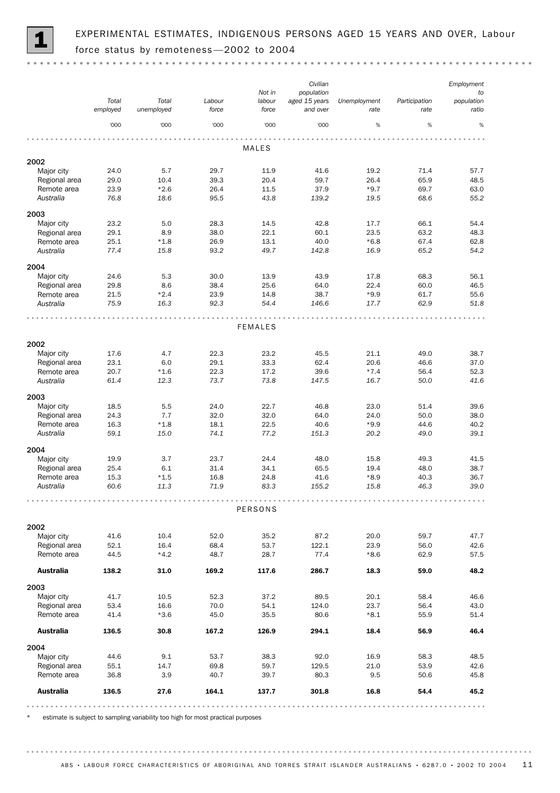

 $\sim$   $\sim$ 

|                    |                   |                     |                 |                 | Civilian                  |                      |                       | Employment          |
|--------------------|-------------------|---------------------|-----------------|-----------------|---------------------------|----------------------|-----------------------|---------------------|
|                    |                   |                     |                 | Not in          | population                |                      |                       | to                  |
|                    | Total<br>employed | Total<br>unemployed | Labour<br>force | labour<br>force | aged 15 years<br>and over | Unemployment<br>rate | Participation<br>rate | population<br>ratio |
|                    | '000              | '000                | '000            | '000            | '000                      | $\%$                 | $\%$                  | $\%$                |
|                    |                   |                     |                 | MALES           |                           |                      |                       |                     |
| 2002               |                   |                     |                 |                 |                           |                      |                       |                     |
| Major city         | 24.0              | 5.7                 | 29.7            | 11.9            | 41.6                      | 19.2                 | 71.4                  | 57.7                |
| Regional area      | 29.0              | 10.4                | 39.3            | 20.4            | 59.7                      | 26.4                 | 65.9                  | 48.5                |
| Remote area        | 23.9              | $*2.6$              | 26.4            | 11.5            | 37.9                      | $*9.7$               | 69.7                  | 63.0                |
| Australia          | 76.8              | 18.6                | 95.5            | 43.8            | 139.2                     | 19.5                 | 68.6                  | 55.2                |
| 2003               |                   |                     |                 |                 |                           |                      |                       |                     |
| Major city         | 23.2              | 5.0                 | 28.3            | 14.5            | 42.8                      | 17.7                 | 66.1                  | 54.4                |
| Regional area      | 29.1              | 8.9                 | 38.0            | 22.1            | 60.1                      | 23.5                 | 63.2                  | 48.3                |
| Remote area        | 25.1              | $*1.8$              | 26.9            | 13.1            | 40.0                      | $*6.8$               | 67.4                  | 62.8                |
| Australia          | 77.4              | 15.8                | 93.2            | 49.7            | 142.8                     | 16.9                 | 65.2                  | 54.2                |
| 2004               |                   |                     |                 |                 |                           |                      |                       |                     |
| Major city         | 24.6              | 5.3                 | 30.0            | 13.9            | 43.9                      | 17.8                 | 68.3                  | 56.1                |
| Regional area      | 29.8              | 8.6                 | 38.4            | 25.6            | 64.0                      | 22.4                 | 60.0                  | 46.5                |
| Remote area        | 21.5              | $*2.4$              | 23.9            | 14.8            | 38.7                      | $*9.9$               | 61.7                  | 55.6                |
| Australia          | 75.9              | 16.3                | 92.3            | 54.4            | 146.6                     | 17.7                 | 62.9                  | 51.8                |
|                    |                   |                     |                 |                 |                           |                      |                       |                     |
|                    |                   |                     |                 | <b>FEMALES</b>  |                           |                      |                       |                     |
| 2002               |                   |                     |                 |                 |                           |                      |                       |                     |
| Major city         | 17.6              | 4.7                 | 22.3            | 23.2            | 45.5                      | 21.1                 | 49.0                  | 38.7                |
| Regional area      | 23.1              | 6.0                 | 29.1            | 33.3            | 62.4                      | 20.6                 | 46.6                  | 37.0                |
| Remote area        | 20.7              | $*1.6$              | 22.3            | 17.2            | 39.6                      | $*7.4$               | 56.4                  | 52.3                |
| Australia          | 61.4              | 12.3                | 73.7            | 73.8            | 147.5                     | 16.7                 | 50.0                  | 41.6                |
| 2003               |                   |                     |                 |                 |                           |                      |                       |                     |
| Major city         | 18.5              | 5.5                 | 24.0            | 22.7            | 46.8                      | 23.0                 | 51.4                  | 39.6                |
| Regional area      | 24.3              | 7.7                 | 32.0            | 32.0            | 64.0                      | 24.0                 | 50.0                  | 38.0                |
| Remote area        | 16.3              | $*1.8$              | 18.1            | 22.5            | 40.6                      | $*9.9$               | 44.6                  | 40.2                |
| Australia          | 59.1              | 15.0                | 74.1            | 77.2            | 151.3                     | 20.2                 | 49.0                  | 39.1                |
| 2004               |                   |                     |                 |                 |                           |                      |                       |                     |
| Major city         | 19.9              | 3.7                 | 23.7            | 24.4            | 48.0                      | 15.8                 | 49.3                  | 41.5                |
| Regional area      | 25.4              | 6.1                 | 31.4            | 34.1            | 65.5                      | 19.4                 | 48.0                  | 38.7                |
| Remote area        | 15.3              | $*1.5$              | 16.8            | 24.8            | 41.6                      | $*8.9$               | 40.3                  | 36.7                |
| Australia          | 60.6              | 11.3                | 71.9            | 83.3            | 155.2                     | 15.8                 | 46.3                  | 39.0                |
|                    |                   |                     |                 | PERSONS         |                           |                      |                       |                     |
|                    |                   |                     |                 |                 |                           |                      |                       |                     |
| 2002<br>Major city | 41.6              | 10.4                | 52.0            | 35.2            | 87.2                      | 20.0                 | 59.7                  | 47.7                |
| Regional area      | 52.1              | 16.4                | 68.4            | 53.7            | 122.1                     | 23.9                 | 56.0                  | 42.6                |
| Remote area        | 44.5              | $*4.2$              | 48.7            | 28.7            | 77.4                      | $*8.6$               | 62.9                  | 57.5                |
| <b>Australia</b>   | 138.2             | 31.0                | 169.2           | 117.6           | 286.7                     | 18.3                 | 59.0                  | 48.2                |
|                    |                   |                     |                 |                 |                           |                      |                       |                     |
| 2003<br>Major city | 41.7              | 10.5                | 52.3            | 37.2            | 89.5                      | 20.1                 | 58.4                  | 46.6                |
| Regional area      | 53.4              | 16.6                | 70.0            | 54.1            | 124.0                     | 23.7                 | 56.4                  | 43.0                |
| Remote area        | 41.4              | $*3.6$              | 45.0            | 35.5            | 80.6                      | $*8.1$               | 55.9                  | 51.4                |
| <b>Australia</b>   | 136.5             | 30.8                | 167.2           | 126.9           | 294.1                     | 18.4                 | 56.9                  | 46.4                |
| 2004               |                   |                     |                 |                 |                           |                      |                       |                     |
| Major city         | 44.6              | 9.1                 | 53.7            | 38.3            | 92.0                      | 16.9                 | 58.3                  | 48.5                |
| Regional area      | 55.1              | 14.7                | 69.8            | 59.7            | 129.5                     | 21.0                 | 53.9                  | 42.6                |
| Remote area        | 36.8              | 3.9                 | 40.7            | 39.7            | 80.3                      | 9.5                  | 50.6                  | 45.8                |
| <b>Australia</b>   | 136.5             | 27.6                | 164.1           | 137.7           | 301.8                     | 16.8                 | 54.4                  | 45.2                |
|                    |                   |                     |                 |                 |                           |                      |                       |                     |

estimate is subject to sampling variability too high for most practical purposes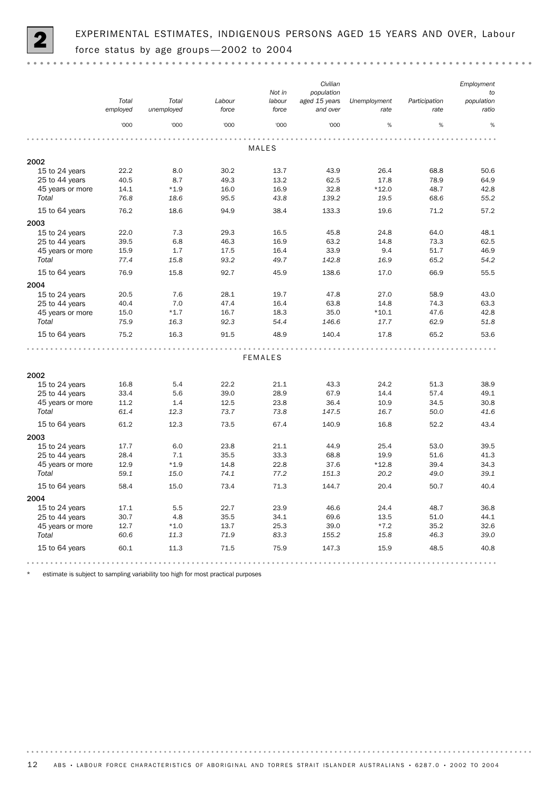

EXPERIMENTAL ESTIMATES, INDIGENOUS PERSONS AGED 15 YEARS AND OVER, Labour force status by age groups -2002 to 2004

|                  |                   |                     |                 | Not in          | Civilian<br>population    |                      |                       | Employment<br>to    |
|------------------|-------------------|---------------------|-----------------|-----------------|---------------------------|----------------------|-----------------------|---------------------|
|                  | Total<br>employed | Total<br>unemployed | Labour<br>force | labour<br>force | aged 15 years<br>and over | Unemployment<br>rate | Participation<br>rate | population<br>ratio |
|                  | '000              | '000                | '000            | '000            | '000                      | %                    | %                     | $\%$                |
|                  |                   |                     |                 |                 |                           |                      |                       |                     |
|                  |                   |                     |                 | <b>MALES</b>    |                           |                      |                       |                     |
| 2002             |                   |                     |                 |                 |                           |                      |                       |                     |
| 15 to 24 years   | 22.2              | 8.0                 | 30.2            | 13.7            | 43.9                      | 26.4                 | 68.8                  | 50.6                |
| 25 to 44 years   | 40.5              | 8.7                 | 49.3            | 13.2            | 62.5                      | 17.8                 | 78.9                  | 64.9                |
| 45 years or more | 14.1              | $*1.9$              | 16.0            | 16.9            | 32.8                      | $*12.0$              | 48.7                  | 42.8                |
| Total            | 76.8              | 18.6                | 95.5            | 43.8            | 139.2                     | 19.5                 | 68.6                  | 55.2                |
| 15 to 64 years   | 76.2              | 18.6                | 94.9            | 38.4            | 133.3                     | 19.6                 | 71.2                  | 57.2                |
| 2003             |                   |                     |                 |                 |                           |                      |                       |                     |
| 15 to 24 years   | 22.0              | 7.3                 | 29.3            | 16.5            | 45.8                      | 24.8                 | 64.0                  | 48.1                |
| 25 to 44 years   | 39.5              | 6.8                 | 46.3            | 16.9            | 63.2                      | 14.8                 | 73.3                  | 62.5                |
| 45 years or more | 15.9              | 1.7                 | 17.5            | 16.4            | 33.9                      | 9.4                  | 51.7                  | 46.9                |
| Total            | 77.4              | 15.8                | 93.2            | 49.7            | 142.8                     | 16.9                 | 65.2                  | 54.2                |
| 15 to 64 years   | 76.9              | 15.8                | 92.7            | 45.9            | 138.6                     | 17.0                 | 66.9                  | 55.5                |
| 2004             |                   |                     |                 |                 |                           |                      |                       |                     |
| 15 to 24 years   | 20.5              | 7.6                 | 28.1            | 19.7            | 47.8                      | 27.0                 | 58.9                  | 43.0                |
| 25 to 44 years   | 40.4              | 7.0                 | 47.4            | 16.4            | 63.8                      | 14.8                 | 74.3                  | 63.3                |
| 45 years or more | 15.0              | $*1.7$              | 16.7            | 18.3            | 35.0                      | $*10.1$              | 47.6                  | 42.8                |
| Total            | 75.9              | 16.3                | 92.3            | 54.4            | 146.6                     | 17.7                 | 62.9                  | 51.8                |
| 15 to 64 years   | 75.2              | 16.3                | 91.5            | 48.9            | 140.4                     | 17.8                 | 65.2                  | 53.6                |
|                  |                   |                     |                 |                 |                           |                      |                       |                     |
|                  |                   |                     |                 | <b>FEMALES</b>  |                           |                      |                       |                     |
| 2002             |                   |                     |                 |                 |                           |                      |                       |                     |
| 15 to 24 years   | 16.8              | 5.4                 | 22.2            | 21.1            | 43.3                      | 24.2                 | 51.3                  | 38.9                |
| 25 to 44 years   | 33.4              | 5.6                 | 39.0            | 28.9            | 67.9                      | 14.4                 | 57.4                  | 49.1                |
| 45 years or more | 11.2              | 1.4                 | 12.5            | 23.8            | 36.4                      | 10.9                 | 34.5                  | 30.8                |
| Total            | 61.4              | 12.3                | 73.7            | 73.8            | 147.5                     | 16.7                 | 50.0                  | 41.6                |
| 15 to 64 years   | 61.2              | 12.3                | 73.5            | 67.4            | 140.9                     | 16.8                 | 52.2                  | 43.4                |
| 2003             |                   |                     |                 |                 |                           |                      |                       |                     |
| 15 to 24 years   | 17.7              | 6.0                 | 23.8            | 21.1            | 44.9                      | 25.4                 | 53.0                  | 39.5                |
| 25 to 44 years   | 28.4              | 7.1                 | 35.5            | 33.3            | 68.8                      | 19.9                 | 51.6                  | 41.3                |
| 45 years or more | 12.9              | $*1.9$              | 14.8            | 22.8            | 37.6                      | $*12.8$              | 39.4                  | 34.3                |
| Total            | 59.1              | 15.0                | 74.1            | 77.2            | 151.3                     | 20.2                 | 49.0                  | 39.1                |
| 15 to 64 years   | 58.4              | 15.0                | 73.4            | 71.3            | 144.7                     | 20.4                 | 50.7                  | 40.4                |
| 2004             |                   |                     |                 |                 |                           |                      |                       |                     |
| 15 to 24 years   | 17.1              | 5.5                 | 22.7            | 23.9            | 46.6                      | 24.4                 | 48.7                  | 36.8                |
| 25 to 44 years   | 30.7              | 4.8                 | 35.5            | 34.1            | 69.6                      | 13.5                 | 51.0                  | 44.1                |
| 45 years or more | 12.7              | $*1.0$              | 13.7            | 25.3            | 39.0                      | $*7.2$               | 35.2                  | 32.6                |
| Total            | 60.6              | 11.3                | 71.9            | 83.3            | 155.2                     | 15.8                 | 46.3                  | 39.0                |
| 15 to 64 years   | 60.1              | 11.3                | 71.5            | 75.9            | 147.3                     | 15.9                 | 48.5                  | 40.8                |
|                  |                   |                     |                 |                 |                           |                      |                       |                     |

\* estimate is subject to sampling variability too high for most practical purposes

. . . . . . . . .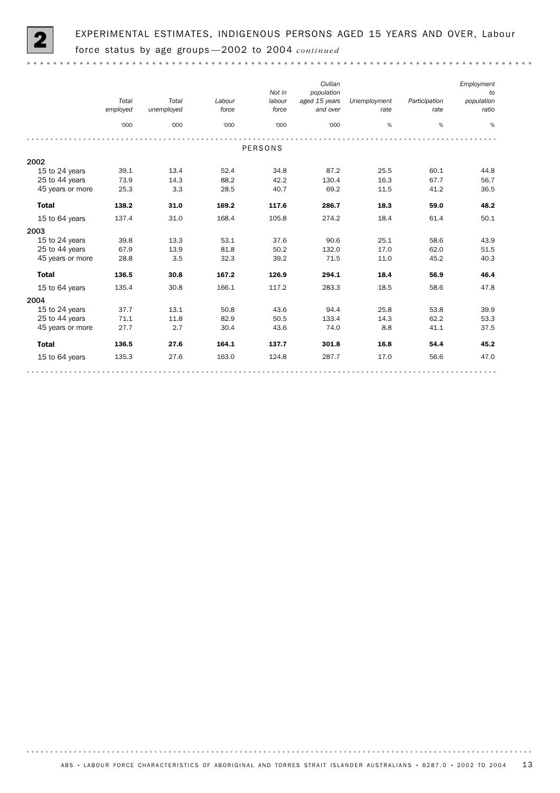

. . . . . . . . . . .

|                  | Total<br>employed<br>'000 | Total<br>unemployed<br>'000 | Labour<br>force<br>'000 | Not in<br>labour<br>force<br>'000 | Civilian<br>population<br>aged 15 years<br>and over<br>'000 | Unemployment<br>rate<br>% | Participation<br>rate<br>% | Employment<br>to<br>population<br>ratio<br>% |  |  |  |  |
|------------------|---------------------------|-----------------------------|-------------------------|-----------------------------------|-------------------------------------------------------------|---------------------------|----------------------------|----------------------------------------------|--|--|--|--|
|                  |                           |                             |                         |                                   |                                                             |                           |                            |                                              |  |  |  |  |
| <b>PERSONS</b>   |                           |                             |                         |                                   |                                                             |                           |                            |                                              |  |  |  |  |
| 2002             |                           |                             |                         |                                   |                                                             |                           |                            |                                              |  |  |  |  |
| 15 to 24 years   | 39.1                      | 13.4                        | 52.4                    | 34.8                              | 87.2                                                        | 25.5                      | 60.1                       | 44.8                                         |  |  |  |  |
| 25 to 44 years   | 73.9                      | 14.3                        | 88.2                    | 42.2                              | 130.4                                                       | 16.3                      | 67.7                       | 56.7                                         |  |  |  |  |
| 45 years or more | 25.3                      | 3.3                         | 28.5                    | 40.7                              | 69.2                                                        | 11.5                      | 41.2                       | 36.5                                         |  |  |  |  |
| <b>Total</b>     | 138.2                     | 31.0                        | 169.2                   | 117.6                             | 286.7                                                       | 18.3                      | 59.0                       | 48.2                                         |  |  |  |  |
| 15 to 64 years   | 137.4                     | 31.0                        | 168.4                   | 105.8                             | 274.2                                                       | 18.4                      | 61.4                       | 50.1                                         |  |  |  |  |
| 2003             |                           |                             |                         |                                   |                                                             |                           |                            |                                              |  |  |  |  |
| 15 to 24 years   | 39.8                      | 13.3                        | 53.1                    | 37.6                              | 90.6                                                        | 25.1                      | 58.6                       | 43.9                                         |  |  |  |  |
| 25 to 44 years   | 67.9                      | 13.9                        | 81.8                    | 50.2                              | 132.0                                                       | 17.0                      | 62.0                       | 51.5                                         |  |  |  |  |
| 45 years or more | 28.8                      | 3.5                         | 32.3                    | 39.2                              | 71.5                                                        | 11.0                      | 45.2                       | 40.3                                         |  |  |  |  |
| <b>Total</b>     | 136.5                     | 30.8                        | 167.2                   | 126.9                             | 294.1                                                       | 18.4                      | 56.9                       | 46.4                                         |  |  |  |  |
| 15 to 64 years   | 135.4                     | 30.8                        | 166.1                   | 117.2                             | 283.3                                                       | 18.5                      | 58.6                       | 47.8                                         |  |  |  |  |
| 2004             |                           |                             |                         |                                   |                                                             |                           |                            |                                              |  |  |  |  |
| 15 to 24 years   | 37.7                      | 13.1                        | 50.8                    | 43.6                              | 94.4                                                        | 25.8                      | 53.8                       | 39.9                                         |  |  |  |  |
| 25 to 44 years   | 71.1                      | 11.8                        | 82.9                    | 50.5                              | 133.4                                                       | 14.3                      | 62.2                       | 53.3                                         |  |  |  |  |
| 45 years or more | 27.7                      | 2.7                         | 30.4                    | 43.6                              | 74.0                                                        | 8.8                       | 41.1                       | 37.5                                         |  |  |  |  |
| <b>Total</b>     | 136.5                     | 27.6                        | 164.1                   | 137.7                             | 301.8                                                       | 16.8                      | 54.4                       | 45.2                                         |  |  |  |  |
| 15 to 64 years   | 135.3                     | 27.6                        | 163.0                   | 124.8                             | 287.7                                                       | 17.0                      | 56.6                       | 47.0                                         |  |  |  |  |
|                  |                           |                             |                         |                                   |                                                             |                           |                            |                                              |  |  |  |  |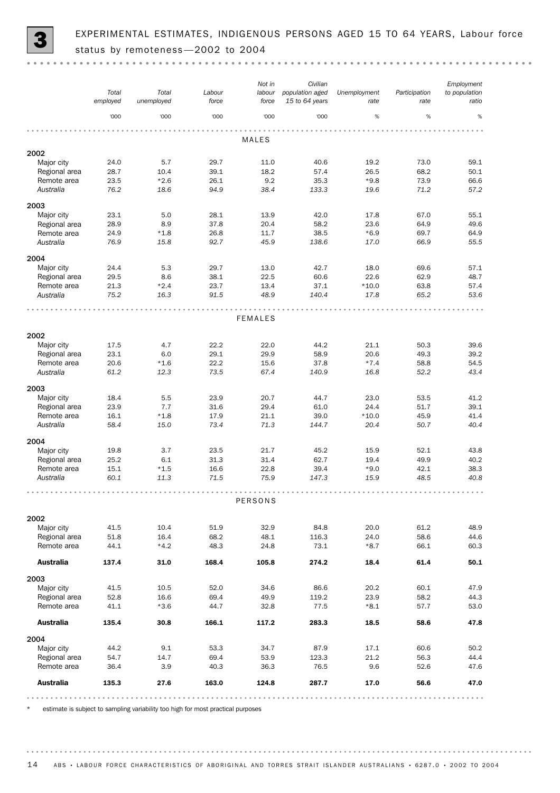

EXPERIMENTAL ESTIMATES, INDIGENOUS PERSONS AGED 15 TO 64 YEARS, Labour force status by remoteness -2002 to 2004

|                              |              |                |              | Not in         | Civilian        |                |               | Employment    |
|------------------------------|--------------|----------------|--------------|----------------|-----------------|----------------|---------------|---------------|
|                              | Total        | Total          | Labour       | labour         | population aged | Unemployment   | Participation | to population |
|                              | employed     | unemployed     | force        | force          | 15 to 64 years  | rate           | rate          | ratio         |
|                              |              |                |              |                |                 | %              | %             | %             |
|                              | '000         | '000           | '000         | '000           | '000            |                |               |               |
|                              |              |                |              |                |                 |                |               |               |
|                              |              |                |              | <b>MALES</b>   |                 |                |               |               |
| 2002                         |              |                |              |                |                 |                |               |               |
| Major city                   | 24.0         | 5.7            | 29.7         | 11.0           | 40.6            | 19.2           | 73.0          | 59.1          |
| Regional area                | 28.7         | 10.4           | 39.1         | 18.2           | 57.4            | 26.5           | 68.2          | 50.1          |
| Remote area                  | 23.5         | $*2.6$         | 26.1         | 9.2            | 35.3            | $*9.8$         | 73.9          | 66.6          |
| Australia                    | 76.2         | 18.6           | 94.9         | 38.4           | 133.3           | 19.6           | 71.2          | 57.2          |
| 2003                         |              |                |              |                |                 |                |               |               |
| Major city                   | 23.1         | 5.0            | 28.1         | 13.9           | 42.0            | 17.8           | 67.0          | 55.1          |
| Regional area                | 28.9         | 8.9            | 37.8         | 20.4           | 58.2            | 23.6           | 64.9          | 49.6          |
| Remote area                  | 24.9         | $*1.8$         | 26.8         | 11.7           | 38.5            | $*6.9$         | 69.7          | 64.9          |
| Australia                    | 76.9         | 15.8           | 92.7         | 45.9           | 138.6           | 17.0           | 66.9          | 55.5          |
|                              |              |                |              |                |                 |                |               |               |
| 2004                         |              |                |              |                |                 |                |               |               |
| Major city                   | 24.4         | 5.3            | 29.7         | 13.0           | 42.7            | 18.0           | 69.6          | 57.1          |
| Regional area                | 29.5         | 8.6            | 38.1         | 22.5           | 60.6            | 22.6           | 62.9          | 48.7          |
| Remote area                  | 21.3         | $*2.4$         | 23.7         | 13.4           | 37.1            | $*10.0$        | 63.8          | 57.4          |
| Australia                    | 75.2         | 16.3           | 91.5         | 48.9           | 140.4           | 17.8           | 65.2          | 53.6          |
|                              |              |                |              |                |                 |                |               |               |
|                              |              |                |              | <b>FEMALES</b> |                 |                |               |               |
|                              |              |                |              |                |                 |                |               |               |
| 2002                         |              |                |              |                |                 |                |               |               |
| Major city                   | 17.5         | 4.7            | 22.2         | 22.0           | 44.2            | 21.1           | 50.3          | 39.6          |
| Regional area                | 23.1         | 6.0            | 29.1         | 29.9           | 58.9            | 20.6           | 49.3          | 39.2          |
| Remote area                  | 20.6         | $*1.6$         | 22.2         | 15.6           | 37.8            | $*7.4$         | 58.8          | 54.5          |
| Australia                    | 61.2         | 12.3           | 73.5         | 67.4           | 140.9           | 16.8           | 52.2          | 43.4          |
|                              |              |                |              |                |                 |                |               |               |
| 2003                         |              |                |              |                |                 |                |               |               |
| Major city                   | 18.4         | 5.5            | 23.9         | 20.7           | 44.7            | 23.0           | 53.5          | 41.2          |
| Regional area                | 23.9         | 7.7            | 31.6         | 29.4           | 61.0            | 24.4           | 51.7          | 39.1          |
| Remote area                  | 16.1         | $*1.8$         | 17.9         | 21.1           | 39.0            | $*10.0$        | 45.9          | 41.4          |
| Australia                    | 58.4         | 15.0           | 73.4         | 71.3           | 144.7           | 20.4           | 50.7          | 40.4          |
| 2004                         |              |                |              |                |                 |                |               |               |
| Major city                   | 19.8         | 3.7            | 23.5         | 21.7           | 45.2            | 15.9           | 52.1          | 43.8          |
| Regional area                | 25.2         | 6.1            | 31.3         | 31.4           | 62.7            | 19.4           | 49.9          | 40.2          |
| Remote area                  | 15.1         | $*1.5$         | 16.6         | 22.8           | 39.4            | $*9.0$         | 42.1          | 38.3          |
| Australia                    | 60.1         | 11.3           | 71.5         | 75.9           | 147.3           | 15.9           | 48.5          | 40.8          |
|                              |              |                |              |                |                 |                |               |               |
|                              |              |                |              |                |                 |                |               |               |
|                              |              |                |              | PERSONS        |                 |                |               |               |
|                              |              |                |              |                |                 |                |               |               |
| 2002<br>Major city           | 41.5         | 10.4           |              | 32.9           | 84.8            | 20.0           | 61.2          | 48.9          |
|                              |              |                | 51.9         |                |                 |                |               |               |
| Regional area<br>Remote area | 51.8<br>44.1 | 16.4<br>$*4.2$ | 68.2<br>48.3 | 48.1<br>24.8   | 116.3<br>73.1   | 24.0<br>$*8.7$ | 58.6<br>66.1  | 44.6<br>60.3  |
|                              |              |                |              |                |                 |                |               |               |
| <b>Australia</b>             | 137.4        | 31.0           | 168.4        | 105.8          | 274.2           | 18.4           | 61.4          | 50.1          |
|                              |              |                |              |                |                 |                |               |               |
| 2003                         |              |                |              |                |                 |                |               |               |
| Major city                   | 41.5         | 10.5           | 52.0         | 34.6           | 86.6            | 20.2           | 60.1          | 47.9          |
| Regional area                | 52.8         | 16.6           | 69.4         | 49.9           | 119.2           | 23.9           | 58.2          | 44.3          |
| Remote area                  | 41.1         | $*3.6$         | 44.7         | 32.8           | 77.5            | $*8.1$         | 57.7          | 53.0          |
| <b>Australia</b>             | 135.4        | 30.8           | 166.1        | 117.2          | 283.3           | 18.5           | 58.6          | 47.8          |
|                              |              |                |              |                |                 |                |               |               |
| 2004                         |              |                |              |                |                 |                |               |               |
| Major city                   | 44.2         | 9.1            | 53.3         | 34.7           | 87.9            | 17.1           | 60.6          | 50.2          |
| Regional area                | 54.7         | 14.7           | 69.4         | 53.9           | 123.3           | 21.2           | 56.3          | 44.4          |
| Remote area                  | 36.4         | 3.9            | 40.3         | 36.3           | 76.5            | 9.6            | 52.6          | 47.6          |
|                              |              |                |              |                |                 |                |               |               |
| <b>Australia</b>             | 135.3        | 27.6           | 163.0        | 124.8          | 287.7           | 17.0           | 56.6          | 47.0          |
|                              |              |                |              |                |                 |                |               |               |

estimate is subject to sampling variability too high for most practical purposes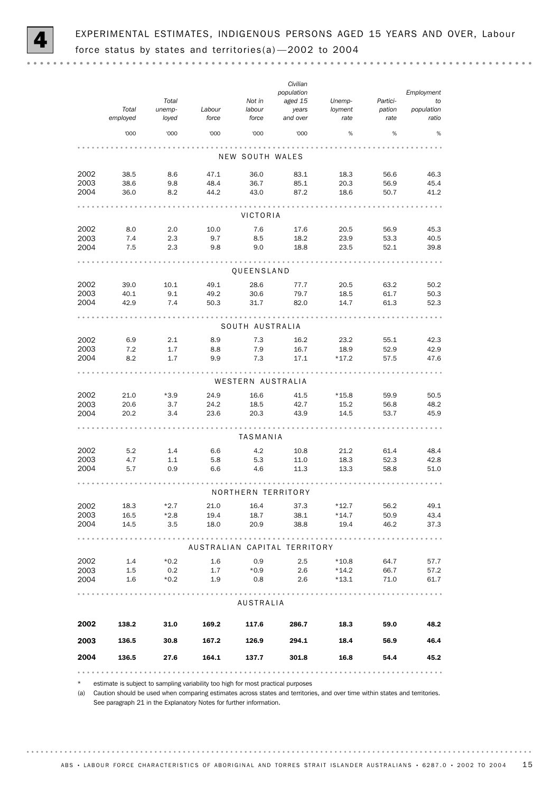

. . . . . . . .

|                 | Total<br>employed | Total<br>unemp-<br>loyed | Labour<br>force | Not in<br>labour<br>force | Civilian<br>population<br>aged 15<br>years<br>and over | Unemp-<br>loyment<br>rate | Partici-<br>pation<br>rate | Employment<br>to<br>population<br>ratio |  |
|-----------------|-------------------|--------------------------|-----------------|---------------------------|--------------------------------------------------------|---------------------------|----------------------------|-----------------------------------------|--|
|                 | '000              | '000                     | '000            | '000                      | '000                                                   | %                         | %                          | $\%$                                    |  |
| NEW SOUTH WALES |                   |                          |                 |                           |                                                        |                           |                            |                                         |  |
| 2002            | 38.5              | 8.6                      | 47.1            | 36.0                      | 83.1                                                   | 18.3                      | 56.6                       | 46.3                                    |  |
| 2003<br>2004    | 38.6<br>36.0      | 9.8<br>8.2               | 48.4<br>44.2    | 36.7<br>43.0              | 85.1<br>87.2                                           | 20.3<br>18.6              | 56.9<br>50.7               | 45.4<br>41.2                            |  |
|                 |                   |                          |                 | VICTORIA                  |                                                        |                           |                            |                                         |  |
| 2002            | 8.0               | 2.0                      | 10.0            | 7.6                       | 17.6                                                   | 20.5                      | 56.9                       | 45.3                                    |  |
| 2003<br>2004    | 7.4<br>7.5        | 2.3<br>2.3               | 9.7<br>9.8      | 8.5<br>9.0                | 18.2<br>18.8                                           | 23.9<br>23.5              | 53.3<br>52.1               | 40.5<br>39.8                            |  |
|                 |                   |                          |                 | <b>QUEENSLAND</b>         |                                                        |                           |                            |                                         |  |
| 2002            | 39.0              | 10.1                     | 49.1            | 28.6                      | 77.7                                                   | 20.5                      | 63.2                       | 50.2                                    |  |
| 2003<br>2004    | 40.1<br>42.9      | 9.1<br>7.4               | 49.2<br>50.3    | 30.6<br>31.7              | 79.7<br>82.0                                           | 18.5<br>14.7              | 61.7<br>61.3               | 50.3<br>52.3                            |  |
|                 |                   |                          |                 |                           |                                                        |                           |                            |                                         |  |
|                 |                   |                          |                 | SOUTH AUSTRALIA           |                                                        |                           |                            |                                         |  |
| 2002<br>2003    | 6.9<br>7.2        | 2.1<br>1.7               | 8.9<br>8.8      | 7.3<br>7.9                | 16.2<br>16.7                                           | 23.2<br>18.9              | 55.1<br>52.9               | 42.3<br>42.9                            |  |
| 2004            | 8.2               | 1.7                      | 9.9             | 7.3                       | 17.1                                                   | $*17.2$                   | 57.5                       | 47.6                                    |  |
|                 |                   |                          |                 | WESTERN AUSTRALIA         |                                                        |                           |                            |                                         |  |
| 2002            | 21.0              | $*3.9$                   | 24.9            | 16.6                      | 41.5                                                   | $*15.8$                   | 59.9                       | 50.5                                    |  |
| 2003<br>2004    | 20.6<br>20.2      | 3.7<br>3.4               | 24.2<br>23.6    | 18.5<br>20.3              | 42.7<br>43.9                                           | 15.2<br>14.5              | 56.8<br>53.7               | 48.2<br>45.9                            |  |
|                 |                   |                          |                 | TASMANIA                  |                                                        |                           |                            |                                         |  |
| 2002            | 5.2               | 1.4                      | 6.6             | 4.2                       | 10.8                                                   | 21.2                      | 61.4                       | 48.4                                    |  |
| 2003            | 4.7               | 1.1                      | 5.8             | 5.3                       | 11.0                                                   | 18.3                      | 52.3                       | 42.8                                    |  |
| 2004            | 5.7               | 0.9                      | 6.6             | 4.6                       | 11.3                                                   | 13.3                      | 58.8                       | 51.0                                    |  |
|                 |                   |                          |                 |                           | NORTHERN TERRITORY                                     |                           |                            |                                         |  |
| 2002<br>2003    | 18.3<br>16.5      | $*2.7$<br>$*2.8$         | 21.0<br>19.4    | 16.4<br>18.7              | 37.3<br>38.1                                           | $*12.7$<br>$*14.7$        | 56.2<br>50.9               | 49.1<br>43.4                            |  |
| 2004            | 14.5              |                          | $3.5$ 18.0      | 20.9                      | 38.8                                                   |                           | 19.4 46.2                  | 37.3                                    |  |
|                 |                   |                          |                 |                           | AUSTRALIAN CAPITAL TERRITORY                           |                           |                            |                                         |  |
| 2002            |                   | $1.4$ $*0.2$ $1.6$       |                 | 0.9                       | 2.5                                                    |                           | $*10.8$ 64.7               | 57.7                                    |  |
| 2003<br>2004    | 1.5<br>1.6        | 0.2<br>$*0.2$            | 1.9             | $1.7$ *0.9<br>0.8         | 2.6<br>2.6                                             | $*14.2$<br>$*13.1$        | 66.7<br>71.0               | 57.2<br>61.7                            |  |
|                 |                   |                          |                 |                           |                                                        |                           |                            |                                         |  |
|                 |                   |                          |                 | AUSTRALIA                 |                                                        |                           |                            |                                         |  |
| 2002            |                   | 138.2 31.0               | 169.2           | 117.6                     | 286.7                                                  | 18.3                      | 59.0                       | 48.2                                    |  |
| 2003            | 136.5             | 30.8                     |                 | 167.2 126.9               | 294.1                                                  |                           | 18.4 56.9                  | 46.4                                    |  |
| 2004            | 136.5             | 27.6                     |                 | 164.1 137.7               | 301.8                                                  | 16.8                      | 54.4                       | 45.2                                    |  |
|                 |                   |                          |                 |                           |                                                        |                           |                            |                                         |  |

estimate is subject to sampling variability too high for most practical purposes

(a) Caution should be used when comparing estimates across states and territories, and over time within states and territories. See paragraph 21 in the Explanatory Notes for further information.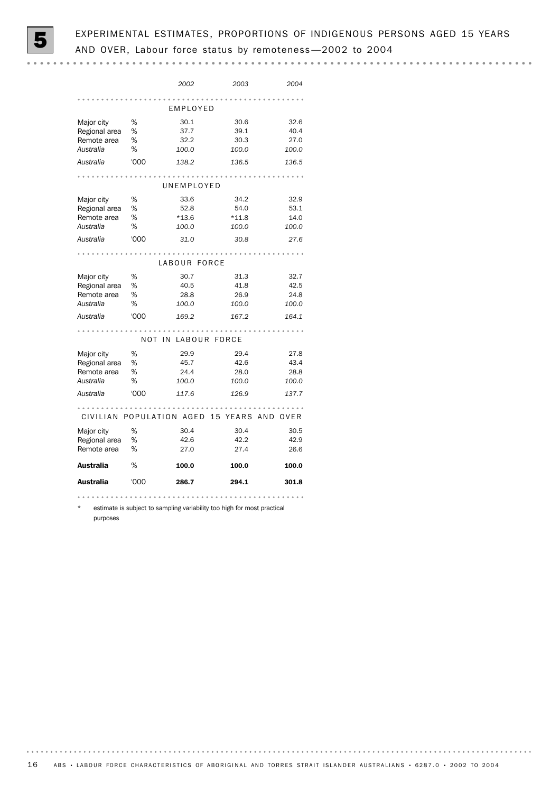

# EXPERIMENTAL ESTIMATES, PROPORTIONS OF INDIGENOUS PERSONS AGED 15 YEARS AND OVER, Labour force status by remoteness —2002 to 2004

|                                                         |                     | 2002                             | 2003                             | 2004                          |  |  |  |
|---------------------------------------------------------|---------------------|----------------------------------|----------------------------------|-------------------------------|--|--|--|
|                                                         |                     | EMPLOYED                         |                                  |                               |  |  |  |
| Major city<br>Regional area<br>Remote area<br>Australia | %<br>%<br>%<br>%    | 30.1<br>37.7<br>32.2<br>100.0    | 30.6<br>39.1<br>30.3<br>100.0    | 32.6<br>40.4<br>27.0<br>100.0 |  |  |  |
| Australia                                               | '000                | 138.2                            | 136.5                            | 136.5                         |  |  |  |
|                                                         |                     | UNEMPLOYED                       |                                  |                               |  |  |  |
| Major city<br>Regional area<br>Remote area<br>Australia | %<br>%<br>%<br>%    | 33.6<br>52.8<br>$*13.6$<br>100.0 | 34.2<br>54.0<br>$*11.8$<br>100.0 | 32.9<br>53.1<br>14.0<br>100.0 |  |  |  |
| Australia                                               | '000                | 31.0                             | 30.8                             | 27.6                          |  |  |  |
|                                                         |                     | LABOUR FORCE                     |                                  |                               |  |  |  |
| Major city<br>Regional area<br>Remote area<br>Australia | %<br>%<br>%<br>$\%$ | 30.7<br>40.5<br>28.8<br>100.0    | 31.3<br>41.8<br>26.9<br>100.0    | 32.7<br>42.5<br>24.8<br>100.0 |  |  |  |
| Australia                                               | '000                | 169.2                            | 167.2                            | 164.1                         |  |  |  |
| NOT IN LABOUR FORCE                                     |                     |                                  |                                  |                               |  |  |  |
| Major city<br>Regional area<br>Remote area<br>Australia | %<br>%<br>%<br>%    | 29.9<br>45.7<br>24.4<br>100.0    | 29.4<br>42.6<br>28.0<br>100.0    | 27.8<br>43.4<br>28.8<br>100.0 |  |  |  |
| Australia                                               | '000                | 117.6                            | 126.9                            | 137.7                         |  |  |  |
| CIVILIAN POPULATION AGED 15 YEARS AND<br>OVER           |                     |                                  |                                  |                               |  |  |  |
| Major city<br>Regional area<br>Remote area              | %<br>%<br>$\%$      | 30.4<br>42.6<br>27.0             | 30.4<br>42.2<br>27.4             | 30.5<br>42.9<br>26.6          |  |  |  |
| Australia                                               | %                   | 100.0                            | 100.0                            | 100.0                         |  |  |  |
| Australia                                               | '000                | 286.7                            | 294.1                            | 301.8                         |  |  |  |
|                                                         |                     |                                  |                                  |                               |  |  |  |

estimate is subject to sampling variability too high for most practical

purposes

. . . . . . . . .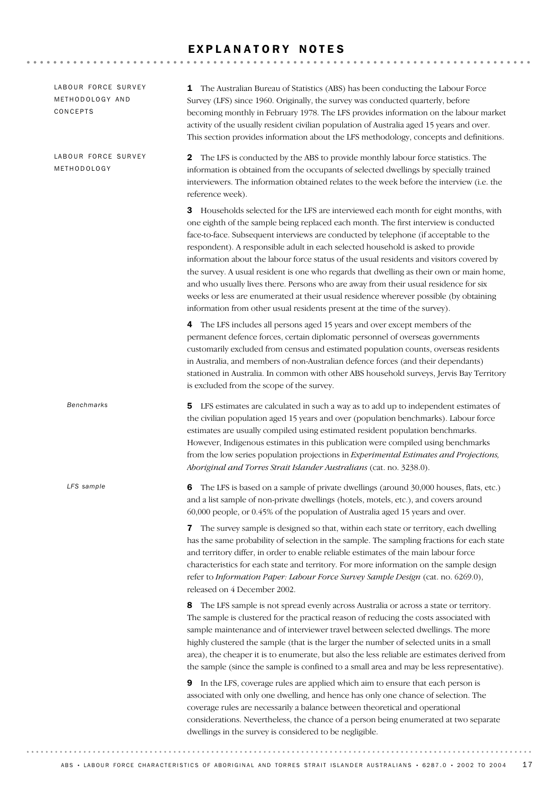# EXPLANATORY NOTES

| LABOUR FORCE SURVEY<br>METHODOLOGY<br><b>Benchmarks</b><br>LFS sample<br>6<br>8                                                                                                                                                                                                                                        | 2 The LFS is conducted by the ABS to provide monthly labour force statistics. The<br>information is obtained from the occupants of selected dwellings by specially trained<br>interviewers. The information obtained relates to the week before the interview (i.e. the<br>reference week).<br><b>3</b> Households selected for the LFS are interviewed each month for eight months, with<br>one eighth of the sample being replaced each month. The first interview is conducted<br>face-to-face. Subsequent interviews are conducted by telephone (if acceptable to the<br>respondent). A responsible adult in each selected household is asked to provide<br>information about the labour force status of the usual residents and visitors covered by<br>the survey. A usual resident is one who regards that dwelling as their own or main home,<br>and who usually lives there. Persons who are away from their usual residence for six<br>weeks or less are enumerated at their usual residence wherever possible (by obtaining<br>information from other usual residents present at the time of the survey).<br>4 The LFS includes all persons aged 15 years and over except members of the<br>permanent defence forces, certain diplomatic personnel of overseas governments |
|------------------------------------------------------------------------------------------------------------------------------------------------------------------------------------------------------------------------------------------------------------------------------------------------------------------------|--------------------------------------------------------------------------------------------------------------------------------------------------------------------------------------------------------------------------------------------------------------------------------------------------------------------------------------------------------------------------------------------------------------------------------------------------------------------------------------------------------------------------------------------------------------------------------------------------------------------------------------------------------------------------------------------------------------------------------------------------------------------------------------------------------------------------------------------------------------------------------------------------------------------------------------------------------------------------------------------------------------------------------------------------------------------------------------------------------------------------------------------------------------------------------------------------------------------------------------------------------------------------------------|
|                                                                                                                                                                                                                                                                                                                        |                                                                                                                                                                                                                                                                                                                                                                                                                                                                                                                                                                                                                                                                                                                                                                                                                                                                                                                                                                                                                                                                                                                                                                                                                                                                                      |
|                                                                                                                                                                                                                                                                                                                        |                                                                                                                                                                                                                                                                                                                                                                                                                                                                                                                                                                                                                                                                                                                                                                                                                                                                                                                                                                                                                                                                                                                                                                                                                                                                                      |
|                                                                                                                                                                                                                                                                                                                        | customarily excluded from census and estimated population counts, overseas residents<br>in Australia, and members of non-Australian defence forces (and their dependants)<br>stationed in Australia. In common with other ABS household surveys, Jervis Bay Territory<br>is excluded from the scope of the survey.                                                                                                                                                                                                                                                                                                                                                                                                                                                                                                                                                                                                                                                                                                                                                                                                                                                                                                                                                                   |
|                                                                                                                                                                                                                                                                                                                        | <b>5</b> LFS estimates are calculated in such a way as to add up to independent estimates of<br>the civilian population aged 15 years and over (population benchmarks). Labour force<br>estimates are usually compiled using estimated resident population benchmarks.<br>However, Indigenous estimates in this publication were compiled using benchmarks<br>from the low series population projections in Experimental Estimates and Projections,<br>Aboriginal and Torres Strait Islander Australians (cat. no. 3238.0).                                                                                                                                                                                                                                                                                                                                                                                                                                                                                                                                                                                                                                                                                                                                                          |
|                                                                                                                                                                                                                                                                                                                        | The LFS is based on a sample of private dwellings (around 30,000 houses, flats, etc.)<br>and a list sample of non-private dwellings (hotels, motels, etc.), and covers around<br>60,000 people, or 0.45% of the population of Australia aged 15 years and over.                                                                                                                                                                                                                                                                                                                                                                                                                                                                                                                                                                                                                                                                                                                                                                                                                                                                                                                                                                                                                      |
|                                                                                                                                                                                                                                                                                                                        | <b>7</b> The survey sample is designed so that, within each state or territory, each dwelling<br>has the same probability of selection in the sample. The sampling fractions for each state<br>and territory differ, in order to enable reliable estimates of the main labour force<br>characteristics for each state and territory. For more information on the sample design<br>refer to Information Paper: Labour Force Survey Sample Design (cat. no. 6269.0),<br>released on 4 December 2002.                                                                                                                                                                                                                                                                                                                                                                                                                                                                                                                                                                                                                                                                                                                                                                                   |
|                                                                                                                                                                                                                                                                                                                        | The LFS sample is not spread evenly across Australia or across a state or territory.<br>The sample is clustered for the practical reason of reducing the costs associated with<br>sample maintenance and of interviewer travel between selected dwellings. The more<br>highly clustered the sample (that is the larger the number of selected units in a small<br>area), the cheaper it is to enumerate, but also the less reliable are estimates derived from<br>the sample (since the sample is confined to a small area and may be less representative).                                                                                                                                                                                                                                                                                                                                                                                                                                                                                                                                                                                                                                                                                                                          |
| associated with only one dwelling, and hence has only one chance of selection. The<br>coverage rules are necessarily a balance between theoretical and operational<br>considerations. Nevertheless, the chance of a person being enumerated at two separate<br>dwellings in the survey is considered to be negligible. | 9 In the LFS, coverage rules are applied which aim to ensure that each person is                                                                                                                                                                                                                                                                                                                                                                                                                                                                                                                                                                                                                                                                                                                                                                                                                                                                                                                                                                                                                                                                                                                                                                                                     |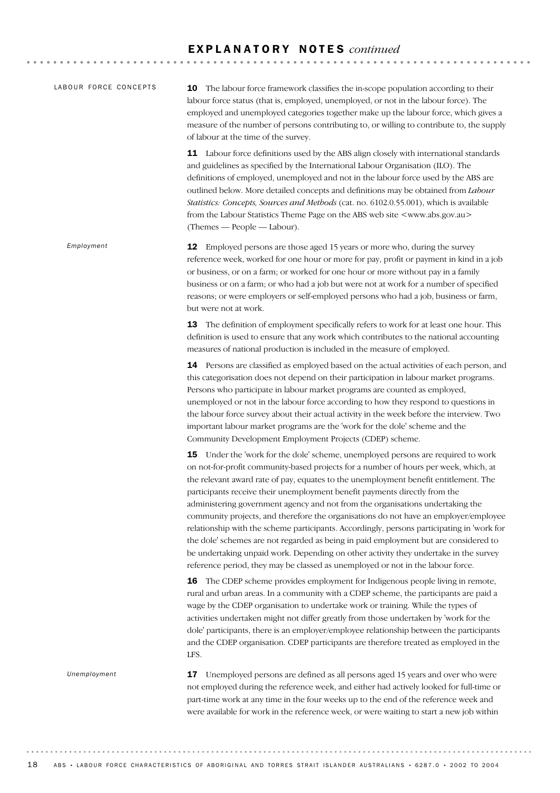# E X P L A N A T O R Y N O T E S *continued*

| LABOUR FORCE CONCEPTS | 10 The labour force framework classifies the in-scope population according to their<br>labour force status (that is, employed, unemployed, or not in the labour force). The<br>employed and unemployed categories together make up the labour force, which gives a<br>measure of the number of persons contributing to, or willing to contribute to, the supply<br>of labour at the time of the survey.                                                                                                                                                                                                                                                                                                                                                                                                                                                                                   |  |  |  |  |  |  |
|-----------------------|-------------------------------------------------------------------------------------------------------------------------------------------------------------------------------------------------------------------------------------------------------------------------------------------------------------------------------------------------------------------------------------------------------------------------------------------------------------------------------------------------------------------------------------------------------------------------------------------------------------------------------------------------------------------------------------------------------------------------------------------------------------------------------------------------------------------------------------------------------------------------------------------|--|--|--|--|--|--|
|                       | 11 Labour force definitions used by the ABS align closely with international standards<br>and guidelines as specified by the International Labour Organisation (ILO). The<br>definitions of employed, unemployed and not in the labour force used by the ABS are<br>outlined below. More detailed concepts and definitions may be obtained from Labour<br>Statistics: Concepts, Sources and Methods (cat. no. 6102.0.55.001), which is available<br>from the Labour Statistics Theme Page on the ABS web site <www.abs.gov.au><br/>(Themes - People - Labour).</www.abs.gov.au>                                                                                                                                                                                                                                                                                                           |  |  |  |  |  |  |
| Employment            | Employed persons are those aged 15 years or more who, during the survey<br>12<br>reference week, worked for one hour or more for pay, profit or payment in kind in a job<br>or business, or on a farm; or worked for one hour or more without pay in a family<br>business or on a farm; or who had a job but were not at work for a number of specified<br>reasons; or were employers or self-employed persons who had a job, business or farm,<br>but were not at work.                                                                                                                                                                                                                                                                                                                                                                                                                  |  |  |  |  |  |  |
|                       | The definition of employment specifically refers to work for at least one hour. This<br>13<br>definition is used to ensure that any work which contributes to the national accounting<br>measures of national production is included in the measure of employed.                                                                                                                                                                                                                                                                                                                                                                                                                                                                                                                                                                                                                          |  |  |  |  |  |  |
|                       | 14 Persons are classified as employed based on the actual activities of each person, and<br>this categorisation does not depend on their participation in labour market programs.<br>Persons who participate in labour market programs are counted as employed,<br>unemployed or not in the labour force according to how they respond to questions in<br>the labour force survey about their actual activity in the week before the interview. Two<br>important labour market programs are the 'work for the dole' scheme and the<br>Community Development Employment Projects (CDEP) scheme.                                                                                                                                                                                                                                                                                            |  |  |  |  |  |  |
|                       | 15 Under the 'work for the dole' scheme, unemployed persons are required to work<br>on not-for-profit community-based projects for a number of hours per week, which, at<br>the relevant award rate of pay, equates to the unemployment benefit entitlement. The<br>participants receive their unemployment benefit payments directly from the<br>administering government agency and not from the organisations undertaking the<br>community projects, and therefore the organisations do not have an employer/employee<br>relationship with the scheme participants. Accordingly, persons participating in 'work for<br>the dole' schemes are not regarded as being in paid employment but are considered to<br>be undertaking unpaid work. Depending on other activity they undertake in the survey<br>reference period, they may be classed as unemployed or not in the labour force. |  |  |  |  |  |  |
|                       | The CDEP scheme provides employment for Indigenous people living in remote,<br>16<br>rural and urban areas. In a community with a CDEP scheme, the participants are paid a<br>wage by the CDEP organisation to undertake work or training. While the types of<br>activities undertaken might not differ greatly from those undertaken by 'work for the<br>dole' participants, there is an employer/employee relationship between the participants<br>and the CDEP organisation. CDEP participants are therefore treated as employed in the<br>LFS.                                                                                                                                                                                                                                                                                                                                        |  |  |  |  |  |  |
| Unemployment          | Unemployed persons are defined as all persons aged 15 years and over who were<br>17<br>not employed during the reference week, and either had actively looked for full-time or<br>part-time work at any time in the four weeks up to the end of the reference week and<br>were available for work in the reference week, or were waiting to start a new job within                                                                                                                                                                                                                                                                                                                                                                                                                                                                                                                        |  |  |  |  |  |  |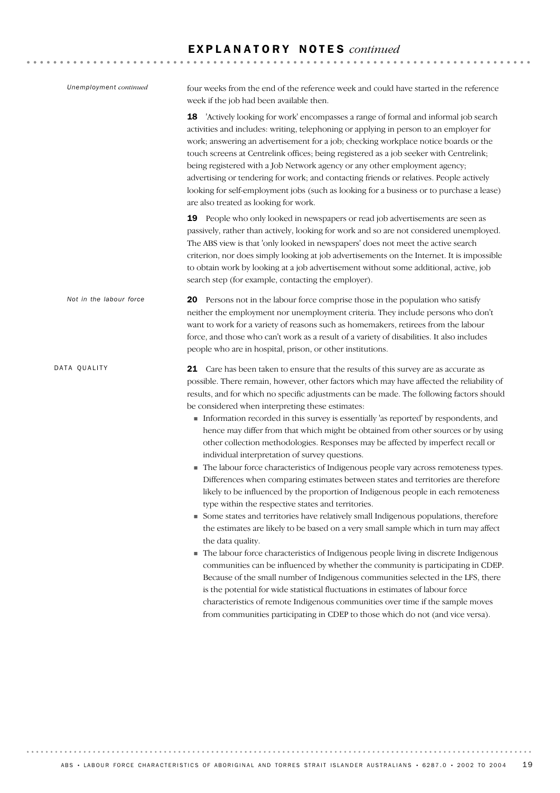# E X P L A N A T O R Y N O T E S *continued*

| Unemployment continued  | four weeks from the end of the reference week and could have started in the reference<br>week if the job had been available then.                                                                                                                                                                                                                                                                                                                                                                                                                                                                                                                                                                                                                                                                                                                                                                                                                                                                                                                                                                                                                                                                                                                                                                                                                                                                                                                                                                                                                                                                                                                                                                         |
|-------------------------|-----------------------------------------------------------------------------------------------------------------------------------------------------------------------------------------------------------------------------------------------------------------------------------------------------------------------------------------------------------------------------------------------------------------------------------------------------------------------------------------------------------------------------------------------------------------------------------------------------------------------------------------------------------------------------------------------------------------------------------------------------------------------------------------------------------------------------------------------------------------------------------------------------------------------------------------------------------------------------------------------------------------------------------------------------------------------------------------------------------------------------------------------------------------------------------------------------------------------------------------------------------------------------------------------------------------------------------------------------------------------------------------------------------------------------------------------------------------------------------------------------------------------------------------------------------------------------------------------------------------------------------------------------------------------------------------------------------|
|                         | 'Actively looking for work' encompasses a range of formal and informal job search<br>18<br>activities and includes: writing, telephoning or applying in person to an employer for<br>work; answering an advertisement for a job; checking workplace notice boards or the<br>touch screens at Centrelink offices; being registered as a job seeker with Centrelink;<br>being registered with a Job Network agency or any other employment agency;<br>advertising or tendering for work; and contacting friends or relatives. People actively<br>looking for self-employment jobs (such as looking for a business or to purchase a lease)<br>are also treated as looking for work.                                                                                                                                                                                                                                                                                                                                                                                                                                                                                                                                                                                                                                                                                                                                                                                                                                                                                                                                                                                                                          |
|                         | 19<br>People who only looked in newspapers or read job advertisements are seen as<br>passively, rather than actively, looking for work and so are not considered unemployed.<br>The ABS view is that 'only looked in newspapers' does not meet the active search<br>criterion, nor does simply looking at job advertisements on the Internet. It is impossible<br>to obtain work by looking at a job advertisement without some additional, active, job<br>search step (for example, contacting the employer).                                                                                                                                                                                                                                                                                                                                                                                                                                                                                                                                                                                                                                                                                                                                                                                                                                                                                                                                                                                                                                                                                                                                                                                            |
| Not in the labour force | 20 Persons not in the labour force comprise those in the population who satisfy<br>neither the employment nor unemployment criteria. They include persons who don't<br>want to work for a variety of reasons such as homemakers, retirees from the labour<br>force, and those who can't work as a result of a variety of disabilities. It also includes<br>people who are in hospital, prison, or other institutions.                                                                                                                                                                                                                                                                                                                                                                                                                                                                                                                                                                                                                                                                                                                                                                                                                                                                                                                                                                                                                                                                                                                                                                                                                                                                                     |
| DATA QUALITY            | 21 Care has been taken to ensure that the results of this survey are as accurate as<br>possible. There remain, however, other factors which may have affected the reliability of<br>results, and for which no specific adjustments can be made. The following factors should<br>be considered when interpreting these estimates:<br>Information recorded in this survey is essentially 'as reported' by respondents, and<br>hence may differ from that which might be obtained from other sources or by using<br>other collection methodologies. Responses may be affected by imperfect recall or<br>individual interpretation of survey questions.<br>The labour force characteristics of Indigenous people vary across remoteness types.<br>×<br>Differences when comparing estimates between states and territories are therefore<br>likely to be influenced by the proportion of Indigenous people in each remoteness<br>type within the respective states and territories.<br>Some states and territories have relatively small Indigenous populations, therefore<br>the estimates are likely to be based on a very small sample which in turn may affect<br>the data quality.<br>The labour force characteristics of Indigenous people living in discrete Indigenous<br>communities can be influenced by whether the community is participating in CDEP.<br>Because of the small number of Indigenous communities selected in the LFS, there<br>is the potential for wide statistical fluctuations in estimates of labour force<br>characteristics of remote Indigenous communities over time if the sample moves<br>from communities participating in CDEP to those which do not (and vice versa). |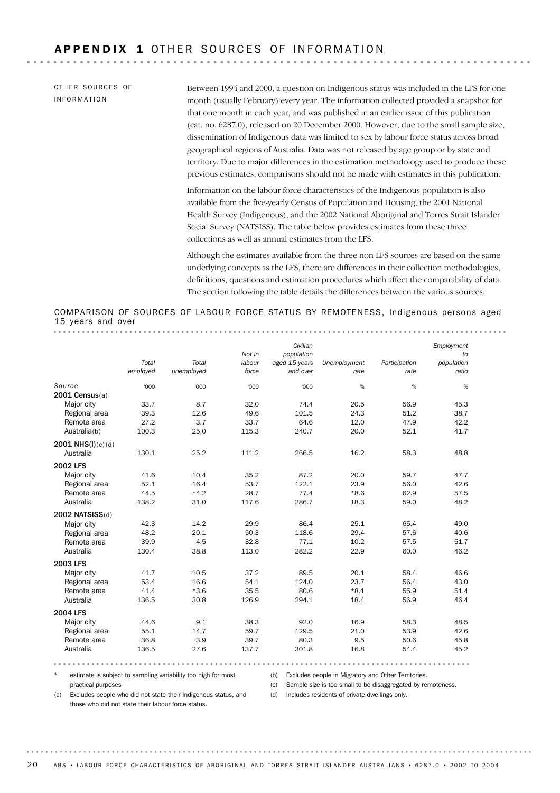OTHER SOURCES OF INFORMATION

Between 1994 and 2000, a question on Indigenous status was included in the LFS for one month (usually February) every year. The information collected provided a snapshot for that one month in each year, and was published in an earlier issue of this publication (cat. no. 6287.0), released on 20 December 2000. However, due to the small sample size, dissemination of Indigenous data was limited to sex by labour force status across broad geographical regions of Australia. Data was not released by age group or by state and territory. Due to major differences in the estimation methodology used to produce these previous estimates, comparisons should not be made with estimates in this publication.

Information on the labour force characteristics of the Indigenous population is also available from the five-yearly Census of Population and Housing, the 2001 National Health Survey (Indigenous), and the 2002 National Aboriginal and Torres Strait Islander Social Survey (NATSISS). The table below provides estimates from these three collections as well as annual estimates from the LFS.

Although the estimates available from the three non LFS sources are based on the same underlying concepts as the LFS, there are differences in their collection methodologies, definitions, questions and estimation procedures which affect the comparability of data. The section following the table details the differences between the various sources.

COMPARISON OF SOURCES OF LABOUR FORCE STATUS BY REMOTENESS, Indigenous persons aged 15 years and over

|                     |          |            | Not in | Civilian<br>population |              |               | Employment<br>to |
|---------------------|----------|------------|--------|------------------------|--------------|---------------|------------------|
|                     | Total    | Total      | labour | aged 15 years          | Unemployment | Participation | population       |
|                     | employed | unemployed | force  | and over               | rate         | rate          | ratio            |
| Source              | '000     | '000       | '000   | '000                   | %            | %             | %                |
| $2001$ Census $(a)$ |          |            |        |                        |              |               |                  |
| Major city          | 33.7     | 8.7        | 32.0   | 74.4                   | 20.5         | 56.9          | 45.3             |
| Regional area       | 39.3     | 12.6       | 49.6   | 101.5                  | 24.3         | 51.2          | 38.7             |
| Remote area         | 27.2     | 3.7        | 33.7   | 64.6                   | 12.0         | 47.9          | 42.2             |
| Australia(b)        | 100.3    | 25.0       | 115.3  | 240.7                  | 20.0         | 52.1          | 41.7             |
| $2001$ NHS(I)(c)(d) |          |            |        |                        |              |               |                  |
| Australia           | 130.1    | 25.2       | 111.2  | 266.5                  | 16.2         | 58.3          | 48.8             |
| <b>2002 LFS</b>     |          |            |        |                        |              |               |                  |
| Major city          | 41.6     | 10.4       | 35.2   | 87.2                   | 20.0         | 59.7          | 47.7             |
| Regional area       | 52.1     | 16.4       | 53.7   | 122.1                  | 23.9         | 56.0          | 42.6             |
| Remote area         | 44.5     | $*4.2$     | 28.7   | 77.4                   | $*8.6$       | 62.9          | 57.5             |
| Australia           | 138.2    | 31.0       | 117.6  | 286.7                  | 18.3         | 59.0          | 48.2             |
| 2002 NATSISS(d)     |          |            |        |                        |              |               |                  |
| Major city          | 42.3     | 14.2       | 29.9   | 86.4                   | 25.1         | 65.4          | 49.0             |
| Regional area       | 48.2     | 20.1       | 50.3   | 118.6                  | 29.4         | 57.6          | 40.6             |
| Remote area         | 39.9     | 4.5        | 32.8   | 77.1                   | 10.2         | 57.5          | 51.7             |
| Australia           | 130.4    | 38.8       | 113.0  | 282.2                  | 22.9         | 60.0          | 46.2             |
| 2003 LFS            |          |            |        |                        |              |               |                  |
| Major city          | 41.7     | 10.5       | 37.2   | 89.5                   | 20.1         | 58.4          | 46.6             |
| Regional area       | 53.4     | 16.6       | 54.1   | 124.0                  | 23.7         | 56.4          | 43.0             |
| Remote area         | 41.4     | $*3.6$     | 35.5   | 80.6                   | $*8.1$       | 55.9          | 51.4             |
| Australia           | 136.5    | 30.8       | 126.9  | 294.1                  | 18.4         | 56.9          | 46.4             |
| 2004 LFS            |          |            |        |                        |              |               |                  |
| Major city          | 44.6     | 9.1        | 38.3   | 92.0                   | 16.9         | 58.3          | 48.5             |
| Regional area       | 55.1     | 14.7       | 59.7   | 129.5                  | 21.0         | 53.9          | 42.6             |
| Remote area         | 36.8     | 3.9        | 39.7   | 80.3                   | 9.5          | 50.6          | 45.8             |
| Australia           | 136.5    | 27.6       | 137.7  | 301.8                  | 16.8         | 54.4          | 45.2             |
|                     |          |            |        |                        |              |               |                  |

\* estimate is subject to sampling variability too high for most practical purposes

(b) Excludes people in Migratory and Other Territories.

(c) Sample size is too small to be disaggregated by remoteness.

(a) Excludes people who did not state their Indigenous status, and those who did not state their labour force status.

(d) Includes residents of private dwellings only.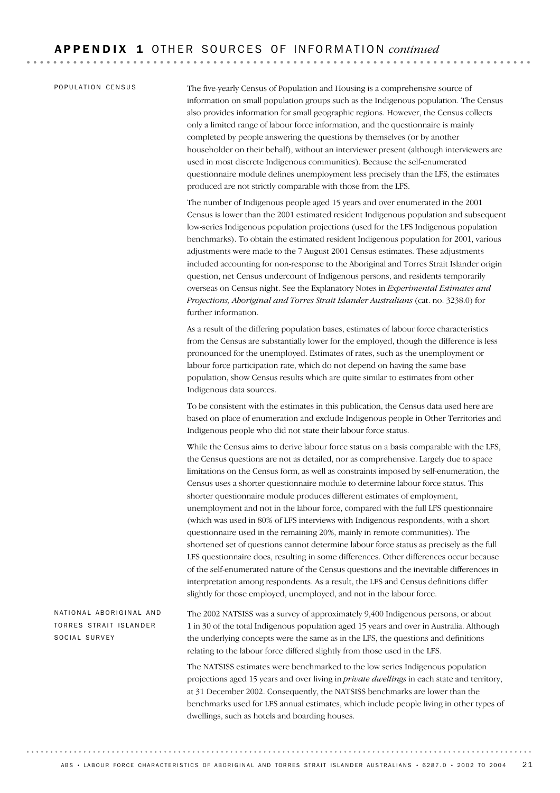#### POPULATION CENSUS

The five-yearly Census of Population and Housing is a comprehensive source of information on small population groups such as the Indigenous population. The Census also provides information for small geographic regions. However, the Census collects only a limited range of labour force information, and the questionnaire is mainly completed by people answering the questions by themselves (or by another householder on their behalf), without an interviewer present (although interviewers are used in most discrete Indigenous communities). Because the self-enumerated questionnaire module defines unemployment less precisely than the LFS, the estimates produced are not strictly comparable with those from the LFS.

The number of Indigenous people aged 15 years and over enumerated in the 2001 Census is lower than the 2001 estimated resident Indigenous population and subsequent low-series Indigenous population projections (used for the LFS Indigenous population benchmarks). To obtain the estimated resident Indigenous population for 2001, various adjustments were made to the 7 August 2001 Census estimates. These adjustments included accounting for non-response to the Aboriginal and Torres Strait Islander origin question, net Census undercount of Indigenous persons, and residents temporarily overseas on Census night. See the Explanatory Notes in *Experimental Estimates and Projections, Aboriginal and Torres Strait Islander Australians* (cat. no. 3238.0) for further information.

As a result of the differing population bases, estimates of labour force characteristics from the Census are substantially lower for the employed, though the difference is less pronounced for the unemployed. Estimates of rates, such as the unemployment or labour force participation rate, which do not depend on having the same base population, show Census results which are quite similar to estimates from other Indigenous data sources.

To be consistent with the estimates in this publication, the Census data used here are based on place of enumeration and exclude Indigenous people in Other Territories and Indigenous people who did not state their labour force status.

While the Census aims to derive labour force status on a basis comparable with the LFS, the Census questions are not as detailed, nor as comprehensive. Largely due to space limitations on the Census form, as well as constraints imposed by self-enumeration, the Census uses a shorter questionnaire module to determine labour force status. This shorter questionnaire module produces different estimates of employment, unemployment and not in the labour force, compared with the full LFS questionnaire (which was used in 80% of LFS interviews with Indigenous respondents, with a short questionnaire used in the remaining 20%, mainly in remote communities). The shortened set of questions cannot determine labour force status as precisely as the full LFS questionnaire does, resulting in some differences. Other differences occur because of the self-enumerated nature of the Census questions and the inevitable differences in interpretation among respondents. As a result, the LFS and Census definitions differ slightly for those employed, unemployed, and not in the labour force.

#### NATIONAL ABORIGINAL AND TORRES STRAIT ISLANDER SOCIAL SURVEY

The 2002 NATSISS was a survey of approximately 9,400 Indigenous persons, or about 1 in 30 of the total Indigenous population aged 15 years and over in Australia. Although the underlying concepts were the same as in the LFS, the questions and definitions relating to the labour force differed slightly from those used in the LFS.

The NATSISS estimates were benchmarked to the low series Indigenous population projections aged 15 years and over living in *private dwellings* in each state and territory, at 31 December 2002. Consequently, the NATSISS benchmarks are lower than the benchmarks used for LFS annual estimates, which include people living in other types of dwellings, such as hotels and boarding houses.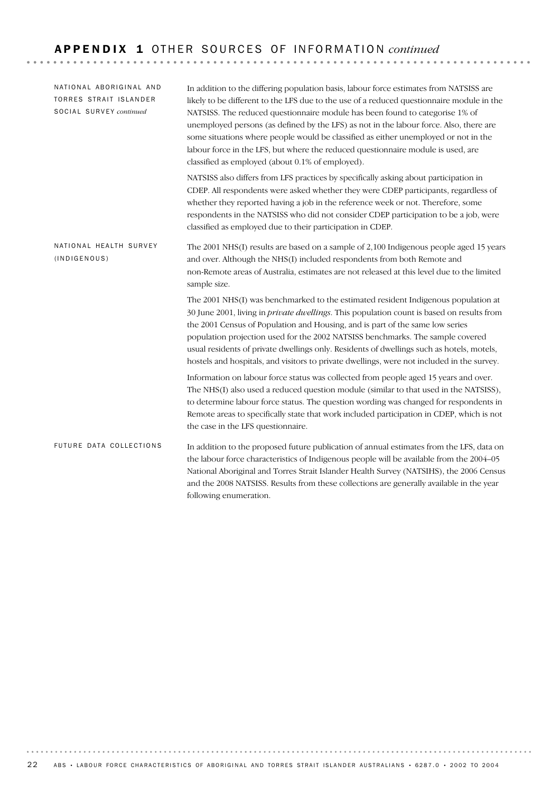| NATIONAL ABORIGINAL AND<br><b>TORRES STRAIT ISLANDER</b><br>SOCIAL SURVEY continued | In addition to the differing population basis, labour force estimates from NATSISS are<br>likely to be different to the LFS due to the use of a reduced questionnaire module in the<br>NATSISS. The reduced questionnaire module has been found to categorise 1% of<br>unemployed persons (as defined by the LFS) as not in the labour force. Also, there are<br>some situations where people would be classified as either unemployed or not in the<br>labour force in the LFS, but where the reduced questionnaire module is used, are<br>classified as employed (about 0.1% of employed). |
|-------------------------------------------------------------------------------------|----------------------------------------------------------------------------------------------------------------------------------------------------------------------------------------------------------------------------------------------------------------------------------------------------------------------------------------------------------------------------------------------------------------------------------------------------------------------------------------------------------------------------------------------------------------------------------------------|
|                                                                                     | NATSISS also differs from LFS practices by specifically asking about participation in<br>CDEP. All respondents were asked whether they were CDEP participants, regardless of<br>whether they reported having a job in the reference week or not. Therefore, some<br>respondents in the NATSISS who did not consider CDEP participation to be a job, were<br>classified as employed due to their participation in CDEP.                                                                                                                                                                       |
| NATIONAL HEALTH SURVEY<br>(INDIGENOUS)                                              | The 2001 NHS(I) results are based on a sample of 2,100 Indigenous people aged 15 years<br>and over. Although the NHS(I) included respondents from both Remote and<br>non-Remote areas of Australia, estimates are not released at this level due to the limited<br>sample size.                                                                                                                                                                                                                                                                                                              |
|                                                                                     | The 2001 NHS(I) was benchmarked to the estimated resident Indigenous population at<br>30 June 2001, living in <i>private dwellings</i> . This population count is based on results from<br>the 2001 Census of Population and Housing, and is part of the same low series<br>population projection used for the 2002 NATSISS benchmarks. The sample covered<br>usual residents of private dwellings only. Residents of dwellings such as hotels, motels,<br>hostels and hospitals, and visitors to private dwellings, were not included in the survey.                                        |
|                                                                                     | Information on labour force status was collected from people aged 15 years and over.<br>The NHS(I) also used a reduced question module (similar to that used in the NATSISS),<br>to determine labour force status. The question wording was changed for respondents in<br>Remote areas to specifically state that work included participation in CDEP, which is not<br>the case in the LFS questionnaire.                                                                                                                                                                                    |
| FUTURE DATA COLLECTIONS                                                             | In addition to the proposed future publication of annual estimates from the LFS, data on<br>the labour force characteristics of Indigenous people will be available from the 2004–05<br>National Aboriginal and Torres Strait Islander Health Survey (NATSIHS), the 2006 Census<br>and the 2008 NATSISS. Results from these collections are generally available in the year<br>following enumeration.                                                                                                                                                                                        |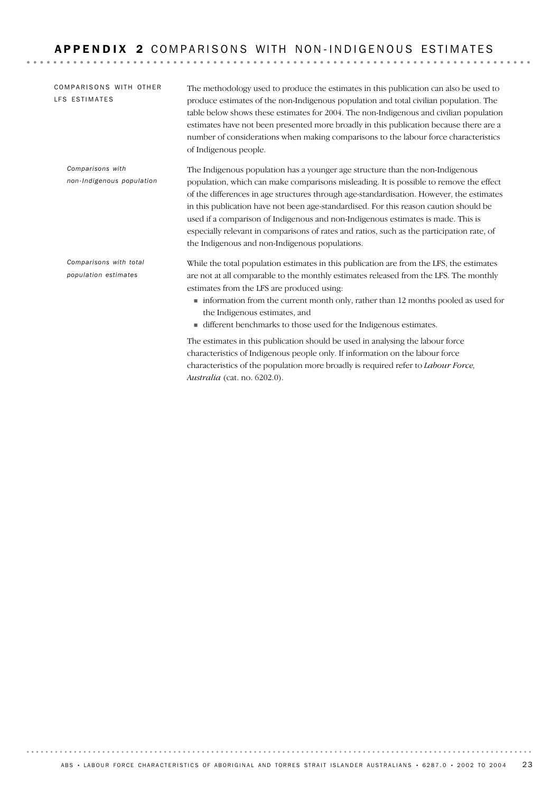| <b>COMPARISONS WITH OTHER</b><br>LFS ESTIMATES | The methodology used to produce the estimates in this publication can also be used to<br>produce estimates of the non-Indigenous population and total civilian population. The<br>table below shows these estimates for 2004. The non-Indigenous and civilian population<br>estimates have not been presented more broadly in this publication because there are a<br>number of considerations when making comparisons to the labour force characteristics<br>of Indigenous people.                                                                                                              |
|------------------------------------------------|--------------------------------------------------------------------------------------------------------------------------------------------------------------------------------------------------------------------------------------------------------------------------------------------------------------------------------------------------------------------------------------------------------------------------------------------------------------------------------------------------------------------------------------------------------------------------------------------------|
| Comparisons with<br>non-Indigenous population  | The Indigenous population has a younger age structure than the non-Indigenous<br>population, which can make comparisons misleading. It is possible to remove the effect<br>of the differences in age structures through age-standardisation. However, the estimates<br>in this publication have not been age-standardised. For this reason caution should be<br>used if a comparison of Indigenous and non-Indigenous estimates is made. This is<br>especially relevant in comparisons of rates and ratios, such as the participation rate, of<br>the Indigenous and non-Indigenous populations. |
| Comparisons with total<br>population estimates | While the total population estimates in this publication are from the LFS, the estimates<br>are not at all comparable to the monthly estimates released from the LFS. The monthly<br>estimates from the LFS are produced using:<br>• information from the current month only, rather than 12 months pooled as used for<br>the Indigenous estimates, and<br>■ different benchmarks to those used for the Indigenous estimates.<br>The estimates in this publication should be used in analysing the labour force<br>characteristics of Indigenous people only. If information on the labour force |

*Australia* (cat. no. 6202.0).

characteristics of the population more broadly is required refer to *Labour Force,*

ABS • LABOUR FORCE CHARACTERISTICS OF ABORIGINAL AND TORRES STRAIT ISLANDER AUSTRALIANS • 6287.0 • 2002 TO 2004 23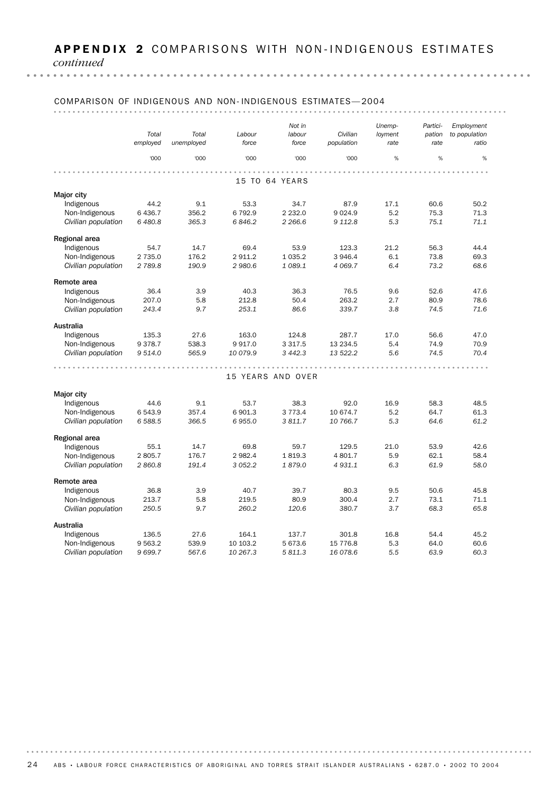*continued*

#### COMPARISON OF INDIGENOUS AND NON- INDIGENOUS ESTIMATES— 2004 *Not in Unemp-Employment Partici-Total Total Labour labour Civilian loyment to population pation unemployed force force population rate rate employed ratio* '000 '000 '000 '000 '000 % % % . . . . . . . . . . . . . . . . . . . 15 TO 64 YEARS Major city Indigenous 44.2 9.1 53.3 34.7 87.9 17.1 60.6 50.2 Non-Indigenous 6 436.7 356.2 6 792.9 2 232.0 9 024.9 5.2 75.3 71.3 *Civilian population 6 480.8 365.3 6 846.2 2 266.6 9 112.8 5.3 75.1 71.1* Regional area Indigenous 54.7 14.7 69.4 53.9 123.3 21.2 56.3 44.4 *Civilian population 2 789.8 190.9 2 980.6 1 089.1 4 069.7 6.4 73.2 68.6* Non-Indigenous 2 735.0 176.2 2 911.2 1 035.2 3 946.4 6.1 73.8 69.3 Remote area Indigenous 36.4 3.9 40.3 36.3 76.5 9.6 52.6 47.6 Non-Indigenous 207.0 5.8 212.8 50.4 263.2 2.7 80.9 78.6 *Civilian population 243.4 9.7 253.1 86.6 339.7 3.8 74.5 71.6* Australia Indigenous 135.3 27.6 163.0 124.8 287.7 17.0 56.6 47.0 Non-Indigenous 9 378.7 538.3 9 917.0 3 317.5 13 234.5 5.4 74.9 70.9 *Civilian population 9 514.0 565.9 10 079.9 3 442.3 13 522.2 5.6 74.5 70.4* 15 YEARS AND OVER Major city Indigenous 44.6 9.1 53.7 38.3 92.0 16.9 58.3 48.5 Non-Indigenous 6 543.9 357.4 6 901.3 3 773.4 10 674.7 5.2 64.7 61.3 *Civilian population 6 588.5 366.5 6 955.0 3 811.7 10 766.7 5.3 64.6 61.2* Regional area Indigenous 55.1 14.7 69.8 59.7 129.5 21.0 53.9 42.6 Non-Indigenous 2 805.7 176.7 2 982.4 1 819.3 4 801.7 5.9 62.1 58.4 *Civilian population 2 860.8 191.4 3 052.2 1 879.0 4 931.1 6.3 61.9 58.0* Remote area Indigenous 36.8 3.9 40.7 39.7 80.3 9.5 50.6 45.8 Non-Indigenous 213.7 5.8 219.5 80.9 300.4 2.7 73.1 71.1 *Civilian population 250.5 9.7 260.2 120.6 380.7 3.7 68.3 65.8* Australia Indigenous 136.5 27.6 164.1 137.7 301.8 16.8 54.4 45.2 Non-Indigenous 9 563.2 539.9 10 103.2 5 673.6 15 776.8 5.3 64.0 60.6 *Civilian population 9 699.7 567.6 10 267.3 5 811.3 16 078.6 5.5 63.9 60.3*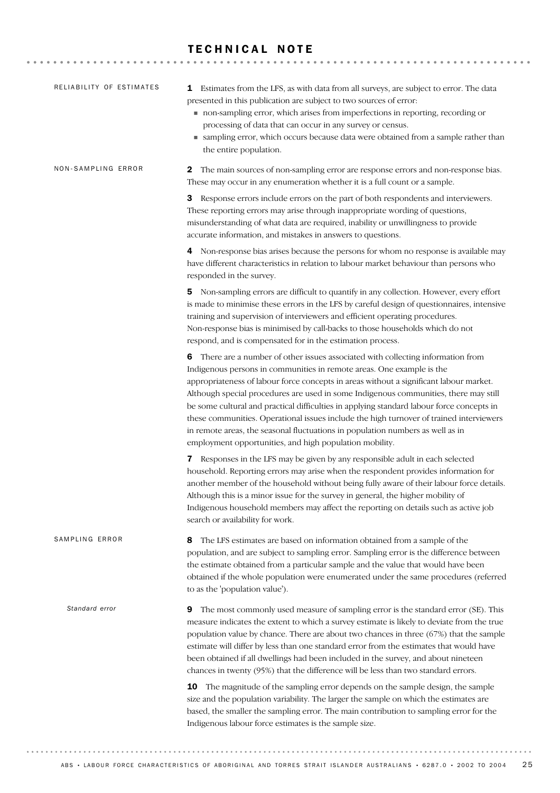# TECHNICAL NOTE

| RELIABILITY OF ESTIMATES | <b>1</b> Estimates from the LFS, as with data from all surveys, are subject to error. The data<br>presented in this publication are subject to two sources of error:<br>non-sampling error, which arises from imperfections in reporting, recording or<br>processing of data that can occur in any survey or census.<br>• sampling error, which occurs because data were obtained from a sample rather than<br>the entire population.                                                                                                                                                                                                                                                   |
|--------------------------|-----------------------------------------------------------------------------------------------------------------------------------------------------------------------------------------------------------------------------------------------------------------------------------------------------------------------------------------------------------------------------------------------------------------------------------------------------------------------------------------------------------------------------------------------------------------------------------------------------------------------------------------------------------------------------------------|
| NON-SAMPLING ERROR       | The main sources of non-sampling error are response errors and non-response bias.<br>$\mathbf{z}$<br>These may occur in any enumeration whether it is a full count or a sample.                                                                                                                                                                                                                                                                                                                                                                                                                                                                                                         |
|                          | Response errors include errors on the part of both respondents and interviewers.<br>3<br>These reporting errors may arise through inappropriate wording of questions,<br>misunderstanding of what data are required, inability or unwillingness to provide<br>accurate information, and mistakes in answers to questions.                                                                                                                                                                                                                                                                                                                                                               |
|                          | 4 Non-response bias arises because the persons for whom no response is available may<br>have different characteristics in relation to labour market behaviour than persons who<br>responded in the survey.                                                                                                                                                                                                                                                                                                                                                                                                                                                                              |
|                          | 5 Non-sampling errors are difficult to quantify in any collection. However, every effort<br>is made to minimise these errors in the LFS by careful design of questionnaires, intensive<br>training and supervision of interviewers and efficient operating procedures.<br>Non-response bias is minimised by call-backs to those households which do not<br>respond, and is compensated for in the estimation process.                                                                                                                                                                                                                                                                   |
|                          | <b>6</b> There are a number of other issues associated with collecting information from<br>Indigenous persons in communities in remote areas. One example is the<br>appropriateness of labour force concepts in areas without a significant labour market.<br>Although special procedures are used in some Indigenous communities, there may still<br>be some cultural and practical difficulties in applying standard labour force concepts in<br>these communities. Operational issues include the high turnover of trained interviewers<br>in remote areas, the seasonal fluctuations in population numbers as well as in<br>employment opportunities, and high population mobility. |
|                          | 7 Responses in the LFS may be given by any responsible adult in each selected<br>household. Reporting errors may arise when the respondent provides information for<br>another member of the household without being fully aware of their labour force details.<br>Although this is a minor issue for the survey in general, the higher mobility of<br>Indigenous household members may affect the reporting on details such as active job<br>search or availability for work.                                                                                                                                                                                                          |
| SAMPLING ERROR           | The LFS estimates are based on information obtained from a sample of the<br>8<br>population, and are subject to sampling error. Sampling error is the difference between<br>the estimate obtained from a particular sample and the value that would have been<br>obtained if the whole population were enumerated under the same procedures (referred<br>to as the 'population value').                                                                                                                                                                                                                                                                                                 |
| Standard error           | The most commonly used measure of sampling error is the standard error (SE). This<br>9<br>measure indicates the extent to which a survey estimate is likely to deviate from the true<br>population value by chance. There are about two chances in three (67%) that the sample<br>estimate will differ by less than one standard error from the estimates that would have<br>been obtained if all dwellings had been included in the survey, and about nineteen<br>chances in twenty (95%) that the difference will be less than two standard errors.                                                                                                                                   |
|                          | The magnitude of the sampling error depends on the sample design, the sample<br>10<br>size and the population variability. The larger the sample on which the estimates are<br>based, the smaller the sampling error. The main contribution to sampling error for the<br>Indigenous labour force estimates is the sample size.                                                                                                                                                                                                                                                                                                                                                          |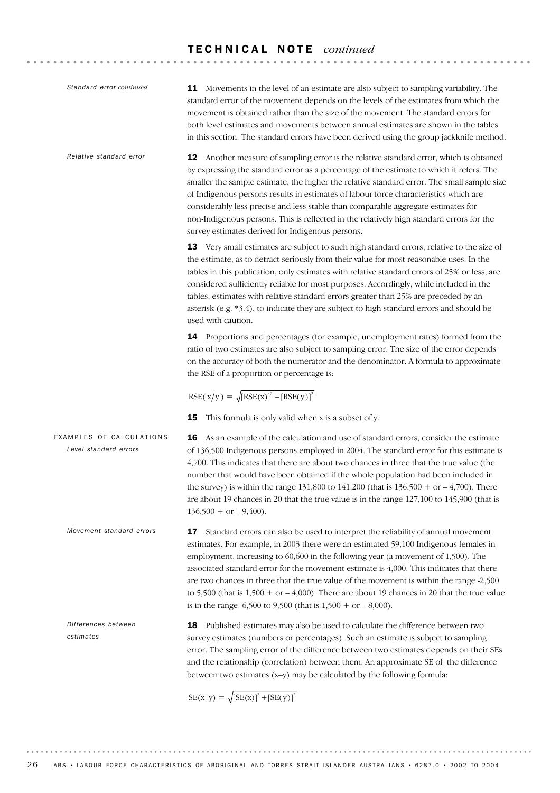| Standard error continued                          | <b>11</b> Movements in the level of an estimate are also subject to sampling variability. The<br>standard error of the movement depends on the levels of the estimates from which the<br>movement is obtained rather than the size of the movement. The standard errors for<br>both level estimates and movements between annual estimates are shown in the tables<br>in this section. The standard errors have been derived using the group jackknife method.                                                                                                                                                                                                |
|---------------------------------------------------|---------------------------------------------------------------------------------------------------------------------------------------------------------------------------------------------------------------------------------------------------------------------------------------------------------------------------------------------------------------------------------------------------------------------------------------------------------------------------------------------------------------------------------------------------------------------------------------------------------------------------------------------------------------|
| Relative standard error                           | 12 Another measure of sampling error is the relative standard error, which is obtained<br>by expressing the standard error as a percentage of the estimate to which it refers. The<br>smaller the sample estimate, the higher the relative standard error. The small sample size<br>of Indigenous persons results in estimates of labour force characteristics which are<br>considerably less precise and less stable than comparable aggregate estimates for<br>non-Indigenous persons. This is reflected in the relatively high standard errors for the<br>survey estimates derived for Indigenous persons.                                                 |
|                                                   | 13 Very small estimates are subject to such high standard errors, relative to the size of<br>the estimate, as to detract seriously from their value for most reasonable uses. In the<br>tables in this publication, only estimates with relative standard errors of 25% or less, are<br>considered sufficiently reliable for most purposes. Accordingly, while included in the<br>tables, estimates with relative standard errors greater than 25% are preceded by an<br>asterisk (e.g. *3.4), to indicate they are subject to high standard errors and should be<br>used with caution.                                                                       |
|                                                   | 14 Proportions and percentages (for example, unemployment rates) formed from the<br>ratio of two estimates are also subject to sampling error. The size of the error depends<br>on the accuracy of both the numerator and the denominator. A formula to approximate<br>the RSE of a proportion or percentage is:                                                                                                                                                                                                                                                                                                                                              |
|                                                   | $RSE(x/y) = \sqrt{[RSE(x)]^2 - [RSE(y)]^2}$                                                                                                                                                                                                                                                                                                                                                                                                                                                                                                                                                                                                                   |
| EXAMPLES OF CALCULATIONS<br>Level standard errors | This formula is only valid when x is a subset of y.<br>15<br><b>16</b> As an example of the calculation and use of standard errors, consider the estimate<br>of 136,500 Indigenous persons employed in 2004. The standard error for this estimate is<br>4,700. This indicates that there are about two chances in three that the true value (the<br>number that would have been obtained if the whole population had been included in<br>the survey) is within the range 131,800 to 141,200 (that is $136,500 + or - 4,700$ ). There<br>are about 19 chances in 20 that the true value is in the range 127,100 to 145,900 (that is<br>$136,500 + or -9,400$ . |
| Movement standard errors                          | 17<br>Standard errors can also be used to interpret the reliability of annual movement<br>estimates. For example, in 2003 there were an estimated 59,100 Indigenous females in<br>employment, increasing to 60,600 in the following year (a movement of 1,500). The<br>associated standard error for the movement estimate is 4,000. This indicates that there<br>are two chances in three that the true value of the movement is within the range -2,500<br>to 5,500 (that is $1,500 + or -4,000$ ). There are about 19 chances in 20 that the true value<br>is in the range $-6,500$ to 9,500 (that is $1,500 +$ or $-8,000$ ).                             |
| Differences between<br>estimates                  | Published estimates may also be used to calculate the difference between two<br>18<br>survey estimates (numbers or percentages). Such an estimate is subject to sampling<br>error. The sampling error of the difference between two estimates depends on their SEs<br>and the relationship (correlation) between them. An approximate SE of the difference<br>between two estimates (x-y) may be calculated by the following formula:                                                                                                                                                                                                                         |
|                                                   | $SE(x-y) = \sqrt{[SE(x)]^2 + [SE(y)]^2}$                                                                                                                                                                                                                                                                                                                                                                                                                                                                                                                                                                                                                      |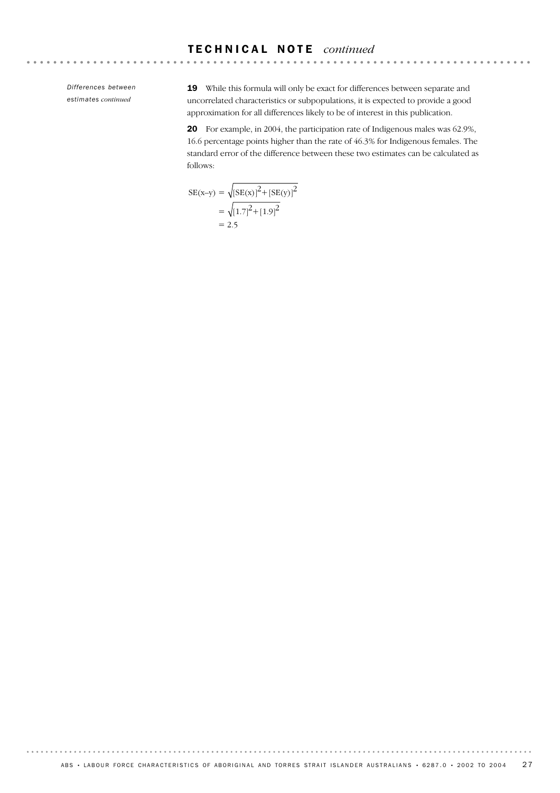*Differences between estimates continued*

19 While this formula will only be exact for differences between separate and uncorrelated characteristics or subpopulations, it is expected to provide a good approximation for all differences likely to be of interest in this publication.

20 For example, in 2004, the participation rate of Indigenous males was 62.9%, 16.6 percentage points higher than the rate of 46.3% for Indigenous females. The standard error of the difference between these two estimates can be calculated as follows:

$$
SE(x-y) = \sqrt{[SE(x)]^2 + [SE(y)]^2}
$$
  
=  $\sqrt{[1.7]^2 + [1.9]^2}$   
= 2.5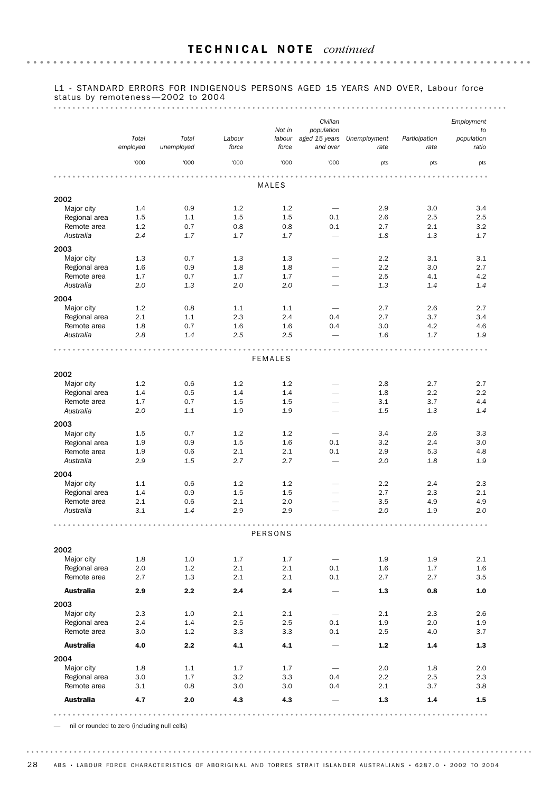#### L1 - STANDARD ERRORS FOR INDIGENOUS PERSONS AGED 15 YEARS AND OVER, Labour force status by remoteness —2002 to 2004

#### 

|                              |                   |                     |                 |                           | Civilian                                |                      |                       | Employment                |
|------------------------------|-------------------|---------------------|-----------------|---------------------------|-----------------------------------------|----------------------|-----------------------|---------------------------|
|                              | Total<br>employed | Total<br>unemployed | Labour<br>force | Not in<br>labour<br>force | population<br>aged 15 years<br>and over | Unemployment<br>rate | Participation<br>rate | to<br>population<br>ratio |
|                              | '000              | '000                | '000            | '000                      | '000                                    | pts                  | pts                   | pts                       |
|                              |                   |                     |                 |                           |                                         |                      |                       |                           |
|                              |                   |                     |                 | MALES                     |                                         |                      |                       |                           |
| 2002<br>Major city           | 1.4               | 0.9                 | 1.2             | 1.2                       | $\overline{\phantom{0}}$                | 2.9                  | 3.0                   | 3.4                       |
| Regional area                | 1.5               | 1.1                 | 1.5             | 1.5                       | 0.1                                     | 2.6                  | 2.5                   | 2.5                       |
| Remote area                  | 1.2               | 0.7                 | 0.8             | 0.8                       | 0.1                                     | 2.7                  | 2.1                   | 3.2                       |
| Australia                    | 2.4               | 1.7                 | 1.7             | 1.7                       | $\overline{\phantom{0}}$                | 1.8                  | 1.3                   | 1.7                       |
| 2003                         |                   |                     |                 |                           |                                         |                      |                       |                           |
| Major city                   | 1.3               | 0.7                 | 1.3             | 1.3                       |                                         | 2.2                  | 3.1                   | 3.1                       |
| Regional area                | 1.6               | 0.9                 | 1.8             | 1.8                       |                                         | 2.2                  | 3.0                   | 2.7                       |
| Remote area                  | 1.7               | 0.7                 | 1.7             | 1.7                       | $\overline{\phantom{0}}$                | 2.5                  | 4.1                   | 4.2                       |
| Australia                    | 2.0               | 1.3                 | 2.0             | 2.0                       |                                         | 1.3                  | 1.4                   | 1.4                       |
| 2004                         |                   |                     |                 |                           |                                         |                      |                       |                           |
| Major city                   | 1.2               | 0.8                 | 1.1             | 1.1                       |                                         | 2.7                  | 2.6                   | 2.7                       |
| Regional area<br>Remote area | 2.1<br>1.8        | 1.1<br>0.7          | 2.3<br>1.6      | 2.4<br>1.6                | 0.4<br>0.4                              | 2.7<br>3.0           | 3.7<br>4.2            | 3.4<br>4.6                |
| Australia                    | 2.8               | 1.4                 | 2.5             | 2.5                       |                                         | 1.6                  | 1.7                   | 1.9                       |
|                              |                   |                     |                 |                           |                                         |                      |                       |                           |
|                              |                   |                     |                 | <b>FEMALES</b>            |                                         |                      |                       |                           |
| 2002                         |                   |                     |                 |                           |                                         |                      |                       |                           |
| Major city                   | 1.2               | 0.6                 | 1.2             | 1.2                       | $\overline{\phantom{0}}$                | 2.8                  | 2.7                   | 2.7                       |
| Regional area                | 1.4               | 0.5                 | 1.4             | 1.4                       | $\overline{\phantom{0}}$                | 1.8                  | 2.2                   | 2.2                       |
| Remote area                  | 1.7               | 0.7                 | 1.5             | 1.5                       | $\qquad \qquad$                         | 3.1                  | 3.7                   | 4.4                       |
| Australia                    | 2.0               | 1.1                 | 1.9             | 1.9                       |                                         | 1.5                  | 1.3                   | 1.4                       |
| 2003                         |                   |                     |                 |                           |                                         |                      |                       |                           |
| Major city                   | 1.5               | 0.7                 | 1.2             | 1.2                       |                                         | 3.4                  | 2.6                   | 3.3                       |
| Regional area<br>Remote area | 1.9<br>1.9        | 0.9<br>0.6          | 1.5<br>2.1      | 1.6<br>2.1                | 0.1<br>0.1                              | 3.2<br>2.9           | 2.4<br>5.3            | 3.0<br>4.8                |
| Australia                    | 2.9               | 1.5                 | 2.7             | 2.7                       | $\overline{\phantom{0}}$                | 2.0                  | 1.8                   | 1.9                       |
| 2004                         |                   |                     |                 |                           |                                         |                      |                       |                           |
| Major city                   | 1.1               | 0.6                 | 1.2             | 1.2                       |                                         | 2.2                  | 2.4                   | 2.3                       |
| Regional area                | 1.4               | 0.9                 | 1.5             | 1.5                       | $\overline{\phantom{0}}$                | 2.7                  | 2.3                   | 2.1                       |
| Remote area                  | 2.1               | 0.6                 | 2.1             | 2.0                       |                                         | 3.5                  | 4.9                   | 4.9                       |
| Australia                    | 3.1               | 1.4                 | 2.9             | 2.9                       |                                         | 2.0                  | 1.9                   | 2.0                       |
|                              |                   |                     | A               | PERSONS                   |                                         |                      |                       |                           |
|                              |                   |                     |                 |                           |                                         |                      |                       |                           |
| 2002                         | 1.8               | 1.0                 | 1.7             | 1.7                       |                                         | 1.9                  | 1.9                   | 2.1                       |
| Major city<br>Regional area  | 2.0               | 1.2                 | 2.1             | 2.1                       | 0.1                                     | 1.6                  | 1.7                   | 1.6                       |
| Remote area                  | 2.7               | 1.3                 | 2.1             | 2.1                       | 0.1                                     | 2.7                  | 2.7                   | 3.5                       |
| <b>Australia</b>             | 2.9               | 2.2                 | 2.4             | $2.4\,$                   | $\overline{\phantom{0}}$                | $1.3\,$              | 0.8                   | 1.0                       |
|                              |                   |                     |                 |                           |                                         |                      |                       |                           |
| 2003<br>Major city           | 2.3               | 1.0                 | 2.1             | 2.1                       |                                         | 2.1                  | 2.3                   | 2.6                       |
| Regional area                | 2.4               | 1.4                 | 2.5             | 2.5                       | 0.1                                     | 1.9                  | 2.0                   | 1.9                       |
| Remote area                  | 3.0               | 1.2                 | 3.3             | 3.3                       | 0.1                                     | 2.5                  | 4.0                   | 3.7                       |
| <b>Australia</b>             | 4.0               | 2.2                 | 4.1             | 4.1                       |                                         | $1.2\,$              | $1.4\,$               | 1.3                       |
| 2004                         |                   |                     |                 |                           |                                         |                      |                       |                           |
| Major city                   | 1.8               | 1.1                 | 1.7             | 1.7                       |                                         | 2.0                  | 1.8                   | 2.0                       |
| Regional area                | 3.0               | 1.7                 | 3.2             | 3.3                       | 0.4                                     | 2.2                  | 2.5                   | 2.3                       |
| Remote area                  | 3.1               | 0.8                 | 3.0             | 3.0                       | 0.4                                     | 2.1                  | 3.7                   | 3.8                       |
| <b>Australia</b>             | 4.7               | 2.0                 | 4.3             | 4.3                       |                                         | 1.3                  | 1.4                   | 1.5                       |
|                              |                   |                     |                 |                           |                                         |                      |                       | 0.0.0                     |

— nil or rounded to zero (including null cells)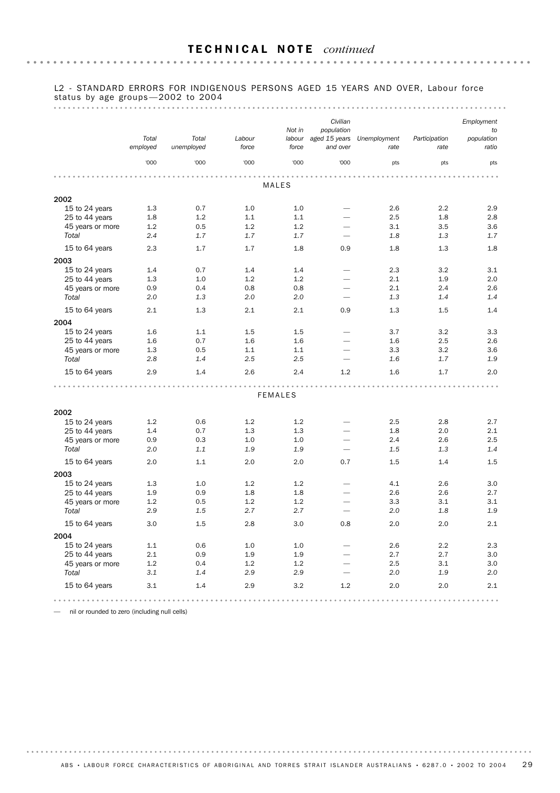#### L2 - STANDARD ERRORS FOR INDIGENOUS PERSONS AGED 15 YEARS AND OVER, Labour force status by age groups —2002 to 2004

#### 

|                  | Total<br>employed | Total<br>unemployed | Labour<br>force | Not in<br>labour<br>force | Civilian<br>population<br>aged 15 years<br>and over | Unemployment<br>rate | Participation<br>rate | Employment<br>to<br>population<br>ratio |
|------------------|-------------------|---------------------|-----------------|---------------------------|-----------------------------------------------------|----------------------|-----------------------|-----------------------------------------|
|                  | '000              | '000                | '000            | '000                      | '000                                                | pts                  | pts                   | pts                                     |
|                  |                   |                     |                 |                           |                                                     |                      |                       |                                         |
|                  |                   |                     |                 | MALES                     |                                                     |                      |                       |                                         |
| 2002             |                   |                     |                 |                           |                                                     |                      |                       |                                         |
| 15 to 24 years   | 1.3               | 0.7                 | 1.0             | 1.0                       | $\overline{\phantom{0}}$                            | 2.6                  | 2.2                   | 2.9                                     |
| 25 to 44 years   | 1.8               | 1.2                 | 1.1             | 1.1                       |                                                     | 2.5                  | 1.8                   | 2.8                                     |
| 45 years or more | 1.2               | 0.5                 | 1.2             | 1.2                       | $\overline{\phantom{0}}$                            | 3.1                  | 3.5                   | 3.6                                     |
| Total            | 2.4               | 1.7                 | 1.7             | 1.7                       | $\overline{\phantom{0}}$                            | 1.8                  | 1.3                   | 1.7                                     |
| 15 to 64 years   | 2.3               | 1.7                 | 1.7             | 1.8                       | 0.9                                                 | 1.8                  | 1.3                   | 1.8                                     |
| 2003             |                   |                     |                 |                           |                                                     |                      |                       |                                         |
| 15 to 24 years   | 1.4               | 0.7                 | 1.4             | 1.4                       |                                                     | 2.3                  | 3.2                   | 3.1                                     |
| 25 to 44 years   | 1.3               | 1.0                 | 1.2             | 1.2                       | $\overline{\phantom{0}}$                            | 2.1                  | 1.9                   | 2.0                                     |
| 45 years or more | 0.9               | 0.4                 | 0.8             | 0.8                       | $\overline{\phantom{0}}$                            | 2.1                  | 2.4                   | 2.6                                     |
| Total            | 2.0               | 1.3                 | 2.0             | 2.0                       |                                                     | 1.3                  | 1.4                   | 1.4                                     |
| 15 to 64 years   | 2.1               | 1.3                 | 2.1             | 2.1                       | 0.9                                                 | 1.3                  | 1.5                   | 1.4                                     |
| 2004             |                   |                     |                 |                           |                                                     |                      |                       |                                         |
| 15 to 24 years   | 1.6               | 1.1                 | 1.5             | 1.5                       |                                                     | 3.7                  | 3.2                   | 3.3                                     |
| 25 to 44 years   | 1.6               | 0.7                 | 1.6             | 1.6                       |                                                     | 1.6                  | 2.5                   | 2.6                                     |
| 45 years or more | 1.3               | 0.5                 | 1.1             | 1.1                       | $\overline{\phantom{0}}$                            | 3.3                  | 3.2                   | 3.6                                     |
| Total            | 2.8               | 1.4                 | 2.5             | 2.5                       | $\overline{\phantom{a}}$                            | 1.6                  | 1.7                   | 1.9                                     |
| 15 to 64 years   | 2.9               | 1.4                 | 2.6             | 2.4                       | 1.2                                                 | 1.6                  | 1.7                   | 2.0                                     |
|                  |                   |                     |                 | <b>FEMALES</b>            |                                                     |                      |                       |                                         |
|                  |                   |                     |                 |                           |                                                     |                      |                       |                                         |
| 2002             |                   |                     |                 |                           |                                                     |                      |                       |                                         |
| 15 to 24 years   | 1.2               | 0.6                 | 1.2             | 1.2                       |                                                     | 2.5                  | 2.8                   | 2.7                                     |
| 25 to 44 years   | 1.4               | 0.7                 | 1.3             | 1.3                       |                                                     | 1.8                  | 2.0                   | 2.1                                     |
| 45 years or more | 0.9               | 0.3                 | 1.0             | 1.0                       |                                                     | 2.4                  | 2.6                   | 2.5                                     |
| Total            | 2.0               | 1.1                 | 1.9             | 1.9                       | $\overline{\phantom{m}}$                            | 1.5                  | 1.3                   | 1.4                                     |
| 15 to 64 years   | 2.0               | 1.1                 | 2.0             | 2.0                       | 0.7                                                 | 1.5                  | 1.4                   | 1.5                                     |
| 2003             |                   |                     |                 |                           |                                                     |                      |                       |                                         |
| 15 to 24 years   | 1.3               | 1.0                 | 1.2             | 1.2                       |                                                     | 4.1                  | 2.6                   | 3.0                                     |
| 25 to 44 years   | 1.9               | 0.9                 | 1.8             | 1.8                       | -                                                   | 2.6                  | 2.6                   | 2.7                                     |
| 45 years or more | 1.2               | 0.5                 | 1.2             | 1.2                       |                                                     | 3.3                  | 3.1                   | 3.1                                     |
| Total            | 2.9               | 1.5                 | 2.7             | 2.7                       | ÷,                                                  | 2.0                  | 1.8                   | 1.9                                     |
| 15 to 64 years   | 3.0               | 1.5                 | 2.8             | 3.0                       | 0.8                                                 | 2.0                  | 2.0                   | 2.1                                     |
| 2004             |                   |                     |                 |                           |                                                     |                      |                       |                                         |
| 15 to 24 years   | 1.1               | 0.6                 | 1.0             | 1.0                       | $\overline{\phantom{0}}$                            | 2.6                  | 2.2                   | 2.3                                     |
| 25 to 44 years   | 2.1               | 0.9                 | 1.9             | 1.9                       |                                                     | 2.7                  | 2.7                   | 3.0                                     |
| 45 years or more | 1.2               | 0.4                 | 1.2             | 1.2                       |                                                     | 2.5                  | 3.1                   | 3.0                                     |
| Total            | 3.1               | 1.4                 | 2.9             | 2.9                       | $\overline{\phantom{0}}$                            | 2.0                  | 1.9                   | 2.0                                     |
| 15 to 64 years   | 3.1               | 1.4                 | 2.9             | 3.2                       | 1.2                                                 | 2.0                  | 2.0                   | 2.1                                     |
|                  |                   |                     |                 |                           |                                                     |                      |                       |                                         |

— nil or rounded to zero (including null cells)

ABS • LABOUR FORCE CHARACTERISTICS OF ABORIGINAL AND TORRES STRAIT ISLANDER AUSTRALIANS • 6287.0 • 2002 TO 2004 29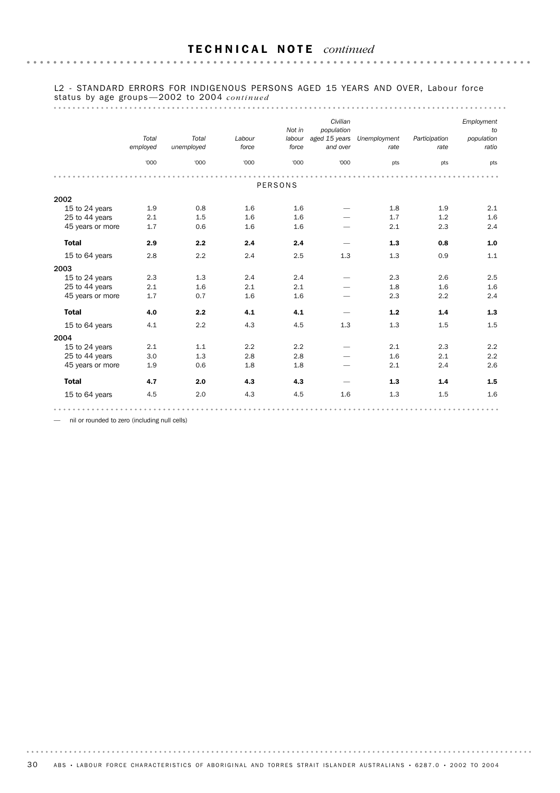#### L2 - STANDARD ERRORS FOR INDIGENOUS PERSONS AGED 15 YEARS AND OVER, Labour force status by age groups —2002 to 2004 *continued*

#### 

|                  |          |            |        |                  | Civilian                    |                      |               | Employment          |
|------------------|----------|------------|--------|------------------|-----------------------------|----------------------|---------------|---------------------|
|                  | Total    | Total      | Labour | Not in<br>labour | population<br>aged 15 years |                      | Participation | to                  |
|                  | employed | unemployed | force  | force            | and over                    | Unemployment<br>rate | rate          | population<br>ratio |
|                  |          |            |        |                  |                             |                      |               |                     |
|                  | '000     | '000       | '000   | '000             | '000                        | pts                  | pts           | pts                 |
|                  |          |            |        |                  |                             |                      |               |                     |
|                  |          |            |        | <b>PERSONS</b>   |                             |                      |               |                     |
| 2002             |          |            |        |                  |                             |                      |               |                     |
| 15 to 24 years   | 1.9      | 0.8        | 1.6    | 1.6              |                             | 1.8                  | 1.9           | 2.1                 |
| 25 to 44 years   | 2.1      | 1.5        | 1.6    | 1.6              |                             | 1.7                  | 1.2           | 1.6                 |
| 45 years or more | 1.7      | 0.6        | 1.6    | 1.6              |                             | 2.1                  | 2.3           | 2.4                 |
| <b>Total</b>     | 2.9      | 2.2        | 2.4    | 2.4              |                             | 1.3                  | 0.8           | $1.0$               |
| 15 to 64 years   | 2.8      | 2.2        | 2.4    | 2.5              | 1.3                         | 1.3                  | 0.9           | 1.1                 |
| 2003             |          |            |        |                  |                             |                      |               |                     |
| 15 to 24 years   | 2.3      | 1.3        | 2.4    | 2.4              |                             | 2.3                  | 2.6           | 2.5                 |
| 25 to 44 years   | 2.1      | 1.6        | 2.1    | 2.1              |                             | 1.8                  | 1.6           | 1.6                 |
| 45 years or more | 1.7      | 0.7        | 1.6    | 1.6              |                             | 2.3                  | 2.2           | 2.4                 |
| <b>Total</b>     | 4.0      | 2.2        | 4.1    | 4.1              |                             | 1.2                  | 1.4           | 1.3                 |
| 15 to 64 years   | 4.1      | 2.2        | 4.3    | 4.5              | 1.3                         | 1.3                  | 1.5           | 1.5                 |
| 2004             |          |            |        |                  |                             |                      |               |                     |
| 15 to 24 years   | 2.1      | 1.1        | 2.2    | 2.2              |                             | 2.1                  | 2.3           | 2.2                 |
| 25 to 44 years   | 3.0      | 1.3        | 2.8    | 2.8              |                             | 1.6                  | 2.1           | 2.2                 |
| 45 years or more | 1.9      | 0.6        | 1.8    | 1.8              |                             | 2.1                  | 2.4           | 2.6                 |
| <b>Total</b>     | 4.7      | 2.0        | 4.3    | 4.3              |                             | 1.3                  | 1.4           | 1.5                 |
| 15 to 64 years   | 4.5      | 2.0        | 4.3    | 4.5              | 1.6                         | 1.3                  | 1.5           | 1.6                 |
|                  |          |            |        |                  |                             |                      |               |                     |

— nil or rounded to zero (including null cells)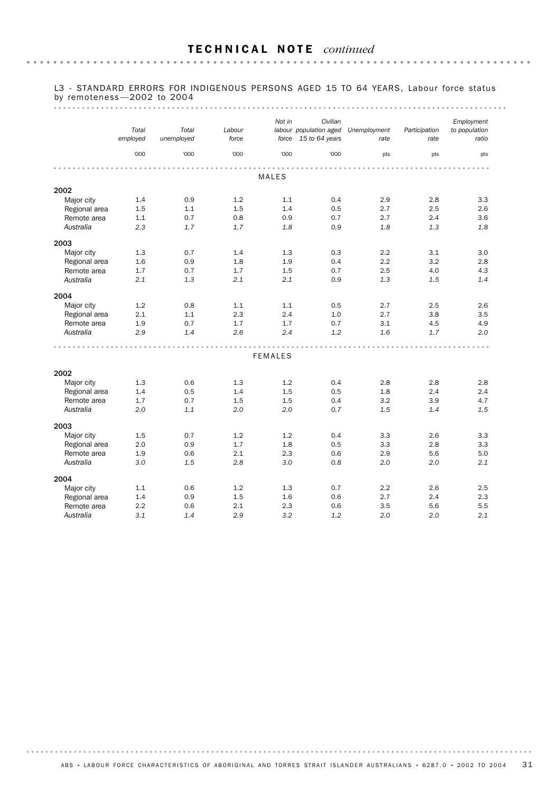# L3 - STANDARD ERRORS FOR INDIGENOUS PERSONS AGED 15 TO 64 YEARS, Labour force status by remoteness —2002 to 2004

|                             | Total    | Total      | Labour | Not in         | Civilian<br>labour population aged |                      | Participation | Employment<br>to population |
|-----------------------------|----------|------------|--------|----------------|------------------------------------|----------------------|---------------|-----------------------------|
|                             | employed | unemployed | force  | force          | 15 to 64 years                     | Unemployment<br>rate | rate          | ratio                       |
|                             | '000     | '000       | '000   | '000           | '000                               | pts                  | pts           | pts                         |
|                             |          |            |        |                |                                    |                      |               |                             |
|                             |          |            |        | MALES          |                                    |                      |               |                             |
| 2002                        |          |            |        |                |                                    |                      |               |                             |
| Major city                  | 1.4      | 0.9        | 1.2    | 1.1            | 0.4                                | 2.9                  | 2.8           | 3.3                         |
| Regional area               | 1.5      | 1.1        | 1.5    | 1.4            | 0.5                                | 2.7                  | 2.5           | 2.6                         |
| Remote area                 | 1.1      | 0.7        | 0.8    | 0.9            | 0.7                                | 2.7                  | 2.4           | 3.6                         |
| Australia                   | 2.3      | 1.7        | 1.7    | 1.8            | 0.9                                | 1.8                  | 1.3           | 1.8                         |
| 2003                        |          |            |        |                |                                    |                      |               |                             |
| Major city                  | 1.3      | 0.7        | 1.4    | 1.3            | 0.3                                | 2.2                  | 3.1           | 3.0                         |
| Regional area               | 1.6      | 0.9        | 1.8    | 1.9            | 0.4                                | 2.2                  | 3.2           | 2.8                         |
| Remote area                 | 1.7      | 0.7        | 1.7    | 1.5            | 0.7                                | 2.5                  | 4.0           | 4.3                         |
| Australia                   | 2.1      | 1.3        | 2.1    | 2.1            | 0.9                                | 1.3                  | 1.5           | 1.4                         |
| 2004                        |          |            |        |                |                                    |                      |               |                             |
| Major city                  | 1.2      | 0.8        | 1.1    | 1.1            | 0.5                                | 2.7                  | 2.5           | 2.6                         |
| Regional area               | 2.1      | 1.1        | 2.3    | 2.4            | 1.0                                | 2.7                  | 3.8           | 3.5                         |
| Remote area                 | 1.9      | 0.7        | 1.7    | 1.7            | 0.7                                | 3.1                  | 4.5           | 4.9                         |
| Australia                   | 2.9      | 1.4        | 2.6    | 2.4            | 1.2                                | 1.6                  | 1.7           | 2.0                         |
|                             |          |            |        |                |                                    |                      |               |                             |
|                             |          |            |        | <b>FEMALES</b> |                                    |                      |               |                             |
| 2002                        |          |            |        |                |                                    |                      |               |                             |
| Major city                  | 1.3      | 0.6        | 1.3    | 1.2            | 0.4                                | 2.8                  | 2.8           | 2.8                         |
| Regional area               | 1.4      | 0.5        | 1.4    | 1.5            | 0.5                                | 1.8                  | 2.4           | 2.4                         |
| Remote area                 | 1.7      | 0.7        | 1.5    | 1.5            | 0.4                                | 3.2                  | 3.9           | 4.7                         |
| Australia                   | 2.0      | 1.1        | 2.0    | 2.0            | 0.7                                | 1.5                  | 1.4           | 1.5                         |
| 2003                        |          |            |        |                |                                    |                      |               |                             |
| Major city                  | 1.5      | 0.7        | 1.2    | 1.2            | 0.4                                | 3.3                  | 2.6           | 3.3                         |
| Regional area               | 2.0      | 0.9        | 1.7    | 1.8            | 0.5                                | 3.3                  | 2.8           | 3.3                         |
| Remote area                 | 1.9      | 0.6        | 2.1    | 2.3            | 0.6                                | 2.9                  | 5.6           | 5.0                         |
| Australia                   | 3.0      | 1.5        | 2.8    | 3.0            | 0.8                                | 2.0                  | 2.0           | 2.1                         |
| 2004                        |          |            |        |                |                                    |                      |               |                             |
|                             | 1.1      | 0.6        | 1.2    | 1.3            | 0.7                                | 2.2                  | 2.6           | 2.5                         |
| Major city<br>Regional area | 1.4      | 0.9        | 1.5    | 1.6            | 0.6                                | 2.7                  | 2.4           | 2.3                         |
| Remote area                 | 2.2      | 0.6        | 2.1    | 2.3            | 0.6                                | 3.5                  | 5.6           | 5.5                         |
| Australia                   | 3.1      | 1.4        | 2.9    | 3.2            | 1.2                                | 2.0                  | 2.0           | 2.1                         |
|                             |          |            |        |                |                                    |                      |               |                             |

ABS • LABOUR FORCE CHARACTERISTICS OF ABORIGINAL AND TORRES STRAIT ISLANDER AUSTRALIANS • 6287.0 • 2002 TO 2004 31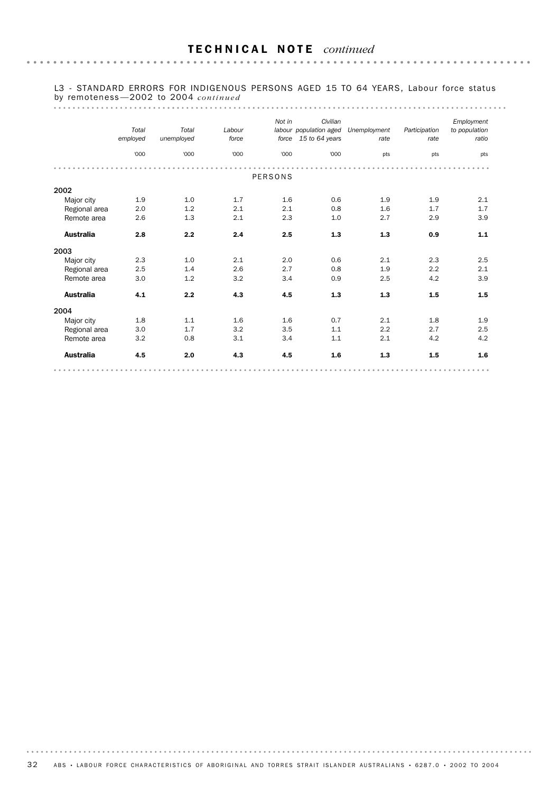#### L3 - STANDARD ERRORS FOR INDIGENOUS PERSONS AGED 15 TO 64 YEARS, Labour force status by remoteness —2002 to 2004 *continued*

# 

|                  | Total<br>employed | Total<br>unemployed | Labour<br>force | Not in<br>force | Civilian<br>labour population aged<br>15 to 64 years | Unemployment<br>rate | Participation<br>rate | Employment<br>to population<br>ratio |
|------------------|-------------------|---------------------|-----------------|-----------------|------------------------------------------------------|----------------------|-----------------------|--------------------------------------|
|                  | '000              | '000                | '000            | '000            | '000                                                 | pts                  | pts                   | pts                                  |
|                  |                   |                     |                 |                 |                                                      |                      |                       |                                      |
|                  |                   |                     |                 | <b>PERSONS</b>  |                                                      |                      |                       |                                      |
| 2002             |                   |                     |                 |                 |                                                      |                      |                       |                                      |
| Major city       | 1.9               | 1.0                 | 1.7             | 1.6             | 0.6                                                  | 1.9                  | 1.9                   | 2.1                                  |
| Regional area    | 2.0               | 1.2                 | 2.1             | 2.1             | 0.8                                                  | 1.6                  | 1.7                   | 1.7                                  |
| Remote area      | 2.6               | 1.3                 | 2.1             | 2.3             | 1.0                                                  | 2.7                  | 2.9                   | 3.9                                  |
| <b>Australia</b> | 2.8               | 2.2                 | 2.4             | 2.5             | 1.3                                                  | 1.3                  | 0.9                   | $1.1$                                |
| 2003             |                   |                     |                 |                 |                                                      |                      |                       |                                      |
| Major city       | 2.3               | 1.0                 | 2.1             | 2.0             | 0.6                                                  | 2.1                  | 2.3                   | 2.5                                  |
| Regional area    | 2.5               | 1.4                 | 2.6             | 2.7             | 0.8                                                  | 1.9                  | 2.2                   | 2.1                                  |
| Remote area      | 3.0               | 1.2                 | 3.2             | 3.4             | 0.9                                                  | 2.5                  | 4.2                   | 3.9                                  |
| <b>Australia</b> | 4.1               | 2.2                 | 4.3             | 4.5             | 1.3                                                  | 1.3                  | 1.5                   | 1.5                                  |
| 2004             |                   |                     |                 |                 |                                                      |                      |                       |                                      |
| Major city       | 1.8               | 1.1                 | 1.6             | 1.6             | 0.7                                                  | 2.1                  | 1.8                   | 1.9                                  |
| Regional area    | 3.0               | 1.7                 | 3.2             | 3.5             | 1.1                                                  | 2.2                  | 2.7                   | 2.5                                  |
| Remote area      | 3.2               | 0.8                 | 3.1             | 3.4             | 1.1                                                  | 2.1                  | 4.2                   | 4.2                                  |
| <b>Australia</b> | 4.5               | 2.0                 | 4.3             | 4.5             | 1.6                                                  | 1.3                  | 1.5                   | 1.6                                  |
|                  |                   |                     |                 |                 |                                                      |                      |                       |                                      |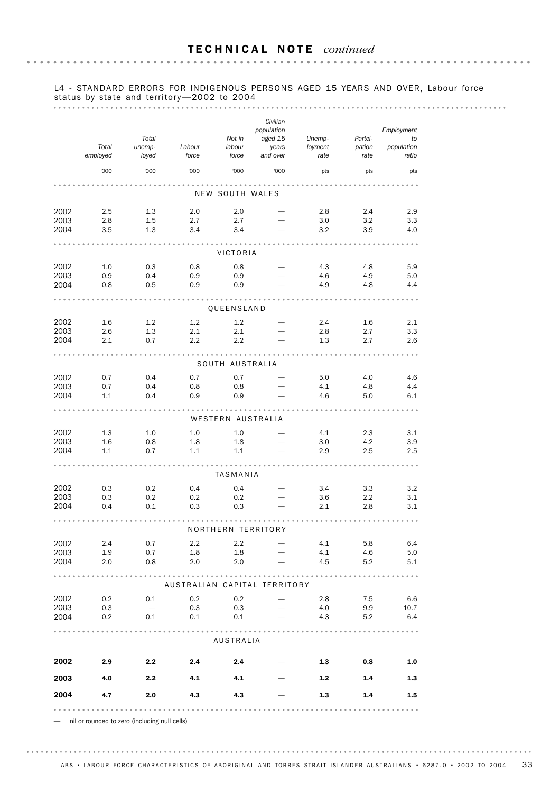#### L4 - STANDARD ERRORS FOR INDIGENOUS PERSONS AGED 15 YEARS AND OVER, Labour force status by state and territory —2002 to 2004

|              |                   |                                 |                              |                           | Civilian<br>population       |                           |                           | Employment                |
|--------------|-------------------|---------------------------------|------------------------------|---------------------------|------------------------------|---------------------------|---------------------------|---------------------------|
|              | Total<br>employed | Total<br>unemp-<br>loyed        | Labour<br>force              | Not in<br>labour<br>force | aged 15<br>years<br>and over | Unemp-<br>loyment<br>rate | Partci-<br>pation<br>rate | to<br>population<br>ratio |
|              | '000              | '000                            | '000                         | '000                      | '000                         | pts                       | pts                       | pts                       |
|              |                   |                                 |                              | NEW SOUTH WALES           |                              |                           |                           |                           |
| 2002         | 2.5               | 1.3                             | 2.0                          | 2.0                       |                              | 2.8                       | 2.4                       | 2.9                       |
| 2003         | 2.8<br>3.5        | 1.5                             | 2.7<br>3.4                   | 2.7<br>3.4                |                              | 3.0<br>3.2                | 3.2                       | 3.3                       |
| 2004         |                   | 1.3                             |                              |                           |                              |                           | 3.9                       | 4.0                       |
|              |                   |                                 |                              | VICTORIA                  |                              |                           |                           |                           |
| 2002<br>2003 | 1.0<br>0.9        | 0.3<br>0.4                      | 0.8<br>0.9                   | 0.8<br>0.9                |                              | 4.3<br>4.6                | 4.8<br>4.9                | 5.9<br>5.0                |
| 2004         | 0.8               | 0.5                             | 0.9                          | 0.9                       |                              | 4.9                       | 4.8                       | 4.4                       |
|              |                   |                                 |                              |                           |                              |                           |                           |                           |
|              |                   |                                 |                              | QUEENSLAND                |                              |                           |                           |                           |
| 2002         | 1.6<br>2.6        | 1.2                             | 1.2<br>2.1                   | 1.2<br>2.1                |                              | 2.4<br>2.8                | 1.6<br>2.7                | 2.1                       |
| 2003<br>2004 | 2.1               | 1.3<br>0.7                      | 2.2                          | 2.2                       |                              | 1.3                       | 2.7                       | 3.3<br>2.6                |
|              |                   |                                 |                              |                           |                              |                           |                           |                           |
|              |                   |                                 |                              | SOUTH AUSTRALIA           |                              |                           |                           |                           |
| 2002         | 0.7               | 0.4                             | 0.7                          | 0.7                       |                              | 5.0                       | 4.0                       | 4.6                       |
| 2003<br>2004 | 0.7<br>1.1        | 0.4<br>0.4                      | 0.8<br>0.9                   | 0.8<br>0.9                |                              | 4.1<br>4.6                | 4.8<br>5.0                | 4.4<br>6.1                |
|              |                   |                                 |                              |                           |                              |                           |                           |                           |
|              |                   |                                 |                              | WESTERN AUSTRALIA         |                              |                           |                           |                           |
| 2002         | 1.3               | 1.0                             | 1.0                          | 1.0                       |                              | 4.1                       | 2.3                       | 3.1                       |
| 2003<br>2004 | 1.6<br>1.1        | 0.8<br>0.7                      | 1.8<br>1.1                   | 1.8<br>1.1                |                              | 3.0<br>2.9                | 4.2<br>2.5                | 3.9                       |
|              |                   |                                 |                              |                           |                              |                           |                           | 2.5                       |
|              |                   |                                 |                              | TASMANIA                  |                              |                           |                           |                           |
| 2002         | 0.3               | 0.2                             | 0.4                          | 0.4                       |                              | 3.4                       | 3.3                       | 3.2                       |
| 2003         | 0.3               | 0.2                             | 0.2                          | 0.2                       |                              | 3.6                       | 2.2                       | 3.1                       |
| 2004         | 0.4               | 0.1                             | 0.3                          | 0.3                       |                              | 2.1                       | 2.8                       | 3.1                       |
|              |                   |                                 |                              | NORTHERN TERRITORY        |                              |                           |                           |                           |
| 2002         | 2.4               | 0.7                             | $2.2\phantom{0}$             | 2.2                       |                              | 4.1                       | 5.8                       | 6.4                       |
| 2003<br>2004 | 1.9<br>2.0        | 0.7<br>0.8                      | 1.8<br>2.0                   | $1.8\,$<br>2.0            |                              | 4.1<br>4.5                | 4.6<br>5.2                | 5.0<br>5.1                |
|              |                   |                                 |                              |                           |                              |                           |                           |                           |
|              |                   |                                 | AUSTRALIAN CAPITAL TERRITORY |                           |                              |                           |                           |                           |
| 2002         | 0.2               | 0.1                             | 0.2                          | 0.2                       |                              | 2.8                       | 7.5                       | 6.6                       |
| 2003<br>2004 | 0.3<br>0.2        | $\overline{\phantom{0}}$<br>0.1 | 0.3<br>0.1                   | 0.3<br>0.1                |                              | 4.0<br>4.3                | 9.9<br>5.2                | 10.7<br>6.4               |
|              |                   |                                 |                              |                           |                              |                           |                           |                           |
|              |                   |                                 |                              | AUSTRALIA                 |                              |                           |                           |                           |
| 2002         | 2.9               | 2.2                             | 2.4                          | 2.4                       |                              | 1.3                       | 0.8                       | 1.0                       |
| 2003         | 4.0               | 2.2                             | 4.1                          | 4.1                       |                              | 1.2                       | 1.4                       | 1.3                       |
| 2004         | 4.7               | 2.0                             | 4.3                          | 4.3                       |                              | 1.3                       | 1.4                       | 1.5                       |
|              |                   |                                 |                              |                           |                              |                           |                           |                           |

— nil or rounded to zero (including null cells)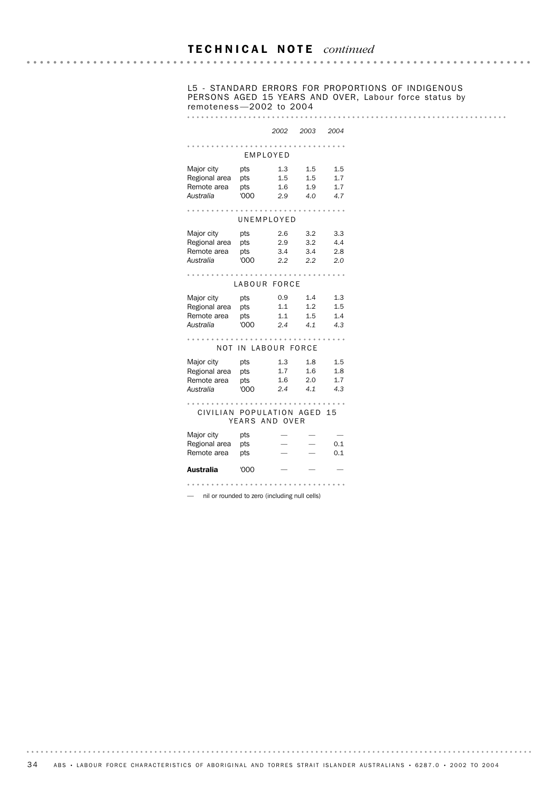L5 - STANDARD ERRORS FOR PROPORTIONS OF INDIGENOUS PERSONS AGED 15 YEARS AND OVER, Labour force status by remoteness —2002 to 2004

#### *2002 2003 2004*

|                                                         | EMPLOYED                  |                          |                          |                          |  |  |
|---------------------------------------------------------|---------------------------|--------------------------|--------------------------|--------------------------|--|--|
| Major city<br>Regional area<br>Remote area<br>Australia | pts<br>pts<br>pts<br>'000 | 1.3<br>1.5<br>1.6<br>2.9 | 1.5<br>1.5<br>1.9<br>4.0 | 1.5<br>1.7<br>1.7<br>4.7 |  |  |
|                                                         | UNEMPLOYED                |                          |                          |                          |  |  |
| Major city<br>Regional area<br>Remote area<br>Australia | pts<br>pts<br>pts<br>'000 | 2.6<br>2.9<br>3.4<br>2.2 | 3.2<br>3.2<br>3.4<br>2.2 | 3.3<br>4.4<br>2.8<br>2.0 |  |  |
|                                                         | LABOUR FORCE              |                          |                          |                          |  |  |
| Major city<br>Regional area<br>Remote area<br>Australia | pts<br>pts<br>pts<br>'000 | 0.9<br>1.1<br>1.1<br>2.4 | 1.4<br>1.2<br>1.5<br>4.1 | 1.3<br>1.5<br>1.4<br>4.3 |  |  |
| NOT                                                     | IN LABOUR FORCE           |                          |                          |                          |  |  |
| Major city<br>Regional area<br>Remote area<br>Australia | pts<br>pts<br>pts<br>'000 | 1.3<br>1.7<br>1.6<br>2.4 | 1.8<br>1.6<br>2.0<br>4.1 | 1.5<br>1.8<br>1.7<br>4.3 |  |  |
| CIVILIAN POPULATION AGED                                | YEARS AND OVER            |                          |                          | 15                       |  |  |
| Major city<br>Regional area<br>Remote area              | pts<br>pts<br>pts         |                          |                          | 0.1<br>0.1               |  |  |
| Australia                                               | '000                      |                          |                          |                          |  |  |
| nil or rounded to zero (including null cells)           |                           |                          |                          |                          |  |  |

34 ABS • LABOUR FORCE CHARACTERISTICS OF ABORIGINAL AND TORRES STRAIT ISLANDER AUSTRALIANS • 6287.0 • 2002 TO 2004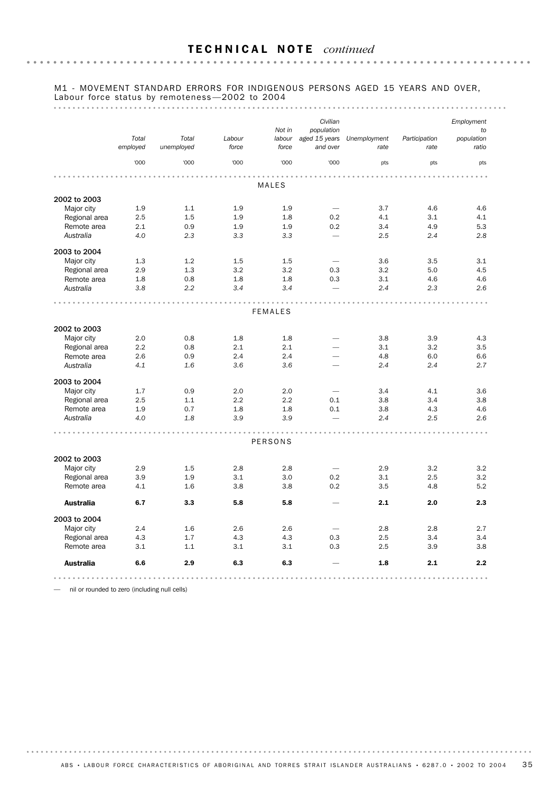#### M1 - MOVEMENT STANDARD ERRORS FOR INDIGENOUS PERSONS AGED 15 YEARS AND OVER, Labour force status by remoteness-2002 to 2004

#### 

|                  |                   |                     |                 | Not in          | Civilian<br>population          |                      |                       | Employment<br>to    |
|------------------|-------------------|---------------------|-----------------|-----------------|---------------------------------|----------------------|-----------------------|---------------------|
|                  | Total<br>employed | Total<br>unemployed | Labour<br>force | labour<br>force | aged 15 years<br>and over       | Unemployment<br>rate | Participation<br>rate | population<br>ratio |
|                  | '000              | '000                | '000            | '000            | '000                            | pts                  | pts                   | pts                 |
|                  |                   |                     |                 |                 |                                 |                      |                       |                     |
|                  |                   |                     |                 | MALES           |                                 |                      |                       |                     |
| 2002 to 2003     |                   |                     |                 |                 |                                 |                      |                       |                     |
| Major city       | 1.9               | 1.1                 | 1.9             | 1.9             |                                 | 3.7                  | 4.6                   | 4.6                 |
| Regional area    | 2.5               | 1.5                 | 1.9             | 1.8             | 0.2                             | 4.1                  | 3.1                   | 4.1                 |
| Remote area      | 2.1               | 0.9                 | 1.9             | 1.9             | 0.2                             | 3.4                  | 4.9                   | 5.3                 |
| Australia        | 4.0               | 2.3                 | 3.3             | 3.3             | $\overline{\phantom{a}}$        | 2.5                  | 2.4                   | 2.8                 |
| 2003 to 2004     |                   |                     |                 |                 |                                 |                      |                       |                     |
| Major city       | 1.3               | 1.2                 | 1.5             | 1.5             |                                 | 3.6                  | 3.5                   | 3.1                 |
| Regional area    | 2.9               | 1.3                 | 3.2             | 3.2             | 0.3                             | 3.2                  | 5.0                   | 4.5                 |
| Remote area      | 1.8               | 0.8                 | 1.8             | 1.8             | 0.3                             | 3.1                  | 4.6                   | 4.6                 |
| Australia        | 3.8               | 2.2                 | 3.4             | 3.4             |                                 | 2.4                  | 2.3                   | 2.6                 |
|                  |                   |                     |                 |                 |                                 |                      |                       |                     |
|                  |                   |                     |                 | <b>FEMALES</b>  |                                 |                      |                       |                     |
| 2002 to 2003     |                   |                     |                 |                 |                                 |                      |                       |                     |
| Major city       | 2.0               | 0.8                 | 1.8             | 1.8             |                                 | 3.8                  | 3.9                   | 4.3                 |
| Regional area    | 2.2               | 0.8                 | 2.1             | 2.1             |                                 | 3.1                  | 3.2                   | 3.5                 |
| Remote area      | 2.6               | 0.9                 | 2.4             | 2.4             |                                 | 4.8                  | 6.0                   | 6.6                 |
| Australia        | 4.1               | 1.6                 | 3.6             | 3.6             | $\overline{\phantom{0}}$        | 2.4                  | 2.4                   | 2.7                 |
| 2003 to 2004     |                   |                     |                 |                 |                                 |                      |                       |                     |
| Major city       | 1.7               | 0.9                 | 2.0             | 2.0             |                                 | 3.4                  | 4.1                   | 3.6                 |
| Regional area    | 2.5               | 1.1                 | 2.2             | 2.2             | 0.1                             | 3.8                  | 3.4                   | 3.8                 |
| Remote area      | 1.9               | 0.7                 | 1.8             | 1.8             | 0.1                             | 3.8                  | 4.3                   | 4.6                 |
| Australia        | 4.0               | 1.8                 | 3.9             | 3.9             |                                 | 2.4                  | 2.5                   | 2.6                 |
|                  |                   |                     |                 |                 |                                 |                      |                       |                     |
|                  |                   |                     |                 | <b>PERSONS</b>  |                                 |                      |                       |                     |
| 2002 to 2003     |                   |                     |                 |                 |                                 |                      |                       |                     |
| Major city       | 2.9               | 1.5                 | 2.8             | 2.8             | $\overbrace{\phantom{1232211}}$ | 2.9                  | 3.2                   | 3.2                 |
| Regional area    | 3.9               | 1.9                 | 3.1             | 3.0             | 0.2                             | 3.1                  | 2.5                   | 3.2                 |
| Remote area      | 4.1               | 1.6                 | 3.8             | 3.8             | 0.2                             | 3.5                  | 4.8                   | 5.2                 |
| <b>Australia</b> | 6.7               | 3.3                 | 5.8             | 5.8             |                                 | 2.1                  | 2.0                   | 2.3                 |
| 2003 to 2004     |                   |                     |                 |                 |                                 |                      |                       |                     |
| Major city       | 2.4               | 1.6                 | 2.6             | 2.6             |                                 | 2.8                  | 2.8                   | 2.7                 |
| Regional area    | 4.3               | 1.7                 | 4.3             | 4.3             | 0.3                             | 2.5                  | 3.4                   | 3.4                 |
| Remote area      | 3.1               | 1.1                 | 3.1             | 3.1             | 0.3                             | 2.5                  | 3.9                   | 3.8                 |
| <b>Australia</b> | 6.6               | 2.9                 | 6.3             | 6.3             |                                 | 1.8                  | 2.1                   | 2.2                 |
|                  |                   |                     |                 |                 |                                 |                      |                       |                     |

— nil or rounded to zero (including null cells)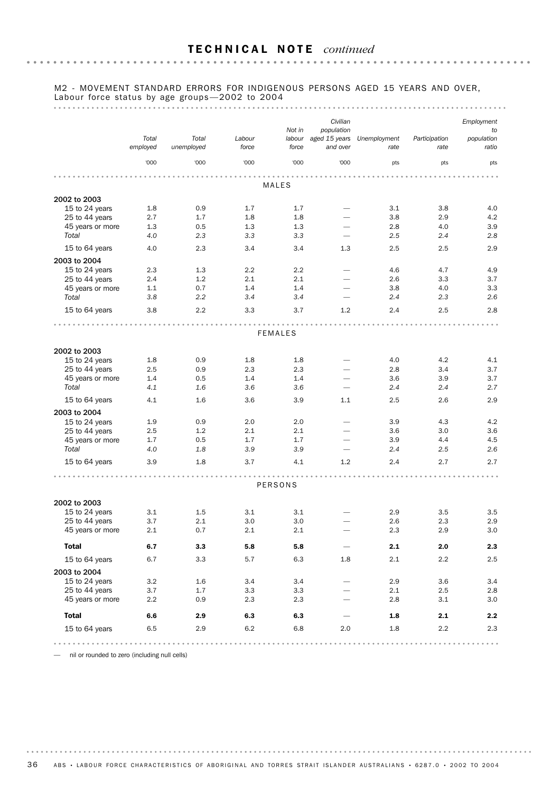#### M2 - MOVEMENT STANDARD ERRORS FOR INDIGENOUS PERSONS AGED 15 YEARS AND OVER, Labour force status by age groups-2002 to 2004

#### 

|                  |                   |                     |                 |                 | Civilian                  |                      |                       | Employment          |
|------------------|-------------------|---------------------|-----------------|-----------------|---------------------------|----------------------|-----------------------|---------------------|
|                  |                   |                     |                 | Not in          | population                |                      |                       | to                  |
|                  | Total<br>employed | Total<br>unemployed | Labour<br>force | labour<br>force | aged 15 years<br>and over | Unemployment<br>rate | Participation<br>rate | population<br>ratio |
|                  | '000              | '000                | '000            | '000            | '000                      | pts                  | pts                   | pts                 |
|                  |                   |                     |                 |                 |                           |                      |                       |                     |
|                  |                   |                     |                 | MALES           |                           |                      |                       |                     |
| 2002 to 2003     |                   |                     |                 |                 |                           |                      |                       |                     |
| 15 to 24 years   | 1.8               | 0.9                 | 1.7             | 1.7             | $\qquad \qquad$           | 3.1                  | 3.8                   | 4.0                 |
| 25 to 44 years   | 2.7               | 1.7                 | 1.8             | 1.8             | $\overline{\phantom{0}}$  | 3.8                  | 2.9                   | 4.2                 |
| 45 years or more | 1.3               | 0.5                 | 1.3             | 1.3             |                           | 2.8                  | 4.0                   | 3.9                 |
| Total            | 4.0               | 2.3                 | 3.3             | 3.3             |                           | 2.5                  | 2.4                   | 2.8                 |
| 15 to 64 years   | 4.0               | 2.3                 | 3.4             | 3.4             | 1.3                       | 2.5                  | 2.5                   | 2.9                 |
| 2003 to 2004     |                   |                     |                 |                 |                           |                      |                       |                     |
| 15 to 24 years   | 2.3               | 1.3                 | 2.2             | 2.2             |                           | 4.6                  | 4.7                   | 4.9                 |
| 25 to 44 years   | 2.4               | 1.2                 | 2.1             | 2.1             |                           | 2.6                  | 3.3                   | 3.7                 |
| 45 years or more | 1.1               | 0.7                 | 1.4             | 1.4             | $\overline{\phantom{0}}$  | 3.8                  | 4.0                   | 3.3                 |
| Total            | 3.8               | 2.2                 | 3.4             | 3.4             |                           | 2.4                  | 2.3                   | 2.6                 |
| 15 to 64 years   | 3.8               | 2.2                 | 3.3             | 3.7             | 1.2                       | 2.4                  | 2.5                   | 2.8                 |
|                  |                   |                     |                 |                 |                           |                      |                       |                     |
|                  |                   |                     |                 | <b>FEMALES</b>  |                           |                      |                       |                     |
| 2002 to 2003     |                   |                     |                 |                 |                           |                      |                       |                     |
| 15 to 24 years   | 1.8               | 0.9                 | 1.8             | 1.8             |                           | 4.0                  | 4.2                   | 4.1                 |
| 25 to 44 years   | 2.5               | 0.9                 | 2.3             | 2.3             |                           | 2.8                  | 3.4                   | 3.7                 |
| 45 years or more | 1.4               | 0.5                 | 1.4             | 1.4             | $\overline{\phantom{0}}$  | 3.6                  | 3.9                   | 3.7                 |
| Total            | 4.1               | 1.6                 | 3.6             | 3.6             |                           | 2.4                  | 2.4                   | 2.7                 |
| 15 to 64 years   | 4.1               | 1.6                 | 3.6             | 3.9             | 1.1                       | 2.5                  | 2.6                   | 2.9                 |
| 2003 to 2004     |                   |                     |                 |                 |                           |                      |                       |                     |
| 15 to 24 years   | 1.9               | 0.9                 | 2.0             | 2.0             |                           | 3.9                  | 4.3                   | 4.2                 |
| 25 to 44 years   | 2.5               | 1.2                 | 2.1             | 2.1             | $\overline{\phantom{0}}$  | 3.6                  | 3.0                   | 3.6                 |
| 45 years or more | 1.7               | 0.5                 | 1.7             | 1.7             |                           | 3.9                  | 4.4                   | 4.5                 |
| Total            | 4.0               | 1.8                 | 3.9             | 3.9             |                           | 2.4                  | 2.5                   | 2.6                 |
|                  |                   |                     |                 |                 |                           |                      |                       |                     |
| 15 to 64 years   | 3.9               | 1.8                 | 3.7             | 4.1             | 1.2                       | 2.4                  | 2.7                   | 2.7                 |
|                  |                   |                     |                 |                 |                           |                      |                       |                     |
|                  |                   |                     |                 | PERSONS         |                           |                      |                       |                     |
| 2002 to 2003     |                   |                     |                 |                 |                           |                      |                       |                     |
| 15 to 24 years   | 3.1               | 1.5                 | 3.1             | 3.1             |                           | 2.9                  | 3.5                   | 3.5                 |
| 25 to 44 years   | 3.7               | 2.1                 | 3.0             | 3.0             |                           | 2.6                  | 2.3                   | 2.9                 |
| 45 years or more | 2.1               | 0.7                 | 2.1             | 2.1             | $\overline{\phantom{0}}$  | 2.3                  | 2.9                   | 3.0                 |
| <b>Total</b>     | 6.7               | 3.3                 | 5.8             | 5.8             |                           | 2.1                  | 2.0                   | 2.3                 |
| 15 to 64 years   | 6.7               | 3.3                 | 5.7             | 6.3             | 1.8                       | 2.1                  | 2.2                   | 2.5                 |
| 2003 to 2004     |                   |                     |                 |                 |                           |                      |                       |                     |
| 15 to 24 years   | 3.2               | 1.6                 | 3.4             | 3.4             |                           | 2.9                  | 3.6                   | 3.4                 |
| 25 to 44 years   | 3.7               | 1.7                 | 3.3             | 3.3             |                           | 2.1                  | 2.5                   | 2.8                 |
| 45 years or more | 2.2               | 0.9                 | 2.3             | 2.3             | $\overline{\phantom{0}}$  | 2.8                  | 3.1                   | 3.0                 |
| <b>Total</b>     | 6.6               | 2.9                 | 6.3             | 6.3             |                           | 1.8                  | 2.1                   | $2.2\,$             |
| 15 to 64 years   | 6.5               | 2.9                 | 6.2             | 6.8             | 2.0                       | 1.8                  | 2.2                   | 2.3                 |
|                  |                   |                     |                 |                 |                           |                      |                       |                     |

— nil or rounded to zero (including null cells)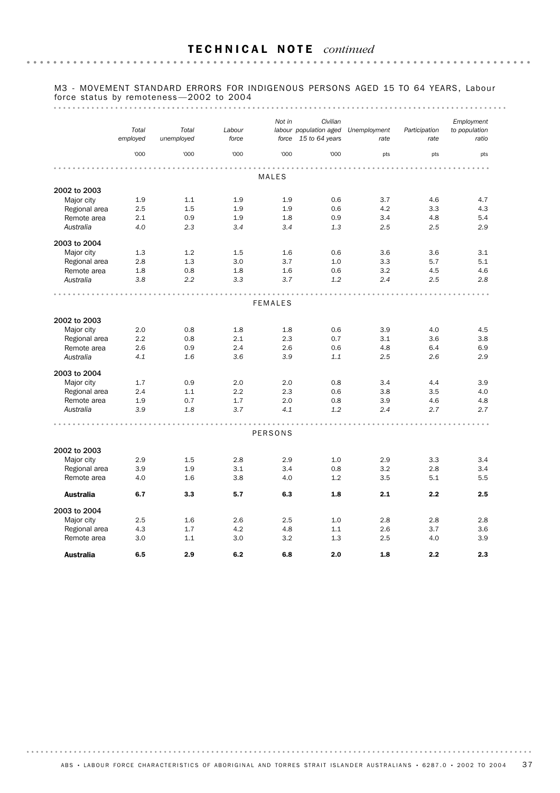#### M3 - MOVEMENT STANDARD ERRORS FOR INDIGENOUS PERSONS AGED 15 TO 64 YEARS, Labour force status by remoteness —2002 to 2004

#### 

|                              |            |            |        | Not in         | Civilian               |              |               | Employment    |
|------------------------------|------------|------------|--------|----------------|------------------------|--------------|---------------|---------------|
|                              | Total      | Total      | Labour |                | labour population aged | Unemployment | Participation | to population |
|                              | employed   | unemployed | force  |                | force 15 to 64 years   | rate         | rate          | ratio         |
|                              |            |            |        |                |                        |              |               |               |
|                              | '000       | '000       | '000   | '000           | '000                   | pts          | pts           | pts           |
|                              |            |            |        |                |                        |              |               |               |
|                              |            |            |        | <b>MALES</b>   |                        |              |               |               |
| 2002 to 2003                 |            |            |        |                |                        |              |               |               |
| Major city                   | 1.9        | 1.1        | 1.9    | 1.9            | 0.6                    | 3.7          | 4.6           | 4.7           |
| Regional area                | 2.5        | 1.5        | 1.9    | 1.9            | 0.6                    | 4.2          | 3.3           | 4.3           |
| Remote area                  | 2.1        | 0.9        | 1.9    | 1.8            | 0.9                    | 3.4          | 4.8           | 5.4           |
| Australia                    | 4.0        | 2.3        | 3.4    | 3.4            | 1.3                    | 2.5          | 2.5           | 2.9           |
|                              |            |            |        |                |                        |              |               |               |
| 2003 to 2004                 |            |            |        |                |                        |              |               |               |
| Major city                   | 1.3        | 1.2        | 1.5    | 1.6            | 0.6                    | 3.6          | 3.6           | 3.1           |
| Regional area                | 2.8        | 1.3        | 3.0    | 3.7            | 1.0                    | 3.3          | 5.7           | 5.1           |
| Remote area                  | 1.8        | 0.8        | 1.8    | 1.6            | 0.6                    | 3.2          | 4.5           | 4.6           |
| Australia                    | 3.8        | 2.2        | 3.3    | 3.7            | 1.2                    | 2.4          | 2.5           | 2.8           |
|                              |            |            |        |                |                        |              |               |               |
|                              |            |            |        | <b>FEMALES</b> |                        |              |               |               |
|                              |            |            |        |                |                        |              |               |               |
| 2002 to 2003                 |            |            |        |                |                        |              |               |               |
| Major city                   | 2.0        | 0.8        | 1.8    | 1.8            | 0.6                    | 3.9          | 4.0           | 4.5           |
| Regional area                | 2.2        | 0.8        | 2.1    | 2.3            | 0.7                    | 3.1          | 3.6           | 3.8           |
| Remote area                  | 2.6        | 0.9        | 2.4    | 2.6            | 0.6                    | 4.8          | 6.4           | 6.9           |
| Australia                    | 4.1        | 1.6        | 3.6    | 3.9            | 1.1                    | 2.5          | 2.6           | 2.9           |
| 2003 to 2004                 |            |            |        |                |                        |              |               |               |
| Major city                   | 1.7        | 0.9        | 2.0    | 2.0            | 0.8                    | 3.4          | 4.4           | 3.9           |
|                              | 2.4        | 1.1        | 2.2    | 2.3            | 0.6                    | 3.8          | 3.5           | 4.0           |
| Regional area<br>Remote area | 1.9        | 0.7        | 1.7    | 2.0            | 0.8                    | 3.9          | 4.6           |               |
|                              | 3.9        | 1.8        | 3.7    | 4.1            | 1.2                    | 2.4          | 2.7           | 4.8<br>2.7    |
| Australia                    |            |            |        |                |                        |              |               |               |
|                              |            |            |        |                |                        |              |               |               |
|                              |            |            |        | <b>PERSONS</b> |                        |              |               |               |
| 2002 to 2003                 |            |            |        |                |                        |              |               |               |
|                              | 2.9        | 1.5        | 2.8    | 2.9            | 1.0                    | 2.9          | 3.3           | 3.4           |
| Major city                   |            |            | 3.1    |                |                        |              |               | 3.4           |
| Regional area<br>Remote area | 3.9<br>4.0 | 1.9<br>1.6 | 3.8    | 3.4<br>4.0     | 0.8<br>1.2             | 3.2<br>3.5   | 2.8<br>5.1    | 5.5           |
|                              |            |            |        |                |                        |              |               |               |
| <b>Australia</b>             | 6.7        | 3.3        | 5.7    | 6.3            | 1.8                    | 2.1          | 2.2           | 2.5           |
| 2003 to 2004                 |            |            |        |                |                        |              |               |               |
| Major city                   | 2.5        | 1.6        | 2.6    | 2.5            | 1.0                    | 2.8          | 2.8           | 2.8           |
| Regional area                | 4.3        | 1.7        | 4.2    | 4.8            | 1.1                    | 2.6          | 3.7           | 3.6           |
| Remote area                  | 3.0        | 1.1        | 3.0    | 3.2            | 1.3                    | 2.5          | 4.0           | 3.9           |
| <b>Australia</b>             | 6.5        | 2.9        | 6.2    | 6.8            | 2.0                    | 1.8          | 2.2           | 2.3           |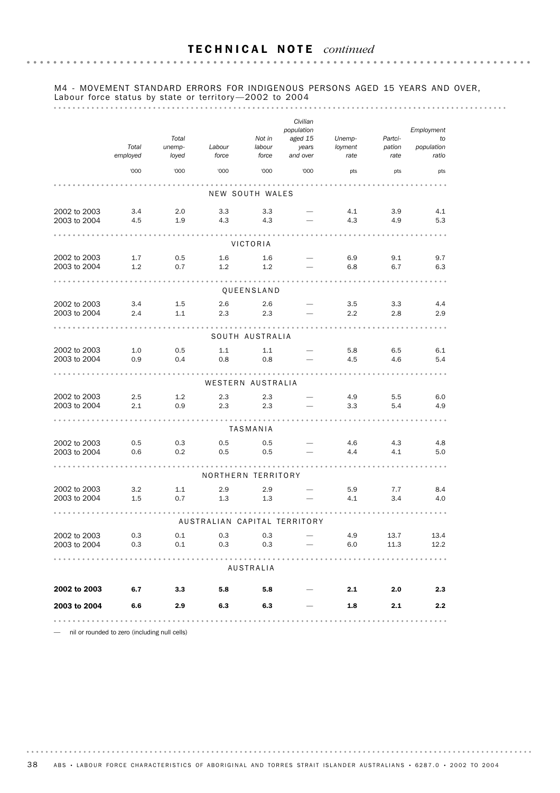#### M4 - MOVEMENT STANDARD ERRORS FOR INDIGENOUS PERSONS AGED 15 YEARS AND OVER, Labour force status by state or territory-2002 to 2004

#### 

|                      |          |         |        |                              | Civilian                 |         |             |                  |
|----------------------|----------|---------|--------|------------------------------|--------------------------|---------|-------------|------------------|
|                      |          | Total   |        | Not in                       | population<br>aged 15    | Unemp-  | Partci-     | Employment<br>to |
|                      | Total    | unemp-  | Labour | labour                       | years                    | loyment | pation      | population       |
|                      | employed | loyed   | force  | force                        | and over                 | rate    | rate        | ratio            |
|                      | '000     | '000    | '000   | '000                         | '000                     | pts     | pts         | pts              |
|                      |          |         |        |                              | .                        |         |             |                  |
|                      |          |         |        | NEW SOUTH WALES              |                          |         |             |                  |
| 2002 to 2003         | 3.4      | 2.0     | 3.3    | 3.3                          |                          | 4.1     | 3.9         | 4.1              |
| 2003 to 2004         | 4.5      | 1.9     | 4.3    | 4.3                          |                          | 4.3     | 4.9         | 5.3              |
|                      |          |         |        |                              |                          |         |             |                  |
|                      |          |         |        | VICTORIA                     |                          |         |             |                  |
| 2002 to 2003         | 1.7      | 0.5     | 1.6    | 1.6                          |                          | 6.9     | 9.1         | 9.7              |
| 2003 to 2004         | 1.2      | 0.7     | 1.2    | 1.2                          |                          | 6.8     | 6.7         | 6.3              |
|                      |          |         |        | .                            |                          |         |             |                  |
|                      |          |         |        | QUEENSLAND                   |                          |         |             |                  |
| 2002 to 2003         | 3.4      | $1.5\,$ | 2.6    | 2.6                          |                          | 3.5     | 3.3         | 4.4              |
| 2003 to 2004         | 2.4      | 1.1     | 2.3    | 2.3                          |                          | 2.2     | 2.8         | 2.9              |
|                      |          |         |        |                              |                          |         |             |                  |
|                      |          |         |        | SOUTH AUSTRALIA              |                          |         |             |                  |
| 2002 to 2003         | 1.0      | 0.5     | 1.1    | 1.1                          |                          | 5.8     | 6.5         | 6.1              |
| 2003 to 2004         | 0.9      | 0.4     | 0.8    | 0.8                          |                          | 4.5     | 4.6         | 5.4              |
|                      |          |         |        |                              |                          |         |             |                  |
|                      |          |         |        | WESTERN AUSTRALIA            |                          |         |             |                  |
| 2002 to 2003         | 2.5      | 1.2     | 2.3    | 2.3                          |                          | 4.9     | 5.5         | 6.0              |
| 2003 to 2004         | 2.1      | 0.9     | 2.3    | 2.3                          |                          | 3.3     | 5.4         | 4.9              |
|                      |          |         |        | .                            |                          |         |             |                  |
|                      |          |         |        | TASMANIA                     |                          |         |             |                  |
| 2002 to 2003         | 0.5      | 0.3     | 0.5    | 0.5                          |                          | 4.6     | 4.3         | 4.8              |
| 2003 to 2004         | 0.6      | 0.2     | 0.5    | 0.5                          |                          | 4.4     | 4.1         | 5.0              |
|                      |          |         |        |                              |                          |         |             |                  |
|                      |          |         |        | NORTHERN TERRITORY           |                          |         |             |                  |
| 2002 to 2003         | 3.2      | 1.1     | 2.9    | 2.9                          |                          | 5.9     | 7.7         | 8.4              |
| 2003 to 2004         | 1.5      | 0.7     | 1.3    | 1.3                          |                          | 4.1     | 3.4         | 4.0              |
|                      |          |         |        |                              |                          |         |             |                  |
|                      |          |         |        | AUSTRALIAN CAPITAL TERRITORY |                          |         |             |                  |
| 2002 to 2003         | 0.3      | 0.1     | 0.3    | 0.3                          |                          | 4.9     | 13.7        | 13.4             |
| 2003 to 2004         | 0.3      | 0.1     | 0.3    | 0.3                          | $\overline{\phantom{0}}$ |         | 6.0<br>11.3 | 12.2             |
|                      |          |         |        |                              |                          |         |             |                  |
|                      |          |         |        | AUSTRALIA                    |                          |         |             |                  |
| 2002 to 2003         | 6.7      |         |        | $3.3$ $5.8$ $5.8$            |                          | 2.1     | 2.0         | 2.3              |
|                      |          |         |        |                              |                          |         |             |                  |
| 2003 to 2004 6.6 2.9 |          |         |        | 6.3                          |                          | 1.8     | 2.1         | 2.2              |
|                      |          |         |        |                              |                          |         |             |                  |

— nil or rounded to zero (including null cells)

38 ABS • LABOUR FORCE CHARACTERISTICS OF ABORIGINAL AND TORRES STRAIT ISLANDER AUSTRALIANS • 6287.0 • 2002 TO 2004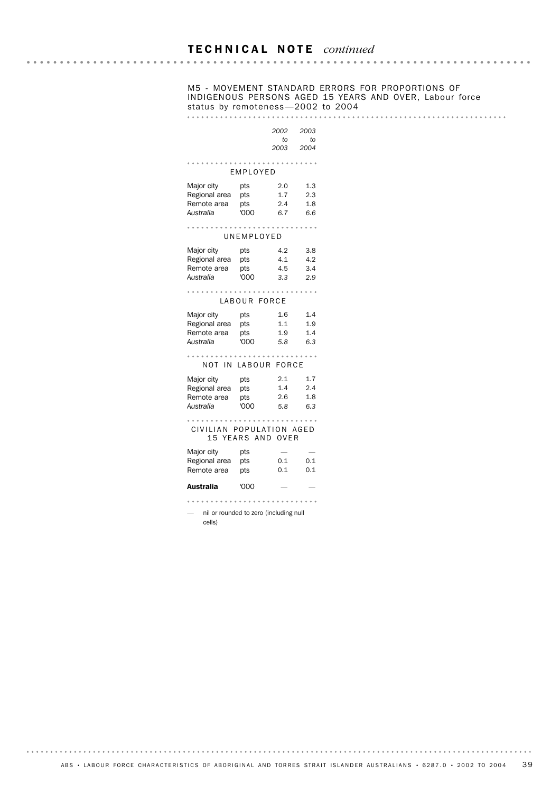# M5 - MOVEMENT STANDARD ERRORS FOR PROPORTIONS OF INDIGENOUS PERSONS AGED 15 YEARS AND OVER, Labour force status by remoteness —2002 to 2004

|                                                         |                           | 2002<br>to<br>2003           | 2003<br>to<br>2004       |
|---------------------------------------------------------|---------------------------|------------------------------|--------------------------|
|                                                         | EMPLOYED                  |                              |                          |
| Major city<br>Regional area<br>Remote area<br>Australia | pts<br>pts<br>pts<br>'000 | 2.0<br>1.7<br>$2.4\,$<br>6.7 | 1.3<br>2.3<br>1.8<br>6.6 |
|                                                         | UNEMPLOYED                |                              |                          |
| Major city<br>Regional area<br>Remote area<br>Australia | pts<br>pts<br>pts<br>'000 | 4.2<br>4.1<br>4.5<br>3.3     | 3.8<br>4.2<br>3.4<br>2.9 |
|                                                         | LABOUR FORCE              |                              |                          |
| Major city<br>Regional area<br>Remote area<br>Australia | pts<br>pts<br>pts<br>'000 | 1.6<br>1.1<br>1.9<br>5.8     | 1.4<br>1.9<br>1.4<br>6.3 |
| NOT IN LABOUR FORCE                                     |                           |                              |                          |
| Major city<br>Regional area<br>Remote area<br>Australia | pts<br>pts<br>pts<br>'000 | 2.1<br>1.4<br>2.6<br>5.8     | 1.7<br>2.4<br>1.8<br>6.3 |
| CIVILIAN POPULATION AGED                                | 15 YEARS AND OVER         |                              |                          |
| Major city<br>Regional area<br>Remote area              | pts<br>pts<br>pts         | 0.1<br>0.1                   | 0.1<br>0.1               |
| Australia                                               | 000'                      |                              |                          |
| nil or rounded to zero (including null<br>cells)        |                           |                              |                          |

 $\ddot{\phantom{a}}$ 

 $\bar{\phantom{a}}$ 

 $\ddot{\phantom{1}}$ 

 $\ddot{\phantom{a}}$ 

 $\bar{\phantom{a}}$ 

 $\bar{a}$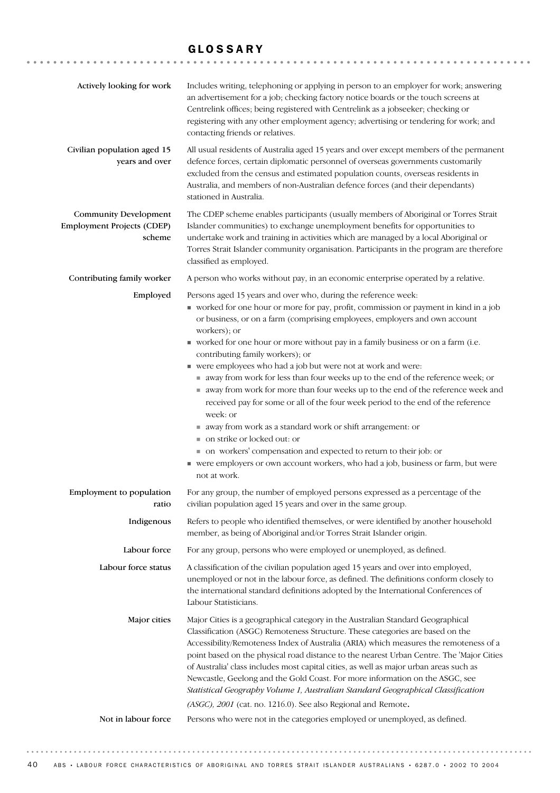## GLOSSARY

| Actively looking for work                                                   | Includes writing, telephoning or applying in person to an employer for work; answering<br>an advertisement for a job; checking factory notice boards or the touch screens at<br>Centrelink offices; being registered with Centrelink as a jobseeker; checking or<br>registering with any other employment agency; advertising or tendering for work; and<br>contacting friends or relatives.                                                                                                                                                                                                                                                                                                                                                                                                                                                                                                                                                                             |
|-----------------------------------------------------------------------------|--------------------------------------------------------------------------------------------------------------------------------------------------------------------------------------------------------------------------------------------------------------------------------------------------------------------------------------------------------------------------------------------------------------------------------------------------------------------------------------------------------------------------------------------------------------------------------------------------------------------------------------------------------------------------------------------------------------------------------------------------------------------------------------------------------------------------------------------------------------------------------------------------------------------------------------------------------------------------|
| Civilian population aged 15<br>years and over                               | All usual residents of Australia aged 15 years and over except members of the permanent<br>defence forces, certain diplomatic personnel of overseas governments customarily<br>excluded from the census and estimated population counts, overseas residents in<br>Australia, and members of non-Australian defence forces (and their dependants)<br>stationed in Australia.                                                                                                                                                                                                                                                                                                                                                                                                                                                                                                                                                                                              |
| <b>Community Development</b><br><b>Employment Projects (CDEP)</b><br>scheme | The CDEP scheme enables participants (usually members of Aboriginal or Torres Strait<br>Islander communities) to exchange unemployment benefits for opportunities to<br>undertake work and training in activities which are managed by a local Aboriginal or<br>Torres Strait Islander community organisation. Participants in the program are therefore<br>classified as employed.                                                                                                                                                                                                                                                                                                                                                                                                                                                                                                                                                                                      |
| Contributing family worker                                                  | A person who works without pay, in an economic enterprise operated by a relative.                                                                                                                                                                                                                                                                                                                                                                                                                                                                                                                                                                                                                                                                                                                                                                                                                                                                                        |
| Employed                                                                    | Persons aged 15 years and over who, during the reference week:<br>worked for one hour or more for pay, profit, commission or payment in kind in a job<br>or business, or on a farm (comprising employees, employers and own account<br>workers); or<br>worked for one hour or more without pay in a family business or on a farm (i.e.<br>contributing family workers); or<br>• were employees who had a job but were not at work and were:<br>away from work for less than four weeks up to the end of the reference week; or<br>away from work for more than four weeks up to the end of the reference week and<br>received pay for some or all of the four week period to the end of the reference<br>week: or<br>away from work as a standard work or shift arrangement: or<br>on strike or locked out: or<br>• on workers' compensation and expected to return to their job: or<br>were employers or own account workers, who had a job, business or farm, but were |
|                                                                             | not at work.                                                                                                                                                                                                                                                                                                                                                                                                                                                                                                                                                                                                                                                                                                                                                                                                                                                                                                                                                             |
| Employment to population<br>ratio                                           | For any group, the number of employed persons expressed as a percentage of the<br>civilian population aged 15 years and over in the same group.                                                                                                                                                                                                                                                                                                                                                                                                                                                                                                                                                                                                                                                                                                                                                                                                                          |
| Indigenous                                                                  | Refers to people who identified themselves, or were identified by another household<br>member, as being of Aboriginal and/or Torres Strait Islander origin.                                                                                                                                                                                                                                                                                                                                                                                                                                                                                                                                                                                                                                                                                                                                                                                                              |
| Labour force                                                                | For any group, persons who were employed or unemployed, as defined.                                                                                                                                                                                                                                                                                                                                                                                                                                                                                                                                                                                                                                                                                                                                                                                                                                                                                                      |
| Labour force status                                                         | A classification of the civilian population aged 15 years and over into employed,<br>unemployed or not in the labour force, as defined. The definitions conform closely to<br>the international standard definitions adopted by the International Conferences of<br>Labour Statisticians.                                                                                                                                                                                                                                                                                                                                                                                                                                                                                                                                                                                                                                                                                |
| Major cities<br>Not in labour force                                         | Major Cities is a geographical category in the Australian Standard Geographical<br>Classification (ASGC) Remoteness Structure. These categories are based on the<br>Accessibility/Remoteness Index of Australia (ARIA) which measures the remoteness of a<br>point based on the physical road distance to the nearest Urban Centre. The 'Major Cities<br>of Australia' class includes most capital cities, as well as major urban areas such as<br>Newcastle, Geelong and the Gold Coast. For more information on the ASGC, see<br>Statistical Geography Volume 1, Australian Standard Geographical Classification<br>(ASGC), 2001 (cat. no. 1216.0). See also Regional and Remote.<br>Persons who were not in the categories employed or unemployed, as defined.                                                                                                                                                                                                        |
|                                                                             |                                                                                                                                                                                                                                                                                                                                                                                                                                                                                                                                                                                                                                                                                                                                                                                                                                                                                                                                                                          |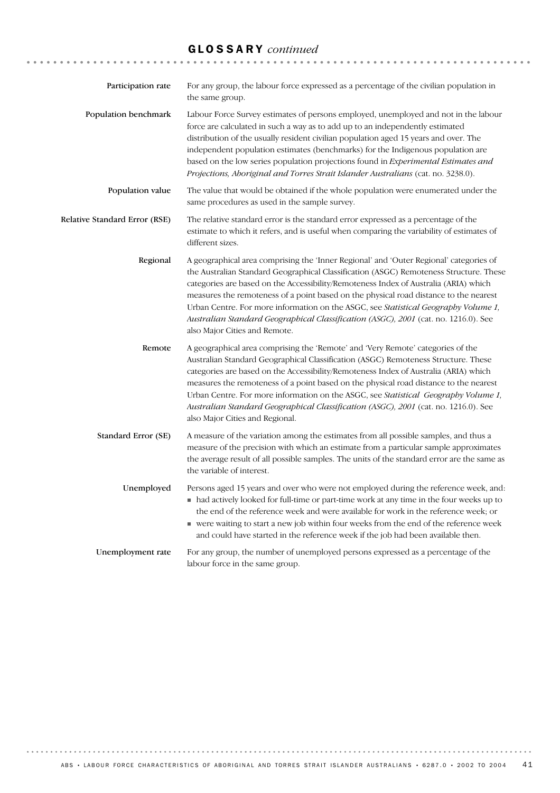# GLOSSARY *continued*

| Participation rate            | For any group, the labour force expressed as a percentage of the civilian population in<br>the same group.                                                                                                                                                                                                                                                                                                                                                                                                                                                                               |
|-------------------------------|------------------------------------------------------------------------------------------------------------------------------------------------------------------------------------------------------------------------------------------------------------------------------------------------------------------------------------------------------------------------------------------------------------------------------------------------------------------------------------------------------------------------------------------------------------------------------------------|
| Population benchmark          | Labour Force Survey estimates of persons employed, unemployed and not in the labour<br>force are calculated in such a way as to add up to an independently estimated<br>distribution of the usually resident civilian population aged 15 years and over. The<br>independent population estimates (benchmarks) for the Indigenous population are<br>based on the low series population projections found in Experimental Estimates and<br>Projections, Aboriginal and Torres Strait Islander Australians (cat. no. 3238.0).                                                               |
| Population value              | The value that would be obtained if the whole population were enumerated under the<br>same procedures as used in the sample survey.                                                                                                                                                                                                                                                                                                                                                                                                                                                      |
| Relative Standard Error (RSE) | The relative standard error is the standard error expressed as a percentage of the<br>estimate to which it refers, and is useful when comparing the variability of estimates of<br>different sizes.                                                                                                                                                                                                                                                                                                                                                                                      |
| Regional                      | A geographical area comprising the 'Inner Regional' and 'Outer Regional' categories of<br>the Australian Standard Geographical Classification (ASGC) Remoteness Structure. These<br>categories are based on the Accessibility/Remoteness Index of Australia (ARIA) which<br>measures the remoteness of a point based on the physical road distance to the nearest<br>Urban Centre. For more information on the ASGC, see <i>Statistical Geography Volume 1</i> ,<br>Australian Standard Geographical Classification (ASGC), 2001 (cat. no. 1216.0). See<br>also Major Cities and Remote. |
| Remote                        | A geographical area comprising the 'Remote' and 'Very Remote' categories of the<br>Australian Standard Geographical Classification (ASGC) Remoteness Structure. These<br>categories are based on the Accessibility/Remoteness Index of Australia (ARIA) which<br>measures the remoteness of a point based on the physical road distance to the nearest<br>Urban Centre. For more information on the ASGC, see Statistical Geography Volume 1,<br>Australian Standard Geographical Classification (ASGC), 2001 (cat. no. 1216.0). See<br>also Major Cities and Regional.                  |
| Standard Error (SE)           | A measure of the variation among the estimates from all possible samples, and thus a<br>measure of the precision with which an estimate from a particular sample approximates<br>the average result of all possible samples. The units of the standard error are the same as<br>the variable of interest.                                                                                                                                                                                                                                                                                |
| Unemployed                    | Persons aged 15 years and over who were not employed during the reference week, and:<br>• had actively looked for full-time or part-time work at any time in the four weeks up to<br>the end of the reference week and were available for work in the reference week; or<br>vere waiting to start a new job within four weeks from the end of the reference week<br>and could have started in the reference week if the job had been available then.                                                                                                                                     |
| Unemployment rate             | For any group, the number of unemployed persons expressed as a percentage of the<br>labour force in the same group.                                                                                                                                                                                                                                                                                                                                                                                                                                                                      |